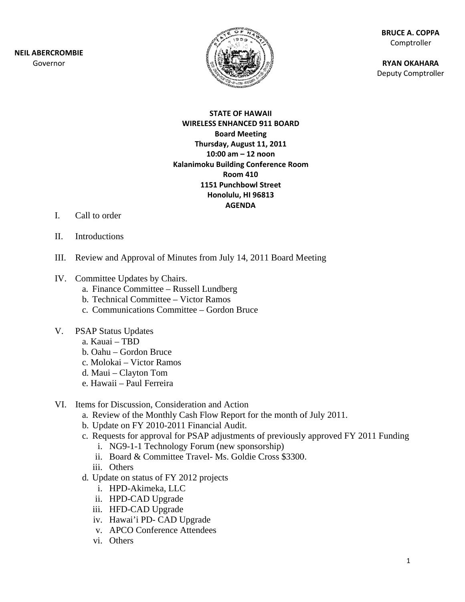**NEIL ABE RCROMBIE** Gov ernor



**BR RUCE A. COPP PA** Comptroller

**RY YAN OKAHAR A** Deputy Comptroller

### **ST TATE OF HAW WAII WIRELESS ENHANCED 9 911 BOARD B Board Meetin ng Thursd day, August 1 11, 2011 10: 00 am – 12 n noon Kalanimoku Building Conference Room 1151 Punchbowl S Street Ho nolulu, HI 96 6813 Room 410 AGENDA**

- I. Call to order
- II. Introductions
- III. Review and Approval of Minutes from July 14, 2011 Board Meeting
- IV. Committee Updates by Chairs.
	- a. Finance Committee Russell Lundberg
	- b. Technical Committee Victor Ramos
	- c. Communications Committee Gordon Bruce
- V. PSAP Status Updates
	- a. . Kauai TB BD
	- b. Oahu Gordon Bruce
	- c. Molokai Victor Ramos
	- d. Maui Clayton Tom
	- e. . Hawaii P Paul Ferreira
- VI. Items for Discussion, Consideration and Action
	- a. Review of the Monthly Cash Flow Report for the month of July 2011.
	- b. Update on FY 2010-2011 Financial Audit.
	- c. Requests for approval for PSAP adjustments of previously approved FY 2011 Funding
		- i. NG9-1-1 Technology Forum (new sponsorship)
		- ii. Board & Committee Travel- Ms. Goldie Cross \$3300.
		- iii. Other s
	- d. Update on status of FY 2012 projects
		- i. HPD-Akimeka, L LLC
		- ii. HPD-CAD Upgrade
		- iii. HFD-CAD Upgrade
		- iv. Hawai'i PD- CAD Upgrade
		- v. APCO O Conferenc e Attendees
		- vi. Other s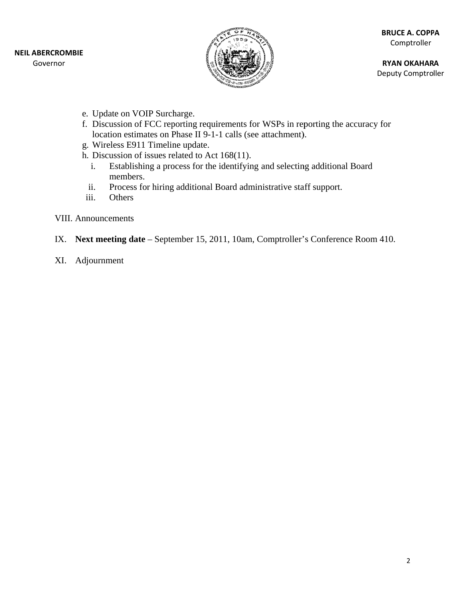

**RY YAN OKAHAR A** Deputy Comptroller

- e. . Update on VOIP Surch harge.
- f. Discussion of FCC reporting requirements for WSPs in reporting the accuracy for location estimates on Phase II 9-1-1 calls (see attachment).  $r$ <br>0.
- g. Wireless E911 Timeline update.
- h. Discussion of issues related to Act 168(11).
	- i. Establishing a process for the identifying and selecting additional Board memb bers.
	- ii. Process for hiring additional Board administrative staff support.
- iii. iii. Other s
- VIII. Announcements
- IX. Next meeting date September 15, 2011, 10am, Comptroller's Conference Room 410
- XI. Adj journment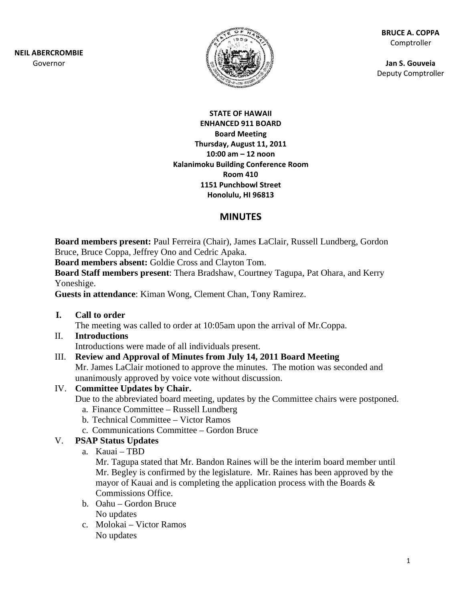**NEIL ABE RCROMBIE** Gov ernor



**BR RUCE A. COPP PA** Comptroller

**Ja an S. Gouveia a**Deputy Comptroller

### **ST TATE OF HAW WAII ENHA ANCED 911 B OARD B Board Meetin ng Thursd day, August 1 11, 2011 10: 00 am – 12 n noon Kalanimoku Building Conference Room 1151 Punchbowl S Street Ho nolulu, HI 96 6813 Room 410**

# **MINUTES S**

Board members present: Paul Ferreira (Chair), James LaClair, Russell Lundberg, Gordon Bruce, Bruce Coppa, Jeffrey Ono and Cedric Apaka.

Board members absent: Goldie Cross and Clayton Tom.

Board Staff members present: Thera Bradshaw, Courtney Tagupa, Pat Ohara, and Kerry Yoneshige.

Guests in attendance: Kiman Wong, Clement Chan, Tony Ramirez.

**I. Cal ll to order** 

The meeting was called to order at 10:05am upon the arrival of Mr.Coppa.

### II. **Int roductions** Introductions were made of all individuals present.

III. Review and Approval of Minutes from July 14, 2011 Board Meeting Mr. James LaClair motioned to approve the minutes. The motion was seconded and

unanimously approved by voice vote without discussion.

## IV. Committee Updates by Chair.

Due to the abbreviated board meeting, updates by the Committee chairs were postponed.

- a. Finance Committee Russell Lundberg b. Technical Committee - Victor Ramos
- c. Communications Committee Gordon Bruce

## V. **PSAP Status Updates**

a. . Kauai – T TBD

Mr. Tagupa stated that Mr. Bandon Raines will be the interim board member until Mr. Begley is confirmed by the legislature. Mr. Raines has been approved by the mayor of Kauai and is completing the application process with the Boards  $\&$ Commiss ions Office.

- b . Oahu G Gordon Bruce b. Oahu – Gordon Bruce<br>No updates<br>c. Molokai – Victor Ramos No updates
- No updates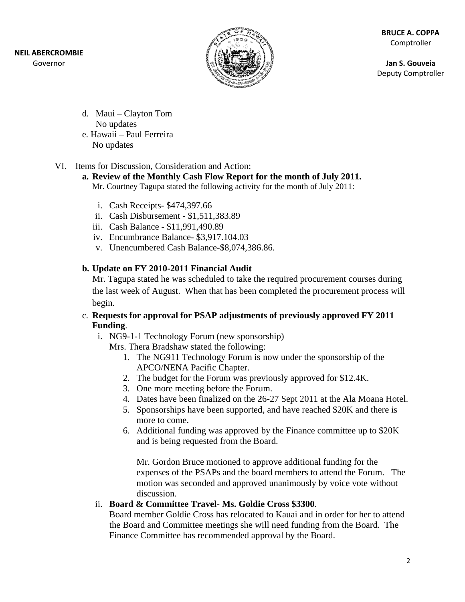# **NEIL ABE RCROMBIE**

Gov ernor



**BR RUCE A. COPP PA** Comptroller

**Ja an S. Gouveia a**Deputy Comptroller

- d . Maui C layton Tom e. . Hawaii – P Paul Ferreira No updates No update s
- VI. Items for Discussion, Consideration and Action:

## a. Review of the Monthly Cash Flow Report for the month of July 2011.

Mr. Courtney Tagupa stated the following activity for the month of July 2011:

- i. Cash R Receipts- \$4 474,397.66
- ii. Cash Disbursement \$1,511,383.89
- iii. Cash Balance \$11,991,490.89
- iv. Encumbrance Balance- \$3,917.104.03
- v. Unencumbered Cash Balance-\$8,074,386.86.

## **b.** Update on FY 2010-2011 Financial Audit

Mr. Tagupa stated he was scheduled to take the required procurement courses during the last week of August. When that has been completed the procurement process will begin.

## c. Requests for approval for PSAP adjustments of previously approved FY 2011 **Funding**.

- i. NG9-1-1 Technology Forum (new sponsorship)
	- Mrs. Thera Bradshaw stated the following:
		- 1. The NG911 Technology Forum is now under the sponsorship of the APCO/NENA Pacific Chapter.
		- 2. The budget for the Forum was previously approved for \$12.4K.
		- 3. One more meeting before the Forum.
		- 4. Dates have been finalized on the 26-27 Sept 2011 at the Ala Moana Hotel.
		- 5. Sponsorships have been supported, and have reached \$20K and there is more to come.
		- 6. Additional funding was approved by the Finance committee up to \$20K and is being requested from the Board.

Mr. Gordon Bruce motioned to approve additional funding for the expenses of the PSAPs and the board members to attend the Forum. The motion was seconded and approved unanimously by voice vote without discussion.

## ii. Board & Committee Travel- Ms. Goldie Cross \$3300.

Board member Goldie Cross has relocated to Kauai and in order for her to attend the Board and Committee meetings she will need funding from the Board. The Finance Committee has recommended approval by the Board.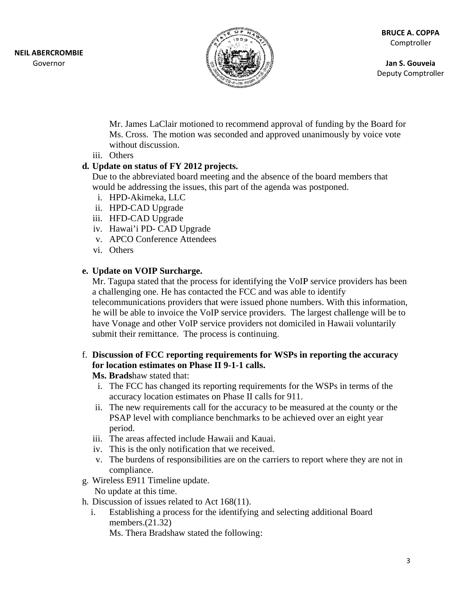

**Ja an S. Gouveia a**Deputy Comptroller

Mr. James LaClair motioned to recommend approval of funding by the Board for Ms. Cross. The motion was seconded and approved unanimously by voice vote without discussion.

iii. Other s

## d. Update on status of FY 2012 projects.

Due to the abbreviated board meeting and the absence of the board members that would be addressing the issues, this part of the agenda was postponed.

- i. HPD-Akimeka, L LLC
- ii. HPD-CAD Upgrade
- iii. HFD-CAD Upgrade
- iv. Hawai'i PD- CAD Upgrade
- v. APCO O Conferenc e Attendees
- vi. Other s

## **e. . Update on n VOIP Sur rcharge.**

Mr. Tagupa stated that the process for identifying the VoIP service providers has been a challenging one. He has contacted the FCC and was able to identify telecommunications providers that were issued phone numbers. With this information, he will be able to invoice the VoIP service providers. The largest challenge will be to have Vonage and other VoIP service providers not domiciled in Hawaii voluntarily submit their remittance. The process is continuing.

## f. Discussion of FCC reporting requirements for WSPs in reporting the accuracy for location estimates on Phase II 9-1-1 calls.

**Ms. Bradshaw stated that:** 

- i. The FCC has changed its reporting requirements for the WSPs in terms of the accuracy location estimates on Phase II calls for 911.
- ii. The new requirements call for the accuracy to be measured at the county or the PSAP level with compliance benchmarks to be achieved over an eight year period d.
- iii. The areas affected include Hawaii and Kauai.
- iv. This is the only notification that we received.
- v. The burdens of responsibilities are on the carriers to report where they are not in compl liance.
- g. Wireless E911 Timeline update.

No update at this time.

- h. Discussion of issues related to Act 168(11).
	- i. Establishing a process for the identifying and selecting additional Board memb bers.(21.32)

Ms. Thera Bradshaw stated the following: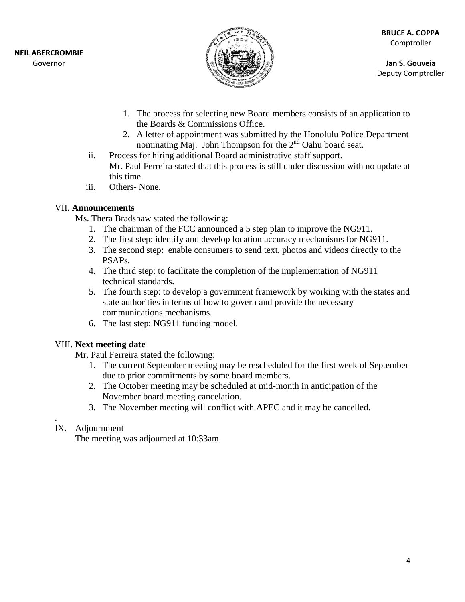

**Ja an S. Gouveia a**Deputy Comptroller

- 1. The process for selecting new Board members consists of an application to the Boards & Commissions Office.
- 2. A letter of appointment was submitted by the Honolulu Police Department nominating Maj. John Thompson for the  $2<sup>nd</sup>$  Oahu board seat.
- ii. Process for hiring additional Board administrative staff support. Mr. Paul Ferreira stated that this process is still under discussion with no update at this time.
- iii. iii. Other s- None.

### **VII. Announcements**

Ms. Thera Bradshaw stated the following:

- 1. The chairman of the FCC announced a 5 step plan to improve the NG911.
- 2. The first step: identify and develop location accuracy mechanisms for NG911.
- 3. The second step: enable consumers to send text, photos and videos directly to the PSAPs.
- 4. The third step: to facilitate the completion of the implementation of NG911 technical standards.
- 5. The fourth step: to develop a government framework by working with the states and state authorities in terms of how to govern and provide the necessary communications mechanisms.
- 6. The last step: NG911 funding model.

## VIII. **Nex xt meeting d date**

Mr. Paul Ferreira stated the following:

- 1. The current September meeting may be rescheduled for the first week of September due to prior commitments by some board members.
- 2. The October meeting may be scheduled at mid-month in anticipation of the November board meeting cancelation.
- 3. The November meeting will conflict with APEC and it may be cancelled.

## IX. Adjournment

.

The meeting was adjourned at 10:33am.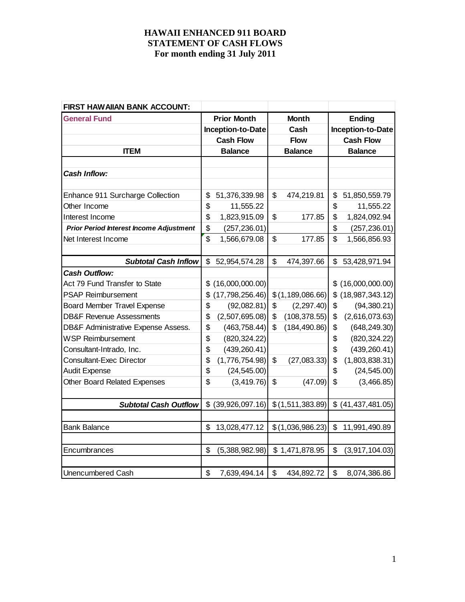| FIRST HAW AIIAN BANK ACCOUNT:                  |                         |                           |                    |                         |
|------------------------------------------------|-------------------------|---------------------------|--------------------|-------------------------|
| <b>General Fund</b>                            | <b>Prior Month</b>      |                           | <b>Month</b>       | <b>Ending</b>           |
|                                                | Inception-to-Date       |                           | Cash               | Inception-to-Date       |
|                                                | <b>Cash Flow</b>        |                           | <b>Flow</b>        | <b>Cash Flow</b>        |
| <b>ITEM</b>                                    | <b>Balance</b>          |                           | <b>Balance</b>     | <b>Balance</b>          |
|                                                |                         |                           |                    |                         |
| <b>Cash Inflow:</b>                            |                         |                           |                    |                         |
|                                                |                         |                           |                    |                         |
| Enhance 911 Surcharge Collection               | \$<br>51,376,339.98     | \$                        | 474,219.81         | \$<br>51,850,559.79     |
| Other Income                                   | \$<br>11,555.22         |                           |                    | \$<br>11,555.22         |
| Interest Income                                | \$<br>1,823,915.09      | \$                        | 177.85             | \$<br>1,824,092.94      |
| <b>Prior Period Interest Income Adjustment</b> | \$<br>(257, 236.01)     |                           |                    | \$<br>(257, 236.01)     |
| Net Interest Income                            | \$<br>1,566,679.08      | \$                        | 177.85             | \$<br>1,566,856.93      |
|                                                |                         |                           |                    |                         |
| <b>Subtotal Cash Inflow</b>                    | \$<br>52,954,574.28     | \$                        | 474,397.66         | \$<br>53,428,971.94     |
| <b>Cash Outflow:</b>                           |                         |                           |                    |                         |
| Act 79 Fund Transfer to State                  | \$<br>(16,000,000.00)   |                           |                    | \$(16,000,000.00)       |
| <b>PSAP Reimbursement</b>                      | \$<br>(17, 798, 256.46) |                           | \$(1, 189, 086.66) | \$<br>(18, 987, 343.12) |
| <b>Board Member Travel Expense</b>             | \$<br>(92,082.81)       | $\boldsymbol{\mathsf{S}}$ | (2, 297.40)        | \$<br>(94, 380.21)      |
| <b>DB&amp;F Revenue Assessments</b>            | \$<br>(2,507,695.08)    | \$                        | (108, 378.55)      | \$<br>(2,616,073.63)    |
| DB&F Administrative Expense Assess.            | \$<br>(463, 758.44)     | \$                        | (184, 490.86)      | \$<br>(648, 249.30)     |
| <b>WSP Reimbursement</b>                       | \$<br>(820, 324.22)     |                           |                    | \$<br>(820, 324.22)     |
| Consultant-Intrado, Inc.                       | \$<br>(439, 260.41)     |                           |                    | \$<br>(439, 260.41)     |
| <b>Consultant-Exec Director</b>                | \$<br>(1,776,754.98)    | \$                        | (27,083.33)        | \$<br>(1,803,838.31)    |
| <b>Audit Expense</b>                           | \$<br>(24, 545.00)      |                           |                    | \$<br>(24, 545.00)      |
| <b>Other Board Related Expenses</b>            | \$<br>(3,419.76)        | $\boldsymbol{\mathsf{S}}$ | (47.09)            | \$<br>(3,466.85)        |
|                                                |                         |                           |                    |                         |
| <b>Subtotal Cash Outflow</b>                   | \$<br>(39,926,097.16)   |                           | \$(1,511,383.89)   | \$<br>(41, 437, 481.05) |
|                                                |                         |                           |                    |                         |
| <b>Bank Balance</b>                            | \$<br>13,028,477.12     |                           | \$(1,036,986.23)   | \$<br>11,991,490.89     |
|                                                |                         |                           |                    |                         |
| Encumbrances                                   | \$<br>(5,388,982.98)    |                           | \$1,471,878.95     | \$<br>(3,917,104.03)    |
|                                                |                         |                           |                    |                         |
| <b>Unencumbered Cash</b>                       | \$<br>7,639,494.14      | $\boldsymbol{\mathsf{S}}$ | 434,892.72         | \$<br>8,074,386.86      |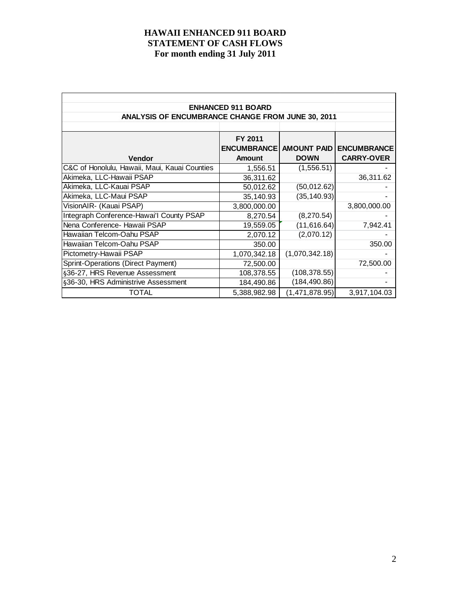|                                                   | <b>ENHANCED 911 BOARD</b>      |                |                    |
|---------------------------------------------------|--------------------------------|----------------|--------------------|
| ANALYSIS OF ENCUMBRANCE CHANGE FROM JUNE 30, 2011 |                                |                |                    |
|                                                   |                                |                |                    |
|                                                   | FY 2011                        |                |                    |
|                                                   | <b>ENCUMBRANCE AMOUNT PAID</b> |                | <b>ENCUMBRANCE</b> |
| Vendor                                            | <b>Amount</b>                  | <b>DOWN</b>    | <b>CARRY-OVER</b>  |
| C&C of Honolulu, Hawaii, Maui, Kauai Counties     | 1,556.51                       | (1,556.51)     |                    |
| Akimeka, LLC-Hawaii PSAP                          | 36,311.62                      |                | 36,311.62          |
| Akimeka, LLC-Kauai PSAP                           | 50,012.62                      |                |                    |
| Akimeka, LLC-Maui PSAP                            | 35,140.93                      | (35, 140.93)   |                    |
| VisionAIR- (Kauai PSAP)                           | 3,800,000.00                   |                | 3,800,000.00       |
| Integraph Conference-Hawai'l County PSAP          | 8,270.54                       | (8, 270.54)    |                    |
| Nena Conference- Hawaii PSAP                      | 19,559.05                      | (11, 616.64)   | 7,942.41           |
| Hawaiian Telcom-Oahu PSAP                         | 2,070.12                       | (2,070.12)     |                    |
| Hawaiian Telcom-Oahu PSAP                         | 350.00                         |                | 350.00             |
| Pictometry-Hawaii PSAP                            | 1,070,342.18                   | (1,070,342.18) |                    |
| Sprint-Operations (Direct Payment)                | 72,500.00                      |                | 72,500.00          |
| §36-27, HRS Revenue Assessment                    | 108,378.55                     | (108, 378.55)  |                    |
| §36-30, HRS Administrive Assessment               | 184,490.86                     | (184, 490.86)  |                    |
| TOTAL                                             | 5,388,982.98                   | (1,471,878.95) | 3,917,104.03       |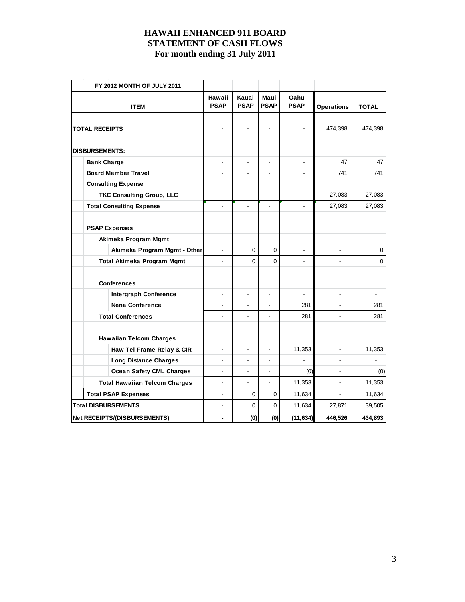| FY 2012 MONTH OF JULY 2011           |                          |                      |                          |                          |                   |                |
|--------------------------------------|--------------------------|----------------------|--------------------------|--------------------------|-------------------|----------------|
| <b>ITEM</b>                          | Hawaii<br><b>PSAP</b>    | Kauai<br><b>PSAP</b> | Maui<br><b>PSAP</b>      | Oahu<br><b>PSAP</b>      | <b>Operations</b> | <b>TOTAL</b>   |
| <b>TOTAL RECEIPTS</b>                |                          |                      |                          |                          | 474,398           | 474,398        |
| <b>DISBURSEMENTS:</b>                |                          |                      |                          |                          |                   |                |
| <b>Bank Charge</b>                   |                          |                      |                          |                          | 47                | 47             |
| <b>Board Member Travel</b>           |                          |                      |                          |                          | 741               | 741            |
| <b>Consulting Expense</b>            |                          |                      |                          |                          |                   |                |
| <b>TKC Consulting Group, LLC</b>     | $\blacksquare$           |                      | $\blacksquare$           | $\overline{a}$           | 27,083            | 27,083         |
| <b>Total Consulting Expense</b>      | $\overline{a}$           | $\overline{a}$       | ä,                       | $\overline{a}$           | 27,083            | 27,083         |
| <b>PSAP Expenses</b>                 |                          |                      |                          |                          |                   |                |
| Akimeka Program Mgmt                 |                          |                      |                          |                          |                   |                |
| Akimeka Program Mgmt - Other         | ÷,                       | $\mathsf 0$          | $\mathbf 0$              | $\overline{\phantom{a}}$ |                   | $\pmb{0}$      |
| <b>Total Akimeka Program Mgmt</b>    | ÷.                       | $\Omega$             | $\Omega$                 | $\blacksquare$           | $\blacksquare$    | $\mathbf 0$    |
| <b>Conferences</b>                   |                          |                      |                          |                          |                   |                |
| <b>Intergraph Conference</b>         | $\overline{\phantom{a}}$ | $\blacksquare$       | $\overline{a}$           | $\blacksquare$           | $\blacksquare$    | $\blacksquare$ |
| <b>Nena Conference</b>               |                          |                      |                          | 281                      |                   | 281            |
| <b>Total Conferences</b>             | $\blacksquare$           | ä,                   | $\overline{\phantom{a}}$ | 281                      | $\blacksquare$    | 281            |
| <b>Hawaiian Telcom Charges</b>       |                          |                      |                          |                          |                   |                |
| Haw Tel Frame Relay & CIR            | ä,                       | ä,                   | $\blacksquare$           | 11,353                   |                   | 11,353         |
| <b>Long Distance Charges</b>         |                          |                      |                          |                          |                   |                |
| <b>Ocean Safety CML Charges</b>      |                          |                      |                          | (0)                      |                   | (0)            |
| <b>Total Hawaiian Telcom Charges</b> | ÷                        | L.                   | $\overline{a}$           | 11,353                   |                   | 11,353         |
| <b>Total PSAP Expenses</b>           | $\blacksquare$           | 0                    | 0                        | 11,634                   | $\blacksquare$    | 11,634         |
| <b>Total DISBURSEMENTS</b>           | ä,                       | 0                    | 0                        | 11,634                   | 27,871            | 39,505         |
| <b>Net RECEIPTS/(DISBURSEMENTS)</b>  | $\blacksquare$           | (0)                  | (0)                      | (11, 634)                | 446,526           | 434,893        |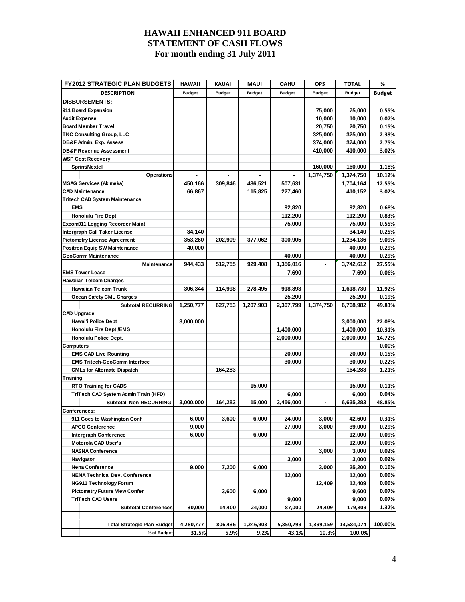| <b>DESCRIPTION</b><br><b>Budget</b><br><b>Budget</b><br><b>Budget</b><br><b>Budget</b><br><b>Budget</b><br><b>Budget</b><br><b>Budget</b><br><b>DISBURSEMENTS:</b><br>0.55%<br>911 Board Expansion<br>75,000<br>75,000<br>0.07%<br>10,000<br>10,000<br><b>Audit Expense</b><br><b>Board Member Travel</b><br>20,750<br>20,750<br>0.15%<br><b>TKC Consulting Group, LLC</b><br>325,000<br>325,000<br>2.39%<br>374,000<br>374,000<br>2.75%<br>DB&F Admin. Exp. Assess<br><b>DB&amp;F Revenue Assessment</b><br>410,000<br>410,000<br>3.02%<br><b>WSP Cost Recovery</b><br>160,000<br>160,000<br>1.18%<br>Sprint/Nextel<br>10.12%<br>1,374,750<br>Operations<br>1,374,750<br>436,521<br>507,631<br><b>MSAG Services (Akimeka)</b><br>450,166<br>309,846<br>1,704,164<br>12.55%<br><b>CAD Maintenance</b><br>3.02%<br>66,867<br>115,825<br>227,460<br>410,152<br><b>Tritech CAD System Maintenance</b><br><b>EMS</b><br>0.68%<br>92,820<br>92,820<br>112,200<br>112,200<br>0.83%<br><b>Honolulu Fire Dept.</b><br>75,000<br>0.55%<br><b>Excom911 Logging Recorder Maint</b><br>75,000<br>0.25%<br>Intergraph Call Taker License<br>34,140<br>34,140<br>9.09%<br><b>Pictometry License Agreement</b><br>202,909<br>377,062<br>1,234,136<br>353,260<br>300,905<br>0.29%<br><b>Positron Equip SW Maintenance</b><br>40,000<br>40,000<br>0.29%<br><b>GeoComm Maintenance</b><br>40,000<br>40,000<br>27.55%<br>512,755<br>929,408<br>1,356,016<br>3,742,612<br><b>Maintenance</b><br>944,433<br>0.06%<br><b>EMS Tower Lease</b><br>7,690<br>7,690<br><b>Hawaiian Telcom Charges</b><br>306,344<br>114,998<br>278,495<br>11.92%<br><b>Hawaiian Telcom Trunk</b><br>918,893<br>1,618,730<br>0.19%<br><b>Ocean Safety CML Charges</b><br>25,200<br>25,200<br>2,307,799<br>49.83%<br><b>Subtotal RECURRING</b><br>627,753<br>1,207,903<br>1,374,750<br>6,768,982<br>1,250,777<br><b>CAD Upgrade</b><br>22.08%<br>Hawai'i Police Dept<br>3,000,000<br>3,000,000<br>10.31%<br>1,400,000<br><b>Honolulu Fire Dept./EMS</b><br>1,400,000<br>Honolulu Police Dept.<br>2,000,000<br>14.72%<br>2,000,000<br><b>Computers</b><br>0.00%<br>0.15%<br><b>EMS CAD Live Rounting</b><br>20,000<br>20,000<br><b>EMS Tritech-GeoComm Interface</b><br>30,000<br>30,000<br>0.22%<br>1.21%<br>164,283<br>164,283<br><b>CMLs for Alternate Dispatch</b><br>Training<br>15,000<br>15,000<br>0.11%<br><b>RTO Training for CADS</b><br>0.04%<br>6,000<br>6,000<br>TriTech CAD System Admin Train (HFD)<br>3,456,000<br>48.85%<br>Subtotal Non-RECURRING<br>3,000,000<br>164,283<br>6,635,283<br>15,000<br>Conferences:<br>6,000<br>24,000<br>0.31%<br>6,000<br>3,600<br>3,000<br>42,600<br>911 Goes to Washington Conf<br>0.29%<br>9,000<br>27,000<br>3,000<br>39,000<br><b>APCO Conference</b><br>0.09%<br>6,000<br>6,000<br>12,000<br>Intergraph Conference<br>Motorola CAD User's<br>12,000<br>12,000<br>0.09%<br>0.02%<br>3,000<br><b>NASNA Conference</b><br>3,000<br>0.02%<br>Navigator<br>3,000<br>3,000<br>9,000<br>0.19%<br><b>Nena Conference</b><br>7,200<br>6,000<br>3,000<br>25,200<br><b>NENA Technical Dev. Conference</b><br>12,000<br>12,000<br>0.09%<br><b>NG911 Technology Forum</b><br>12,409<br>0.09%<br>12,409<br><b>Pictometry Future View Confer</b><br>9,600<br>0.07%<br>3,600<br>6,000<br><b>TriTech CAD Users</b><br>0.07%<br>9,000<br>9,000<br><b>Subtotal Conferences</b><br>30,000<br>24,000<br>87,000<br>24,409<br>1.32%<br>14,400<br>179,809<br><b>Total Strategic Plan Budget</b><br>4,280,777<br>1,246,903<br>5,850,799<br>1,399,159<br>100.00%<br>806,436<br>13,584,074 | <b>FY2012 STRATEGIC PLAN BUDGETS</b> | <b>HAWAII</b> | KAUAI | MAUI | <b>OAHU</b> | OPS   | ΤΟΤΑL  | % |
|--------------------------------------------------------------------------------------------------------------------------------------------------------------------------------------------------------------------------------------------------------------------------------------------------------------------------------------------------------------------------------------------------------------------------------------------------------------------------------------------------------------------------------------------------------------------------------------------------------------------------------------------------------------------------------------------------------------------------------------------------------------------------------------------------------------------------------------------------------------------------------------------------------------------------------------------------------------------------------------------------------------------------------------------------------------------------------------------------------------------------------------------------------------------------------------------------------------------------------------------------------------------------------------------------------------------------------------------------------------------------------------------------------------------------------------------------------------------------------------------------------------------------------------------------------------------------------------------------------------------------------------------------------------------------------------------------------------------------------------------------------------------------------------------------------------------------------------------------------------------------------------------------------------------------------------------------------------------------------------------------------------------------------------------------------------------------------------------------------------------------------------------------------------------------------------------------------------------------------------------------------------------------------------------------------------------------------------------------------------------------------------------------------------------------------------------------------------------------------------------------------------------------------------------------------------------------------------------------------------------------------------------------------------------------------------------------------------------------------------------------------------------------------------------------------------------------------------------------------------------------------------------------------------------------------------------------------------------------------------------------------------------------------------------------------------------------------------------------------------------------------------------------------------------------------------------------------------------------------------------------------------------------------------------------------------------------------------------------------------------------------------------------------------------------------------------------------------------------------------------------------------------------------------------------------------------------|--------------------------------------|---------------|-------|------|-------------|-------|--------|---|
|                                                                                                                                                                                                                                                                                                                                                                                                                                                                                                                                                                                                                                                                                                                                                                                                                                                                                                                                                                                                                                                                                                                                                                                                                                                                                                                                                                                                                                                                                                                                                                                                                                                                                                                                                                                                                                                                                                                                                                                                                                                                                                                                                                                                                                                                                                                                                                                                                                                                                                                                                                                                                                                                                                                                                                                                                                                                                                                                                                                                                                                                                                                                                                                                                                                                                                                                                                                                                                                                                                                                                                          |                                      |               |       |      |             |       |        |   |
|                                                                                                                                                                                                                                                                                                                                                                                                                                                                                                                                                                                                                                                                                                                                                                                                                                                                                                                                                                                                                                                                                                                                                                                                                                                                                                                                                                                                                                                                                                                                                                                                                                                                                                                                                                                                                                                                                                                                                                                                                                                                                                                                                                                                                                                                                                                                                                                                                                                                                                                                                                                                                                                                                                                                                                                                                                                                                                                                                                                                                                                                                                                                                                                                                                                                                                                                                                                                                                                                                                                                                                          |                                      |               |       |      |             |       |        |   |
|                                                                                                                                                                                                                                                                                                                                                                                                                                                                                                                                                                                                                                                                                                                                                                                                                                                                                                                                                                                                                                                                                                                                                                                                                                                                                                                                                                                                                                                                                                                                                                                                                                                                                                                                                                                                                                                                                                                                                                                                                                                                                                                                                                                                                                                                                                                                                                                                                                                                                                                                                                                                                                                                                                                                                                                                                                                                                                                                                                                                                                                                                                                                                                                                                                                                                                                                                                                                                                                                                                                                                                          |                                      |               |       |      |             |       |        |   |
|                                                                                                                                                                                                                                                                                                                                                                                                                                                                                                                                                                                                                                                                                                                                                                                                                                                                                                                                                                                                                                                                                                                                                                                                                                                                                                                                                                                                                                                                                                                                                                                                                                                                                                                                                                                                                                                                                                                                                                                                                                                                                                                                                                                                                                                                                                                                                                                                                                                                                                                                                                                                                                                                                                                                                                                                                                                                                                                                                                                                                                                                                                                                                                                                                                                                                                                                                                                                                                                                                                                                                                          |                                      |               |       |      |             |       |        |   |
|                                                                                                                                                                                                                                                                                                                                                                                                                                                                                                                                                                                                                                                                                                                                                                                                                                                                                                                                                                                                                                                                                                                                                                                                                                                                                                                                                                                                                                                                                                                                                                                                                                                                                                                                                                                                                                                                                                                                                                                                                                                                                                                                                                                                                                                                                                                                                                                                                                                                                                                                                                                                                                                                                                                                                                                                                                                                                                                                                                                                                                                                                                                                                                                                                                                                                                                                                                                                                                                                                                                                                                          |                                      |               |       |      |             |       |        |   |
|                                                                                                                                                                                                                                                                                                                                                                                                                                                                                                                                                                                                                                                                                                                                                                                                                                                                                                                                                                                                                                                                                                                                                                                                                                                                                                                                                                                                                                                                                                                                                                                                                                                                                                                                                                                                                                                                                                                                                                                                                                                                                                                                                                                                                                                                                                                                                                                                                                                                                                                                                                                                                                                                                                                                                                                                                                                                                                                                                                                                                                                                                                                                                                                                                                                                                                                                                                                                                                                                                                                                                                          |                                      |               |       |      |             |       |        |   |
|                                                                                                                                                                                                                                                                                                                                                                                                                                                                                                                                                                                                                                                                                                                                                                                                                                                                                                                                                                                                                                                                                                                                                                                                                                                                                                                                                                                                                                                                                                                                                                                                                                                                                                                                                                                                                                                                                                                                                                                                                                                                                                                                                                                                                                                                                                                                                                                                                                                                                                                                                                                                                                                                                                                                                                                                                                                                                                                                                                                                                                                                                                                                                                                                                                                                                                                                                                                                                                                                                                                                                                          |                                      |               |       |      |             |       |        |   |
|                                                                                                                                                                                                                                                                                                                                                                                                                                                                                                                                                                                                                                                                                                                                                                                                                                                                                                                                                                                                                                                                                                                                                                                                                                                                                                                                                                                                                                                                                                                                                                                                                                                                                                                                                                                                                                                                                                                                                                                                                                                                                                                                                                                                                                                                                                                                                                                                                                                                                                                                                                                                                                                                                                                                                                                                                                                                                                                                                                                                                                                                                                                                                                                                                                                                                                                                                                                                                                                                                                                                                                          |                                      |               |       |      |             |       |        |   |
|                                                                                                                                                                                                                                                                                                                                                                                                                                                                                                                                                                                                                                                                                                                                                                                                                                                                                                                                                                                                                                                                                                                                                                                                                                                                                                                                                                                                                                                                                                                                                                                                                                                                                                                                                                                                                                                                                                                                                                                                                                                                                                                                                                                                                                                                                                                                                                                                                                                                                                                                                                                                                                                                                                                                                                                                                                                                                                                                                                                                                                                                                                                                                                                                                                                                                                                                                                                                                                                                                                                                                                          |                                      |               |       |      |             |       |        |   |
|                                                                                                                                                                                                                                                                                                                                                                                                                                                                                                                                                                                                                                                                                                                                                                                                                                                                                                                                                                                                                                                                                                                                                                                                                                                                                                                                                                                                                                                                                                                                                                                                                                                                                                                                                                                                                                                                                                                                                                                                                                                                                                                                                                                                                                                                                                                                                                                                                                                                                                                                                                                                                                                                                                                                                                                                                                                                                                                                                                                                                                                                                                                                                                                                                                                                                                                                                                                                                                                                                                                                                                          |                                      |               |       |      |             |       |        |   |
|                                                                                                                                                                                                                                                                                                                                                                                                                                                                                                                                                                                                                                                                                                                                                                                                                                                                                                                                                                                                                                                                                                                                                                                                                                                                                                                                                                                                                                                                                                                                                                                                                                                                                                                                                                                                                                                                                                                                                                                                                                                                                                                                                                                                                                                                                                                                                                                                                                                                                                                                                                                                                                                                                                                                                                                                                                                                                                                                                                                                                                                                                                                                                                                                                                                                                                                                                                                                                                                                                                                                                                          |                                      |               |       |      |             |       |        |   |
|                                                                                                                                                                                                                                                                                                                                                                                                                                                                                                                                                                                                                                                                                                                                                                                                                                                                                                                                                                                                                                                                                                                                                                                                                                                                                                                                                                                                                                                                                                                                                                                                                                                                                                                                                                                                                                                                                                                                                                                                                                                                                                                                                                                                                                                                                                                                                                                                                                                                                                                                                                                                                                                                                                                                                                                                                                                                                                                                                                                                                                                                                                                                                                                                                                                                                                                                                                                                                                                                                                                                                                          |                                      |               |       |      |             |       |        |   |
|                                                                                                                                                                                                                                                                                                                                                                                                                                                                                                                                                                                                                                                                                                                                                                                                                                                                                                                                                                                                                                                                                                                                                                                                                                                                                                                                                                                                                                                                                                                                                                                                                                                                                                                                                                                                                                                                                                                                                                                                                                                                                                                                                                                                                                                                                                                                                                                                                                                                                                                                                                                                                                                                                                                                                                                                                                                                                                                                                                                                                                                                                                                                                                                                                                                                                                                                                                                                                                                                                                                                                                          |                                      |               |       |      |             |       |        |   |
|                                                                                                                                                                                                                                                                                                                                                                                                                                                                                                                                                                                                                                                                                                                                                                                                                                                                                                                                                                                                                                                                                                                                                                                                                                                                                                                                                                                                                                                                                                                                                                                                                                                                                                                                                                                                                                                                                                                                                                                                                                                                                                                                                                                                                                                                                                                                                                                                                                                                                                                                                                                                                                                                                                                                                                                                                                                                                                                                                                                                                                                                                                                                                                                                                                                                                                                                                                                                                                                                                                                                                                          |                                      |               |       |      |             |       |        |   |
|                                                                                                                                                                                                                                                                                                                                                                                                                                                                                                                                                                                                                                                                                                                                                                                                                                                                                                                                                                                                                                                                                                                                                                                                                                                                                                                                                                                                                                                                                                                                                                                                                                                                                                                                                                                                                                                                                                                                                                                                                                                                                                                                                                                                                                                                                                                                                                                                                                                                                                                                                                                                                                                                                                                                                                                                                                                                                                                                                                                                                                                                                                                                                                                                                                                                                                                                                                                                                                                                                                                                                                          |                                      |               |       |      |             |       |        |   |
|                                                                                                                                                                                                                                                                                                                                                                                                                                                                                                                                                                                                                                                                                                                                                                                                                                                                                                                                                                                                                                                                                                                                                                                                                                                                                                                                                                                                                                                                                                                                                                                                                                                                                                                                                                                                                                                                                                                                                                                                                                                                                                                                                                                                                                                                                                                                                                                                                                                                                                                                                                                                                                                                                                                                                                                                                                                                                                                                                                                                                                                                                                                                                                                                                                                                                                                                                                                                                                                                                                                                                                          |                                      |               |       |      |             |       |        |   |
|                                                                                                                                                                                                                                                                                                                                                                                                                                                                                                                                                                                                                                                                                                                                                                                                                                                                                                                                                                                                                                                                                                                                                                                                                                                                                                                                                                                                                                                                                                                                                                                                                                                                                                                                                                                                                                                                                                                                                                                                                                                                                                                                                                                                                                                                                                                                                                                                                                                                                                                                                                                                                                                                                                                                                                                                                                                                                                                                                                                                                                                                                                                                                                                                                                                                                                                                                                                                                                                                                                                                                                          |                                      |               |       |      |             |       |        |   |
|                                                                                                                                                                                                                                                                                                                                                                                                                                                                                                                                                                                                                                                                                                                                                                                                                                                                                                                                                                                                                                                                                                                                                                                                                                                                                                                                                                                                                                                                                                                                                                                                                                                                                                                                                                                                                                                                                                                                                                                                                                                                                                                                                                                                                                                                                                                                                                                                                                                                                                                                                                                                                                                                                                                                                                                                                                                                                                                                                                                                                                                                                                                                                                                                                                                                                                                                                                                                                                                                                                                                                                          |                                      |               |       |      |             |       |        |   |
|                                                                                                                                                                                                                                                                                                                                                                                                                                                                                                                                                                                                                                                                                                                                                                                                                                                                                                                                                                                                                                                                                                                                                                                                                                                                                                                                                                                                                                                                                                                                                                                                                                                                                                                                                                                                                                                                                                                                                                                                                                                                                                                                                                                                                                                                                                                                                                                                                                                                                                                                                                                                                                                                                                                                                                                                                                                                                                                                                                                                                                                                                                                                                                                                                                                                                                                                                                                                                                                                                                                                                                          |                                      |               |       |      |             |       |        |   |
|                                                                                                                                                                                                                                                                                                                                                                                                                                                                                                                                                                                                                                                                                                                                                                                                                                                                                                                                                                                                                                                                                                                                                                                                                                                                                                                                                                                                                                                                                                                                                                                                                                                                                                                                                                                                                                                                                                                                                                                                                                                                                                                                                                                                                                                                                                                                                                                                                                                                                                                                                                                                                                                                                                                                                                                                                                                                                                                                                                                                                                                                                                                                                                                                                                                                                                                                                                                                                                                                                                                                                                          |                                      |               |       |      |             |       |        |   |
|                                                                                                                                                                                                                                                                                                                                                                                                                                                                                                                                                                                                                                                                                                                                                                                                                                                                                                                                                                                                                                                                                                                                                                                                                                                                                                                                                                                                                                                                                                                                                                                                                                                                                                                                                                                                                                                                                                                                                                                                                                                                                                                                                                                                                                                                                                                                                                                                                                                                                                                                                                                                                                                                                                                                                                                                                                                                                                                                                                                                                                                                                                                                                                                                                                                                                                                                                                                                                                                                                                                                                                          |                                      |               |       |      |             |       |        |   |
|                                                                                                                                                                                                                                                                                                                                                                                                                                                                                                                                                                                                                                                                                                                                                                                                                                                                                                                                                                                                                                                                                                                                                                                                                                                                                                                                                                                                                                                                                                                                                                                                                                                                                                                                                                                                                                                                                                                                                                                                                                                                                                                                                                                                                                                                                                                                                                                                                                                                                                                                                                                                                                                                                                                                                                                                                                                                                                                                                                                                                                                                                                                                                                                                                                                                                                                                                                                                                                                                                                                                                                          |                                      |               |       |      |             |       |        |   |
|                                                                                                                                                                                                                                                                                                                                                                                                                                                                                                                                                                                                                                                                                                                                                                                                                                                                                                                                                                                                                                                                                                                                                                                                                                                                                                                                                                                                                                                                                                                                                                                                                                                                                                                                                                                                                                                                                                                                                                                                                                                                                                                                                                                                                                                                                                                                                                                                                                                                                                                                                                                                                                                                                                                                                                                                                                                                                                                                                                                                                                                                                                                                                                                                                                                                                                                                                                                                                                                                                                                                                                          |                                      |               |       |      |             |       |        |   |
|                                                                                                                                                                                                                                                                                                                                                                                                                                                                                                                                                                                                                                                                                                                                                                                                                                                                                                                                                                                                                                                                                                                                                                                                                                                                                                                                                                                                                                                                                                                                                                                                                                                                                                                                                                                                                                                                                                                                                                                                                                                                                                                                                                                                                                                                                                                                                                                                                                                                                                                                                                                                                                                                                                                                                                                                                                                                                                                                                                                                                                                                                                                                                                                                                                                                                                                                                                                                                                                                                                                                                                          |                                      |               |       |      |             |       |        |   |
|                                                                                                                                                                                                                                                                                                                                                                                                                                                                                                                                                                                                                                                                                                                                                                                                                                                                                                                                                                                                                                                                                                                                                                                                                                                                                                                                                                                                                                                                                                                                                                                                                                                                                                                                                                                                                                                                                                                                                                                                                                                                                                                                                                                                                                                                                                                                                                                                                                                                                                                                                                                                                                                                                                                                                                                                                                                                                                                                                                                                                                                                                                                                                                                                                                                                                                                                                                                                                                                                                                                                                                          |                                      |               |       |      |             |       |        |   |
|                                                                                                                                                                                                                                                                                                                                                                                                                                                                                                                                                                                                                                                                                                                                                                                                                                                                                                                                                                                                                                                                                                                                                                                                                                                                                                                                                                                                                                                                                                                                                                                                                                                                                                                                                                                                                                                                                                                                                                                                                                                                                                                                                                                                                                                                                                                                                                                                                                                                                                                                                                                                                                                                                                                                                                                                                                                                                                                                                                                                                                                                                                                                                                                                                                                                                                                                                                                                                                                                                                                                                                          |                                      |               |       |      |             |       |        |   |
|                                                                                                                                                                                                                                                                                                                                                                                                                                                                                                                                                                                                                                                                                                                                                                                                                                                                                                                                                                                                                                                                                                                                                                                                                                                                                                                                                                                                                                                                                                                                                                                                                                                                                                                                                                                                                                                                                                                                                                                                                                                                                                                                                                                                                                                                                                                                                                                                                                                                                                                                                                                                                                                                                                                                                                                                                                                                                                                                                                                                                                                                                                                                                                                                                                                                                                                                                                                                                                                                                                                                                                          |                                      |               |       |      |             |       |        |   |
|                                                                                                                                                                                                                                                                                                                                                                                                                                                                                                                                                                                                                                                                                                                                                                                                                                                                                                                                                                                                                                                                                                                                                                                                                                                                                                                                                                                                                                                                                                                                                                                                                                                                                                                                                                                                                                                                                                                                                                                                                                                                                                                                                                                                                                                                                                                                                                                                                                                                                                                                                                                                                                                                                                                                                                                                                                                                                                                                                                                                                                                                                                                                                                                                                                                                                                                                                                                                                                                                                                                                                                          |                                      |               |       |      |             |       |        |   |
|                                                                                                                                                                                                                                                                                                                                                                                                                                                                                                                                                                                                                                                                                                                                                                                                                                                                                                                                                                                                                                                                                                                                                                                                                                                                                                                                                                                                                                                                                                                                                                                                                                                                                                                                                                                                                                                                                                                                                                                                                                                                                                                                                                                                                                                                                                                                                                                                                                                                                                                                                                                                                                                                                                                                                                                                                                                                                                                                                                                                                                                                                                                                                                                                                                                                                                                                                                                                                                                                                                                                                                          |                                      |               |       |      |             |       |        |   |
|                                                                                                                                                                                                                                                                                                                                                                                                                                                                                                                                                                                                                                                                                                                                                                                                                                                                                                                                                                                                                                                                                                                                                                                                                                                                                                                                                                                                                                                                                                                                                                                                                                                                                                                                                                                                                                                                                                                                                                                                                                                                                                                                                                                                                                                                                                                                                                                                                                                                                                                                                                                                                                                                                                                                                                                                                                                                                                                                                                                                                                                                                                                                                                                                                                                                                                                                                                                                                                                                                                                                                                          |                                      |               |       |      |             |       |        |   |
|                                                                                                                                                                                                                                                                                                                                                                                                                                                                                                                                                                                                                                                                                                                                                                                                                                                                                                                                                                                                                                                                                                                                                                                                                                                                                                                                                                                                                                                                                                                                                                                                                                                                                                                                                                                                                                                                                                                                                                                                                                                                                                                                                                                                                                                                                                                                                                                                                                                                                                                                                                                                                                                                                                                                                                                                                                                                                                                                                                                                                                                                                                                                                                                                                                                                                                                                                                                                                                                                                                                                                                          |                                      |               |       |      |             |       |        |   |
|                                                                                                                                                                                                                                                                                                                                                                                                                                                                                                                                                                                                                                                                                                                                                                                                                                                                                                                                                                                                                                                                                                                                                                                                                                                                                                                                                                                                                                                                                                                                                                                                                                                                                                                                                                                                                                                                                                                                                                                                                                                                                                                                                                                                                                                                                                                                                                                                                                                                                                                                                                                                                                                                                                                                                                                                                                                                                                                                                                                                                                                                                                                                                                                                                                                                                                                                                                                                                                                                                                                                                                          |                                      |               |       |      |             |       |        |   |
|                                                                                                                                                                                                                                                                                                                                                                                                                                                                                                                                                                                                                                                                                                                                                                                                                                                                                                                                                                                                                                                                                                                                                                                                                                                                                                                                                                                                                                                                                                                                                                                                                                                                                                                                                                                                                                                                                                                                                                                                                                                                                                                                                                                                                                                                                                                                                                                                                                                                                                                                                                                                                                                                                                                                                                                                                                                                                                                                                                                                                                                                                                                                                                                                                                                                                                                                                                                                                                                                                                                                                                          |                                      |               |       |      |             |       |        |   |
|                                                                                                                                                                                                                                                                                                                                                                                                                                                                                                                                                                                                                                                                                                                                                                                                                                                                                                                                                                                                                                                                                                                                                                                                                                                                                                                                                                                                                                                                                                                                                                                                                                                                                                                                                                                                                                                                                                                                                                                                                                                                                                                                                                                                                                                                                                                                                                                                                                                                                                                                                                                                                                                                                                                                                                                                                                                                                                                                                                                                                                                                                                                                                                                                                                                                                                                                                                                                                                                                                                                                                                          |                                      |               |       |      |             |       |        |   |
|                                                                                                                                                                                                                                                                                                                                                                                                                                                                                                                                                                                                                                                                                                                                                                                                                                                                                                                                                                                                                                                                                                                                                                                                                                                                                                                                                                                                                                                                                                                                                                                                                                                                                                                                                                                                                                                                                                                                                                                                                                                                                                                                                                                                                                                                                                                                                                                                                                                                                                                                                                                                                                                                                                                                                                                                                                                                                                                                                                                                                                                                                                                                                                                                                                                                                                                                                                                                                                                                                                                                                                          |                                      |               |       |      |             |       |        |   |
|                                                                                                                                                                                                                                                                                                                                                                                                                                                                                                                                                                                                                                                                                                                                                                                                                                                                                                                                                                                                                                                                                                                                                                                                                                                                                                                                                                                                                                                                                                                                                                                                                                                                                                                                                                                                                                                                                                                                                                                                                                                                                                                                                                                                                                                                                                                                                                                                                                                                                                                                                                                                                                                                                                                                                                                                                                                                                                                                                                                                                                                                                                                                                                                                                                                                                                                                                                                                                                                                                                                                                                          |                                      |               |       |      |             |       |        |   |
|                                                                                                                                                                                                                                                                                                                                                                                                                                                                                                                                                                                                                                                                                                                                                                                                                                                                                                                                                                                                                                                                                                                                                                                                                                                                                                                                                                                                                                                                                                                                                                                                                                                                                                                                                                                                                                                                                                                                                                                                                                                                                                                                                                                                                                                                                                                                                                                                                                                                                                                                                                                                                                                                                                                                                                                                                                                                                                                                                                                                                                                                                                                                                                                                                                                                                                                                                                                                                                                                                                                                                                          |                                      |               |       |      |             |       |        |   |
|                                                                                                                                                                                                                                                                                                                                                                                                                                                                                                                                                                                                                                                                                                                                                                                                                                                                                                                                                                                                                                                                                                                                                                                                                                                                                                                                                                                                                                                                                                                                                                                                                                                                                                                                                                                                                                                                                                                                                                                                                                                                                                                                                                                                                                                                                                                                                                                                                                                                                                                                                                                                                                                                                                                                                                                                                                                                                                                                                                                                                                                                                                                                                                                                                                                                                                                                                                                                                                                                                                                                                                          |                                      |               |       |      |             |       |        |   |
|                                                                                                                                                                                                                                                                                                                                                                                                                                                                                                                                                                                                                                                                                                                                                                                                                                                                                                                                                                                                                                                                                                                                                                                                                                                                                                                                                                                                                                                                                                                                                                                                                                                                                                                                                                                                                                                                                                                                                                                                                                                                                                                                                                                                                                                                                                                                                                                                                                                                                                                                                                                                                                                                                                                                                                                                                                                                                                                                                                                                                                                                                                                                                                                                                                                                                                                                                                                                                                                                                                                                                                          |                                      |               |       |      |             |       |        |   |
|                                                                                                                                                                                                                                                                                                                                                                                                                                                                                                                                                                                                                                                                                                                                                                                                                                                                                                                                                                                                                                                                                                                                                                                                                                                                                                                                                                                                                                                                                                                                                                                                                                                                                                                                                                                                                                                                                                                                                                                                                                                                                                                                                                                                                                                                                                                                                                                                                                                                                                                                                                                                                                                                                                                                                                                                                                                                                                                                                                                                                                                                                                                                                                                                                                                                                                                                                                                                                                                                                                                                                                          |                                      |               |       |      |             |       |        |   |
|                                                                                                                                                                                                                                                                                                                                                                                                                                                                                                                                                                                                                                                                                                                                                                                                                                                                                                                                                                                                                                                                                                                                                                                                                                                                                                                                                                                                                                                                                                                                                                                                                                                                                                                                                                                                                                                                                                                                                                                                                                                                                                                                                                                                                                                                                                                                                                                                                                                                                                                                                                                                                                                                                                                                                                                                                                                                                                                                                                                                                                                                                                                                                                                                                                                                                                                                                                                                                                                                                                                                                                          |                                      |               |       |      |             |       |        |   |
|                                                                                                                                                                                                                                                                                                                                                                                                                                                                                                                                                                                                                                                                                                                                                                                                                                                                                                                                                                                                                                                                                                                                                                                                                                                                                                                                                                                                                                                                                                                                                                                                                                                                                                                                                                                                                                                                                                                                                                                                                                                                                                                                                                                                                                                                                                                                                                                                                                                                                                                                                                                                                                                                                                                                                                                                                                                                                                                                                                                                                                                                                                                                                                                                                                                                                                                                                                                                                                                                                                                                                                          |                                      |               |       |      |             |       |        |   |
|                                                                                                                                                                                                                                                                                                                                                                                                                                                                                                                                                                                                                                                                                                                                                                                                                                                                                                                                                                                                                                                                                                                                                                                                                                                                                                                                                                                                                                                                                                                                                                                                                                                                                                                                                                                                                                                                                                                                                                                                                                                                                                                                                                                                                                                                                                                                                                                                                                                                                                                                                                                                                                                                                                                                                                                                                                                                                                                                                                                                                                                                                                                                                                                                                                                                                                                                                                                                                                                                                                                                                                          |                                      |               |       |      |             |       |        |   |
|                                                                                                                                                                                                                                                                                                                                                                                                                                                                                                                                                                                                                                                                                                                                                                                                                                                                                                                                                                                                                                                                                                                                                                                                                                                                                                                                                                                                                                                                                                                                                                                                                                                                                                                                                                                                                                                                                                                                                                                                                                                                                                                                                                                                                                                                                                                                                                                                                                                                                                                                                                                                                                                                                                                                                                                                                                                                                                                                                                                                                                                                                                                                                                                                                                                                                                                                                                                                                                                                                                                                                                          |                                      |               |       |      |             |       |        |   |
|                                                                                                                                                                                                                                                                                                                                                                                                                                                                                                                                                                                                                                                                                                                                                                                                                                                                                                                                                                                                                                                                                                                                                                                                                                                                                                                                                                                                                                                                                                                                                                                                                                                                                                                                                                                                                                                                                                                                                                                                                                                                                                                                                                                                                                                                                                                                                                                                                                                                                                                                                                                                                                                                                                                                                                                                                                                                                                                                                                                                                                                                                                                                                                                                                                                                                                                                                                                                                                                                                                                                                                          |                                      |               |       |      |             |       |        |   |
|                                                                                                                                                                                                                                                                                                                                                                                                                                                                                                                                                                                                                                                                                                                                                                                                                                                                                                                                                                                                                                                                                                                                                                                                                                                                                                                                                                                                                                                                                                                                                                                                                                                                                                                                                                                                                                                                                                                                                                                                                                                                                                                                                                                                                                                                                                                                                                                                                                                                                                                                                                                                                                                                                                                                                                                                                                                                                                                                                                                                                                                                                                                                                                                                                                                                                                                                                                                                                                                                                                                                                                          |                                      |               |       |      |             |       |        |   |
|                                                                                                                                                                                                                                                                                                                                                                                                                                                                                                                                                                                                                                                                                                                                                                                                                                                                                                                                                                                                                                                                                                                                                                                                                                                                                                                                                                                                                                                                                                                                                                                                                                                                                                                                                                                                                                                                                                                                                                                                                                                                                                                                                                                                                                                                                                                                                                                                                                                                                                                                                                                                                                                                                                                                                                                                                                                                                                                                                                                                                                                                                                                                                                                                                                                                                                                                                                                                                                                                                                                                                                          |                                      |               |       |      |             |       |        |   |
|                                                                                                                                                                                                                                                                                                                                                                                                                                                                                                                                                                                                                                                                                                                                                                                                                                                                                                                                                                                                                                                                                                                                                                                                                                                                                                                                                                                                                                                                                                                                                                                                                                                                                                                                                                                                                                                                                                                                                                                                                                                                                                                                                                                                                                                                                                                                                                                                                                                                                                                                                                                                                                                                                                                                                                                                                                                                                                                                                                                                                                                                                                                                                                                                                                                                                                                                                                                                                                                                                                                                                                          |                                      |               |       |      |             |       |        |   |
|                                                                                                                                                                                                                                                                                                                                                                                                                                                                                                                                                                                                                                                                                                                                                                                                                                                                                                                                                                                                                                                                                                                                                                                                                                                                                                                                                                                                                                                                                                                                                                                                                                                                                                                                                                                                                                                                                                                                                                                                                                                                                                                                                                                                                                                                                                                                                                                                                                                                                                                                                                                                                                                                                                                                                                                                                                                                                                                                                                                                                                                                                                                                                                                                                                                                                                                                                                                                                                                                                                                                                                          |                                      |               |       |      |             |       |        |   |
|                                                                                                                                                                                                                                                                                                                                                                                                                                                                                                                                                                                                                                                                                                                                                                                                                                                                                                                                                                                                                                                                                                                                                                                                                                                                                                                                                                                                                                                                                                                                                                                                                                                                                                                                                                                                                                                                                                                                                                                                                                                                                                                                                                                                                                                                                                                                                                                                                                                                                                                                                                                                                                                                                                                                                                                                                                                                                                                                                                                                                                                                                                                                                                                                                                                                                                                                                                                                                                                                                                                                                                          |                                      |               |       |      |             |       |        |   |
|                                                                                                                                                                                                                                                                                                                                                                                                                                                                                                                                                                                                                                                                                                                                                                                                                                                                                                                                                                                                                                                                                                                                                                                                                                                                                                                                                                                                                                                                                                                                                                                                                                                                                                                                                                                                                                                                                                                                                                                                                                                                                                                                                                                                                                                                                                                                                                                                                                                                                                                                                                                                                                                                                                                                                                                                                                                                                                                                                                                                                                                                                                                                                                                                                                                                                                                                                                                                                                                                                                                                                                          |                                      |               |       |      |             |       |        |   |
|                                                                                                                                                                                                                                                                                                                                                                                                                                                                                                                                                                                                                                                                                                                                                                                                                                                                                                                                                                                                                                                                                                                                                                                                                                                                                                                                                                                                                                                                                                                                                                                                                                                                                                                                                                                                                                                                                                                                                                                                                                                                                                                                                                                                                                                                                                                                                                                                                                                                                                                                                                                                                                                                                                                                                                                                                                                                                                                                                                                                                                                                                                                                                                                                                                                                                                                                                                                                                                                                                                                                                                          |                                      |               |       |      |             |       |        |   |
|                                                                                                                                                                                                                                                                                                                                                                                                                                                                                                                                                                                                                                                                                                                                                                                                                                                                                                                                                                                                                                                                                                                                                                                                                                                                                                                                                                                                                                                                                                                                                                                                                                                                                                                                                                                                                                                                                                                                                                                                                                                                                                                                                                                                                                                                                                                                                                                                                                                                                                                                                                                                                                                                                                                                                                                                                                                                                                                                                                                                                                                                                                                                                                                                                                                                                                                                                                                                                                                                                                                                                                          |                                      |               |       |      |             |       |        |   |
|                                                                                                                                                                                                                                                                                                                                                                                                                                                                                                                                                                                                                                                                                                                                                                                                                                                                                                                                                                                                                                                                                                                                                                                                                                                                                                                                                                                                                                                                                                                                                                                                                                                                                                                                                                                                                                                                                                                                                                                                                                                                                                                                                                                                                                                                                                                                                                                                                                                                                                                                                                                                                                                                                                                                                                                                                                                                                                                                                                                                                                                                                                                                                                                                                                                                                                                                                                                                                                                                                                                                                                          |                                      |               |       |      |             |       |        |   |
|                                                                                                                                                                                                                                                                                                                                                                                                                                                                                                                                                                                                                                                                                                                                                                                                                                                                                                                                                                                                                                                                                                                                                                                                                                                                                                                                                                                                                                                                                                                                                                                                                                                                                                                                                                                                                                                                                                                                                                                                                                                                                                                                                                                                                                                                                                                                                                                                                                                                                                                                                                                                                                                                                                                                                                                                                                                                                                                                                                                                                                                                                                                                                                                                                                                                                                                                                                                                                                                                                                                                                                          | % of Budget                          | 31.5%         | 5.9%  | 9.2% | 43.1%       | 10.3% | 100.0% |   |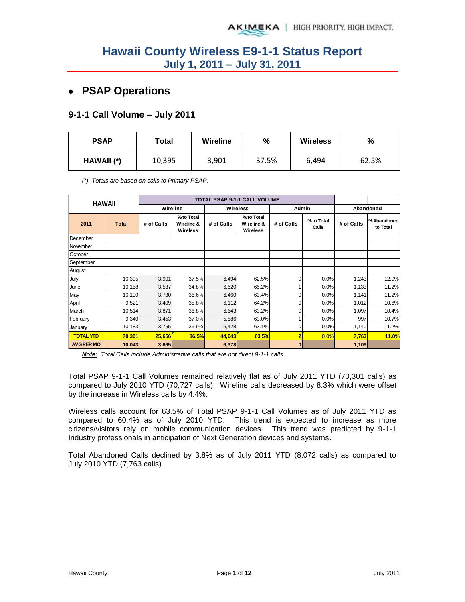# **PSAP Operations**

### **9-1-1 Call Volume – July 2011**

| <b>PSAP</b> | Total  | <b>Wireline</b> | %     | <b>Wireless</b> | %     |
|-------------|--------|-----------------|-------|-----------------|-------|
| HAWAII (*)  | 10,395 | 3,901           | 37.5% | 6,494           | 62.5% |

*(\*) Totals are based on calls to Primary PSAP.* 

| <b>HAWAII</b>     |              |            |                                     | <b>TOTAL PSAP 9-1-1 CALL VOLUME</b> |                                     |              |                    |            |                         |
|-------------------|--------------|------------|-------------------------------------|-------------------------------------|-------------------------------------|--------------|--------------------|------------|-------------------------|
|                   |              | Wireline   |                                     |                                     | <b>Wireless</b>                     | Admin        |                    |            | Abandoned               |
| 2011              | <b>Total</b> | # of Calls | %to Total<br>Wireline &<br>Wireless | # of Calls                          | %to Total<br>Wireline &<br>Wireless | # of Calls   | %to Total<br>Calls | # of Calls | % Abandoned<br>to Total |
| December          |              |            |                                     |                                     |                                     |              |                    |            |                         |
| November          |              |            |                                     |                                     |                                     |              |                    |            |                         |
| October           |              |            |                                     |                                     |                                     |              |                    |            |                         |
| September         |              |            |                                     |                                     |                                     |              |                    |            |                         |
| August            |              |            |                                     |                                     |                                     |              |                    |            |                         |
| July              | 10,395       | 3,901      | 37.5%                               | 6,494                               | 62.5%                               | 0            | 0.0%               | 1,243      | 12.0%                   |
| June              | 10,158       | 3,537      | 34.8%                               | 6,620                               | 65.2%                               |              | 0.0%               | 1,133      | 11.2%                   |
| May               | 10,190       | 3,730      | 36.6%                               | 6,460                               | 63.4%                               | 0            | 0.0%               | 1,141      | 11.2%                   |
| April             | 9,521        | 3,409      | 35.8%                               | 6,112                               | 64.2%                               | 0            | 0.0%               | 1,012      | 10.6%                   |
| March             | 10,514       | 3,871      | 36.8%                               | 6,643                               | 63.2%                               | 0            | 0.0%               | 1,097      | 10.4%                   |
| February          | 9,340        | 3,453      | 37.0%                               | 5,886                               | 63.0%                               |              | 0.0%               | 997        | 10.7%                   |
| January           | 10,183       | 3,755      | 36.9%                               | 6,428                               | 63.1%                               | 0            | 0.0%               | 1,140      | 11.2%                   |
| <b>TOTAL YTD</b>  | 70,301       | 25,656     | <b>36.5%</b>                        | 44,643                              | 63.5%                               | 2            | 0.0%               | 7,763      | 11.0%                   |
| <b>AVG PER MO</b> | 10,043       | 3,665      |                                     | 6,378                               |                                     | $\mathbf{0}$ |                    | 1,109      |                         |

*Note: Total Calls include Administrative calls that are not direct 9-1-1 calls.* 

Total PSAP 9-1-1 Call Volumes remained relatively flat as of July 2011 YTD (70,301 calls) as compared to July 2010 YTD (70,727 calls). Wireline calls decreased by 8.3% which were offset by the increase in Wireless calls by 4.4%.

Wireless calls account for 63.5% of Total PSAP 9-1-1 Call Volumes as of July 2011 YTD as compared to 60.4% as of July 2010 YTD. This trend is expected to increase as more citizens/visitors rely on mobile communication devices. This trend was predicted by 9-1-1 Industry professionals in anticipation of Next Generation devices and systems.

Total Abandoned Calls declined by 3.8% as of July 2011 YTD (8,072 calls) as compared to July 2010 YTD (7,763 calls).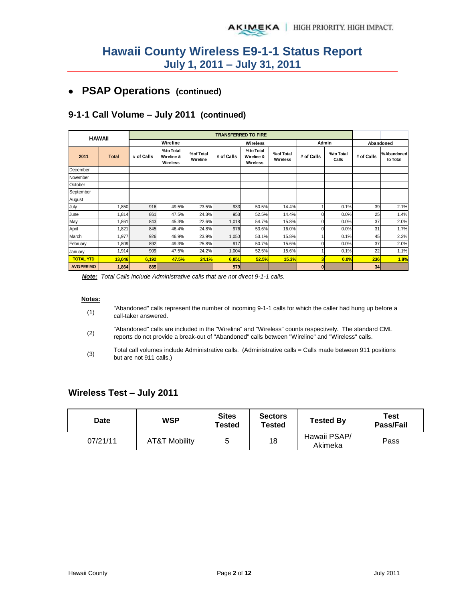## **PSAP Operations (continued)**

### **9-1-1 Call Volume – July 2011 (continued)**

| <b>HAWAII</b>     |              |            |                                     |                        | <b>TRANSFERRED TO FIRE</b> |                                     |                        |            |                    |            |                         |
|-------------------|--------------|------------|-------------------------------------|------------------------|----------------------------|-------------------------------------|------------------------|------------|--------------------|------------|-------------------------|
|                   |              |            | Wireline                            |                        |                            | Wireless                            |                        |            | Admin              |            | Abandoned               |
| 2011              | <b>Total</b> | # of Calls | %to Total<br>Wireline &<br>Wireless | % of Total<br>Wireline | # of Calls                 | %to Total<br>Wireline &<br>Wireless | % of Total<br>Wireless | # of Calls | %to Total<br>Calls | # of Calls | % Abandoned<br>to Total |
| December          |              |            |                                     |                        |                            |                                     |                        |            |                    |            |                         |
| November          |              |            |                                     |                        |                            |                                     |                        |            |                    |            |                         |
| October           |              |            |                                     |                        |                            |                                     |                        |            |                    |            |                         |
| September         |              |            |                                     |                        |                            |                                     |                        |            |                    |            |                         |
| August            |              |            |                                     |                        |                            |                                     |                        |            |                    |            |                         |
| July              | .850         | 916        | 49.5%                               | 23.5%                  | 933                        | 50.5%                               | 14.4%                  |            | 0.1%               | 39         | 2.1%                    |
| June              | .814         | 861        | 47.5%                               | 24.3%                  | 953                        | 52.5%                               | 14.4%                  |            | 0.0%               | 25         | 1.4%                    |
| May               | .861         | 843        | 45.3%                               | 22.6%                  | 1,018                      | 54.7%                               | 15.8%                  |            | 0.0%               | 37         | 2.0%                    |
| April             | ,821         | 845        | 46.4%                               | 24.8%                  | 976                        | 53.6%                               | 16.0%                  |            | 0.0%               | 31         | 1.7%                    |
| March             | 1,977        | 926        | 46.9%                               | 23.9%                  | 1,050                      | 53.1%                               | 15.8%                  |            | 0.1%               | 45         | 2.3%                    |
| February          | ,809         | 892        | 49.3%                               | 25.8%                  | 917                        | 50.7%                               | 15.6%                  | n          | 0.0%               | 37         | 2.0%                    |
| January           | 1,914        | 909        | 47.5%                               | 24.2%                  | 1,004                      | 52.5%                               | 15.6%                  |            | 0.1%               | 22         | 1.1%                    |
| <b>TOTAL YTD</b>  | 13,046       | 6,192      | 47.5%                               | 24.1%                  | 6,851                      | 52.5%                               | <b>15.3%</b>           |            | 0.0%               | 236        | 1.8%                    |
| <b>AVG PER MO</b> | 1,864        | 885        |                                     |                        | 979                        |                                     |                        | $\bf{0}$   |                    | 34         |                         |

*Note: Total Calls include Administrative calls that are not direct 9-1-1 calls.* 

#### **Notes:**

- (1) "Abandoned" calls represent the number of incoming 9-1-1 calls for which the caller had hung up before a call-taker answered.
- (2) "Abandoned" calls are included in the "Wireline" and "Wireless" counts respectively. The standard CML reports do not provide a break-out of "Abandoned" calls between "Wireline" and "Wireless" calls.
- (3) Total call volumes include Administrative calls. (Administrative calls = Calls made between 911 positions but are not 911 calls.)

### **Wireless Test – July 2011**

| <b>Date</b> | WSP           | <b>Sites</b><br>Tested | <b>Sectors</b><br>Tested | <b>Tested By</b>        | Test<br><b>Pass/Fail</b> |
|-------------|---------------|------------------------|--------------------------|-------------------------|--------------------------|
| 07/21/11    | AT&T Mobility | 5                      | 18                       | Hawaii PSAP/<br>Akimeka | Pass                     |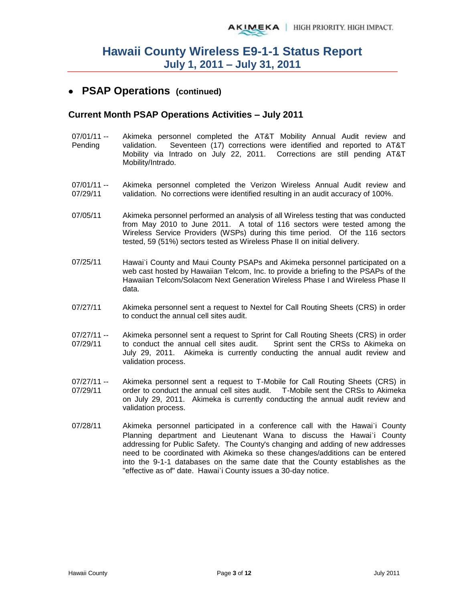## **PSAP Operations (continued)**

### **Current Month PSAP Operations Activities – July 2011**

- 07/01/11 -- Pending Akimeka personnel completed the AT&T Mobility Annual Audit review and validation. Seventeen (17) corrections were identified and reported to AT&T Mobility via Intrado on July 22, 2011. Corrections are still pending AT&T Mobility/Intrado.
- $07/01/11 -$ 07/29/11 Akimeka personnel completed the Verizon Wireless Annual Audit review and validation. No corrections were identified resulting in an audit accuracy of 100%.
- 07/05/11 Akimeka personnel performed an analysis of all Wireless testing that was conducted from May 2010 to June 2011. A total of 116 sectors were tested among the Wireless Service Providers (WSPs) during this time period. Of the 116 sectors tested, 59 (51%) sectors tested as Wireless Phase II on initial delivery.
- 07/25/11 Hawai`i County and Maui County PSAPs and Akimeka personnel participated on a web cast hosted by Hawaiian Telcom, Inc. to provide a briefing to the PSAPs of the Hawaiian Telcom/Solacom Next Generation Wireless Phase I and Wireless Phase II data.
- 07/27/11 Akimeka personnel sent a request to Nextel for Call Routing Sheets (CRS) in order to conduct the annual cell sites audit.
- 07/27/11 -- 07/29/11 Akimeka personnel sent a request to Sprint for Call Routing Sheets (CRS) in order to conduct the annual cell sites audit. Sprint sent the CRSs to Akimeka on July 29, 2011. Akimeka is currently conducting the annual audit review and validation process.
- 07/27/11 -- 07/29/11 Akimeka personnel sent a request to T-Mobile for Call Routing Sheets (CRS) in order to conduct the annual cell sites audit. T-Mobile sent the CRSs to Akimeka on July 29, 2011. Akimeka is currently conducting the annual audit review and validation process.
- 07/28/11 Akimeka personnel participated in a conference call with the Hawai'i County Planning department and Lieutenant Wana to discuss the Hawai`i County addressing for Public Safety. The County's changing and adding of new addresses need to be coordinated with Akimeka so these changes/additions can be entered into the 9-1-1 databases on the same date that the County establishes as the "effective as of" date. Hawai`i County issues a 30-day notice.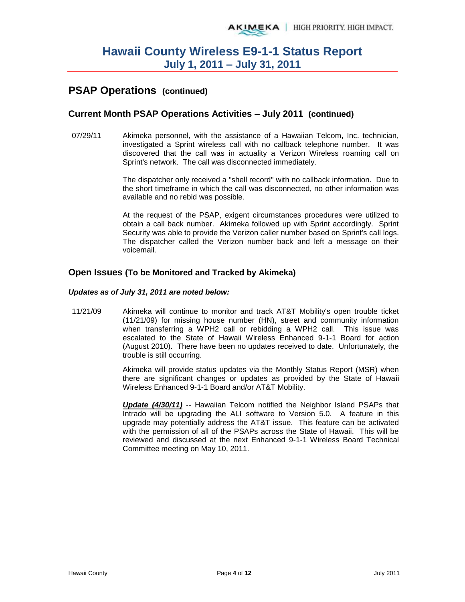## **PSAP Operations (continued)**

### **Current Month PSAP Operations Activities – July 2011 (continued)**

07/29/11 Akimeka personnel, with the assistance of a Hawaiian Telcom, Inc. technician, investigated a Sprint wireless call with no callback telephone number. It was discovered that the call was in actuality a Verizon Wireless roaming call on Sprint's network. The call was disconnected immediately.

> The dispatcher only received a "shell record" with no callback information. Due to the short timeframe in which the call was disconnected, no other information was available and no rebid was possible.

> At the request of the PSAP, exigent circumstances procedures were utilized to obtain a call back number. Akimeka followed up with Sprint accordingly. Sprint Security was able to provide the Verizon caller number based on Sprint's call logs. The dispatcher called the Verizon number back and left a message on their voicemail.

### **Open Issues (To be Monitored and Tracked by Akimeka)**

#### *Updates as of July 31, 2011 are noted below:*

11/21/09 Akimeka will continue to monitor and track AT&T Mobility's open trouble ticket (11/21/09) for missing house number (HN), street and community information when transferring a WPH2 call or rebidding a WPH2 call. This issue was escalated to the State of Hawaii Wireless Enhanced 9-1-1 Board for action (August 2010). There have been no updates received to date. Unfortunately, the trouble is still occurring.

> Akimeka will provide status updates via the Monthly Status Report (MSR) when there are significant changes or updates as provided by the State of Hawaii Wireless Enhanced 9-1-1 Board and/or AT&T Mobility.

> *Update (4/30/11)* -- Hawaiian Telcom notified the Neighbor Island PSAPs that Intrado will be upgrading the ALI software to Version 5.0. A feature in this upgrade may potentially address the AT&T issue. This feature can be activated with the permission of all of the PSAPs across the State of Hawaii. This will be reviewed and discussed at the next Enhanced 9-1-1 Wireless Board Technical Committee meeting on May 10, 2011.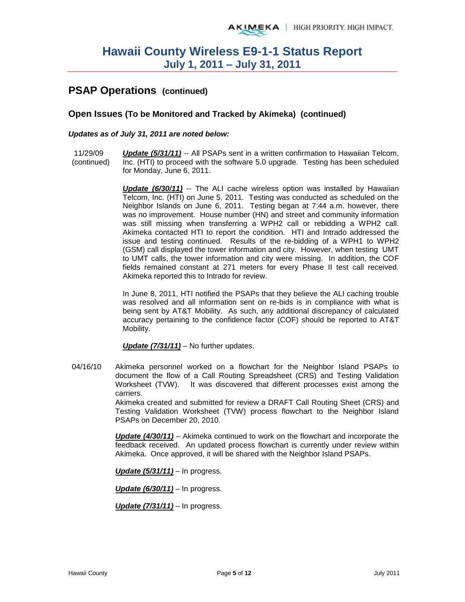## **PSAP Operations (continued)**

### **Open Issues (To be Monitored and Tracked by Akimeka) (continued)**

#### *Updates as of July 31, 2011 are noted below:*

11/29/09 (continued) **Update (5/31/11)** -- All PSAPs sent in a written confirmation to Hawaiian Telcom, Inc. (HTI) to proceed with the software 5.0 upgrade. Testing has been scheduled for Monday, June 6, 2011.

> *Update (6/30/11)* -- The ALI cache wireless option was installed by Hawaiian Telcom, Inc. (HTI) on June 5, 2011. Testing was conducted as scheduled on the Neighbor Islands on June 6, 2011. Testing began at 7:44 a.m. however, there was no improvement. House number (HN) and street and community information was still missing when transferring a WPH2 call or rebidding a WPH2 call. Akimeka contacted HTI to report the condition. HTI and Intrado addressed the issue and testing continued. Results of the re-bidding of a WPH1 to WPH2 (GSM) call displayed the tower information and city. However, when testing UMT to UMT calls, the tower information and city were missing. In addition, the COF fields remained constant at 271 meters for every Phase II test call received. Akimeka reported this to Intrado for review.

> In June 8, 2011, HTI notified the PSAPs that they believe the ALI caching trouble was resolved and all information sent on re-bids is in compliance with what is being sent by AT&T Mobility. As such, any additional discrepancy of calculated accuracy pertaining to the confidence factor (COF) should be reported to AT&T Mobility.

*Update (7/31/11)* – No further updates.

04/16/10 Akimeka personnel worked on a flowchart for the Neighbor Island PSAPs to document the flow of a Call Routing Spreadsheet (CRS) and Testing Validation Worksheet (TVW). It was discovered that different processes exist among the carriers.

> Akimeka created and submitted for review a DRAFT Call Routing Sheet (CRS) and Testing Validation Worksheet (TVW) process flowchart to the Neighbor Island PSAPs on December 20, 2010.

> *Update (4/30/11)* – Akimeka continued to work on the flowchart and incorporate the feedback received. An updated process flowchart is currently under review within Akimeka. Once approved, it will be shared with the Neighbor Island PSAPs.

*Update (5/31/11)* – In progress.

*Update (6/30/11)* – In progress.

*Update (7/31/11)* – In progress.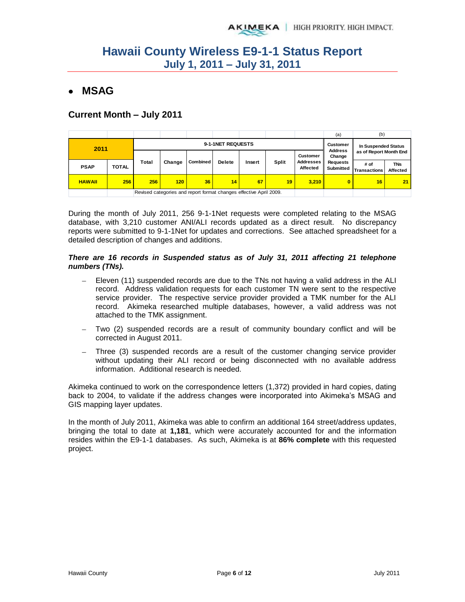## **MSAG**

### **Current Month – July 2011**

|               |              |                   |        |                                                                    |               |        |                 |                              | (a)                          | (b)                         |                               |
|---------------|--------------|-------------------|--------|--------------------------------------------------------------------|---------------|--------|-----------------|------------------------------|------------------------------|-----------------------------|-------------------------------|
| 2011          |              | 9-1-1NET REQUESTS |        |                                                                    |               |        |                 |                              |                              | In Suspended Status         |                               |
|               |              |                   |        |                                                                    |               |        | <b>Customer</b> |                              | <b>Address</b><br>Change     | as of Report Month End      |                               |
| <b>PSAP</b>   | <b>TOTAL</b> | Total             | Change | <b>Combined</b>                                                    | <b>Delete</b> | Insert | Split           | <b>Addresses</b><br>Affected | <b>Requests</b><br>Submitted | # of<br><b>Transactions</b> | <b>TNs</b><br><b>Affected</b> |
| <b>HAWAII</b> | 256          | 256               | 120    | 36                                                                 | 14            | 67     | 19              | 3.210                        | $\mathbf{0}$                 | 16                          | 21                            |
|               |              |                   |        | Revised categories and report format changes effective April 2009. |               |        |                 |                              |                              |                             |                               |

During the month of July 2011, 256 9-1-1Net requests were completed relating to the MSAG database, with 3,210 customer ANI/ALI records updated as a direct result. No discrepancy reports were submitted to 9-1-1Net for updates and corrections. See attached spreadsheet for a detailed description of changes and additions.

#### *There are 16 records in Suspended status as of July 31, 2011 affecting 21 telephone numbers (TNs).*

- Eleven (11) suspended records are due to the TNs not having a valid address in the ALI record. Address validation requests for each customer TN were sent to the respective service provider. The respective service provider provided a TMK number for the ALI record. Akimeka researched multiple databases, however, a valid address was not attached to the TMK assignment.
- Two (2) suspended records are a result of community boundary conflict and will be corrected in August 2011.
- Three (3) suspended records are a result of the customer changing service provider without updating their ALI record or being disconnected with no available address information. Additional research is needed.

Akimeka continued to work on the correspondence letters (1,372) provided in hard copies, dating back to 2004, to validate if the address changes were incorporated into Akimeka's MSAG and GIS mapping layer updates.

In the month of July 2011, Akimeka was able to confirm an additional 164 street/address updates, bringing the total to date at **1,181**, which were accurately accounted for and the information resides within the E9-1-1 databases. As such, Akimeka is at **86% complete** with this requested project.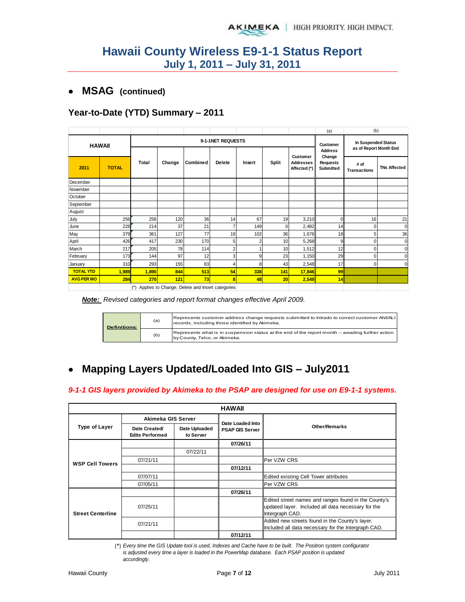## **MSAG (continued)**

### **Year-to-Date (YTD) Summary – 2011**

|                   |              |            |        |                                                 |                                   |                                               |       |                                                     | (a)                             | (b)                         |                     |
|-------------------|--------------|------------|--------|-------------------------------------------------|-----------------------------------|-----------------------------------------------|-------|-----------------------------------------------------|---------------------------------|-----------------------------|---------------------|
| <b>HAWAII</b>     |              |            |        | 9-1-1NET REQUESTS                               | <b>Customer</b><br><b>Address</b> | In Suspended Status<br>as of Report Month End |       |                                                     |                                 |                             |                     |
| 2011              | <b>TOTAL</b> | Total      | Change | Combined                                        | <b>Delete</b>                     | Insert                                        | Split | <b>Customer</b><br><b>Addresses</b><br>Affected (*) | Change<br>Requests<br>Submitted | # of<br><b>Transactions</b> | <b>TNs Affected</b> |
| December          |              |            |        |                                                 |                                   |                                               |       |                                                     |                                 |                             |                     |
| November          |              |            |        |                                                 |                                   |                                               |       |                                                     |                                 |                             |                     |
| October           |              |            |        |                                                 |                                   |                                               |       |                                                     |                                 |                             |                     |
| September         |              |            |        |                                                 |                                   |                                               |       |                                                     |                                 |                             |                     |
| August            |              |            |        |                                                 |                                   |                                               |       |                                                     |                                 |                             |                     |
| July              | 256          | 256        | 120    | 36                                              | 14                                | 67                                            | 19    | 3,210                                               | 0                               | 16                          | 21                  |
| June              | 228          | 214        | 37     | 21                                              | $\overline{7}$                    | 149                                           | 0     | 2,482                                               | 14                              | 0                           | $\Omega$            |
| May               | 379          | 361        | 127    | 77                                              | 19                                | 102                                           | 36    | 1,676                                               | 18                              | 5                           | 36                  |
| April             | 426          | 417        | 230    | 170                                             | 5                                 | 2                                             | 10    | 5,268                                               | 9                               | 0                           | n                   |
| March             | 217          | 205        | 78     | 114                                             | $\overline{2}$                    |                                               | 10    | 1,512                                               | 12                              | 0                           | U                   |
| February          | 173          | 144        | 97     | 12                                              | 3                                 | 9                                             | 23    | 1,150                                               | 29                              | 0                           |                     |
| January           | 310          | 293        | 155    | 83                                              | 4                                 | 8                                             | 43    | 2,548                                               | 17                              | $\Omega$                    | n                   |
| <b>TOTAL YTD</b>  | 1,989        | 1,890      | 844    | 513                                             | 54                                | 338                                           | 141   | 17,846                                              | 99                              |                             |                     |
| <b>AVG PER MO</b> | 284          | <b>270</b> | 121    | 73                                              | 8                                 | 48                                            | 20    | 2,549                                               | 14                              |                             |                     |
|                   |              | $(*)$      |        | Applies to Change, Delete and Insert categories |                                   |                                               |       |                                                     |                                 |                             |                     |

*Note: Revised categories and report format changes effective April 2009.*

| <b>Definitions:</b> | (a) | Represents customer address change requests submitted to Intrado to correct customer ANI/ALI<br>records, including those identified by Akimeka. |
|---------------------|-----|-------------------------------------------------------------------------------------------------------------------------------------------------|
|                     | (b) | Represents what is in suspension status at the end of the report month -- awaiting further action<br>by County, Telco, or Akimeka.              |

#### **Mapping Layers Updated/Loaded Into GIS – July2011**  $\bullet$

#### *9-1-1 GIS layers provided by Akimeka to the PSAP are designed for use on E9-1-1 systems.*

|                          |                                         |                            | <b>HAWAII</b>    |                                                                                                                               |
|--------------------------|-----------------------------------------|----------------------------|------------------|-------------------------------------------------------------------------------------------------------------------------------|
|                          | Akimeka GIS Server                      |                            | Date Loaded Into |                                                                                                                               |
| <b>Type of Layer</b>     | Date Created/<br><b>Edits Performed</b> | Date Uploaded<br>to Server |                  | <b>Other/Remarks</b>                                                                                                          |
|                          |                                         |                            | 07/26/11         |                                                                                                                               |
| <b>WSP Cell Towers</b>   |                                         | 07/22/11                   |                  |                                                                                                                               |
|                          | 07/21/11                                |                            |                  | Per VZW CRS                                                                                                                   |
|                          |                                         |                            | 07/12/11         |                                                                                                                               |
|                          | 07/07/11                                |                            |                  | Edited existing Cell Tower attributes                                                                                         |
|                          | 07/05/11                                |                            |                  | Per VZW CRS                                                                                                                   |
|                          |                                         |                            | 07/26/11         |                                                                                                                               |
| <b>Street Centerline</b> | 07/25/11                                |                            |                  | Edited street names and ranges found in the County's<br>updated layer. Included all data necessary for the<br>Intergraph CAD. |
|                          | 07/21/11                                |                            |                  | Added new streets found in the County's layer.<br>Included all data necessary for the Intergraph CAD.                         |
|                          |                                         |                            | 07/12/11         |                                                                                                                               |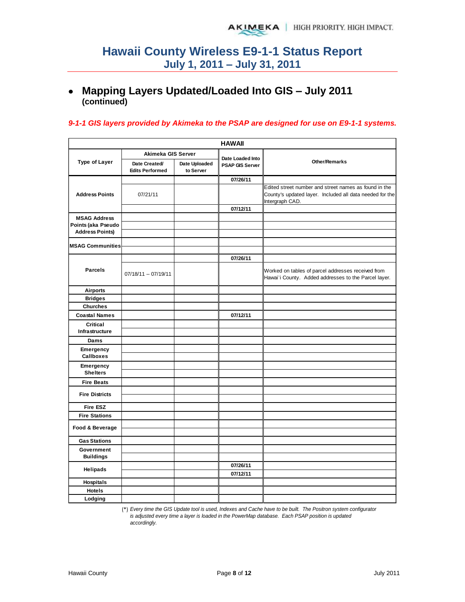## **Mapping Layers Updated/Loaded Into GIS – July 2011 (continued)**

### *9-1-1 GIS layers provided by Akimeka to the PSAP are designed for use on E9-1-1 systems.*

|                                              | <b>HAWAII</b>                           |                            |                                            |                                                                                                                                      |  |  |  |  |  |  |  |
|----------------------------------------------|-----------------------------------------|----------------------------|--------------------------------------------|--------------------------------------------------------------------------------------------------------------------------------------|--|--|--|--|--|--|--|
|                                              | Akimeka GIS Server                      |                            |                                            |                                                                                                                                      |  |  |  |  |  |  |  |
| <b>Type of Layer</b>                         | Date Created/<br><b>Edits Performed</b> | Date Uploaded<br>to Server | Date Loaded Into<br><b>PSAP GIS Server</b> | <b>Other/Remarks</b>                                                                                                                 |  |  |  |  |  |  |  |
|                                              |                                         |                            | 07/26/11                                   |                                                                                                                                      |  |  |  |  |  |  |  |
| <b>Address Points</b>                        | 07/21/11                                |                            |                                            | Edited street number and street names as found in the<br>County's updated layer. Included all data needed for the<br>Intergraph CAD. |  |  |  |  |  |  |  |
|                                              |                                         |                            | 07/12/11                                   |                                                                                                                                      |  |  |  |  |  |  |  |
| <b>MSAG Address</b>                          |                                         |                            |                                            |                                                                                                                                      |  |  |  |  |  |  |  |
| Points (aka Pseudo<br><b>Address Points)</b> |                                         |                            |                                            |                                                                                                                                      |  |  |  |  |  |  |  |
|                                              |                                         |                            |                                            |                                                                                                                                      |  |  |  |  |  |  |  |
| <b>MSAG Communities</b>                      |                                         |                            |                                            |                                                                                                                                      |  |  |  |  |  |  |  |
|                                              |                                         |                            | 07/26/11                                   |                                                                                                                                      |  |  |  |  |  |  |  |
|                                              |                                         |                            |                                            |                                                                                                                                      |  |  |  |  |  |  |  |
| <b>Parcels</b>                               | 07/18/11 -- 07/19/11                    |                            |                                            | Worked on tables of parcel addresses received from<br>Hawai'i County. Added addresses to the Parcel layer.                           |  |  |  |  |  |  |  |
| <b>Airports</b>                              |                                         |                            |                                            |                                                                                                                                      |  |  |  |  |  |  |  |
| <b>Bridges</b>                               |                                         |                            |                                            |                                                                                                                                      |  |  |  |  |  |  |  |
| <b>Churches</b>                              |                                         |                            |                                            |                                                                                                                                      |  |  |  |  |  |  |  |
| <b>Coastal Names</b>                         |                                         |                            | 07/12/11                                   |                                                                                                                                      |  |  |  |  |  |  |  |
| Critical                                     |                                         |                            |                                            |                                                                                                                                      |  |  |  |  |  |  |  |
| Infrastructure                               |                                         |                            |                                            |                                                                                                                                      |  |  |  |  |  |  |  |
| Dams                                         |                                         |                            |                                            |                                                                                                                                      |  |  |  |  |  |  |  |
| Emergency                                    |                                         |                            |                                            |                                                                                                                                      |  |  |  |  |  |  |  |
| Callboxes                                    |                                         |                            |                                            |                                                                                                                                      |  |  |  |  |  |  |  |
| Emergency<br><b>Shelters</b>                 |                                         |                            |                                            |                                                                                                                                      |  |  |  |  |  |  |  |
| <b>Fire Beats</b>                            |                                         |                            |                                            |                                                                                                                                      |  |  |  |  |  |  |  |
|                                              |                                         |                            |                                            |                                                                                                                                      |  |  |  |  |  |  |  |
| <b>Fire Districts</b>                        |                                         |                            |                                            |                                                                                                                                      |  |  |  |  |  |  |  |
| <b>Fire ESZ</b>                              |                                         |                            |                                            |                                                                                                                                      |  |  |  |  |  |  |  |
| <b>Fire Stations</b>                         |                                         |                            |                                            |                                                                                                                                      |  |  |  |  |  |  |  |
| Food & Beverage                              |                                         |                            |                                            |                                                                                                                                      |  |  |  |  |  |  |  |
| <b>Gas Stations</b>                          |                                         |                            |                                            |                                                                                                                                      |  |  |  |  |  |  |  |
| Government                                   |                                         |                            |                                            |                                                                                                                                      |  |  |  |  |  |  |  |
| <b>Buildings</b>                             |                                         |                            |                                            |                                                                                                                                      |  |  |  |  |  |  |  |
|                                              |                                         |                            | 07/26/11                                   |                                                                                                                                      |  |  |  |  |  |  |  |
| <b>Helipads</b>                              |                                         |                            | 07/12/11                                   |                                                                                                                                      |  |  |  |  |  |  |  |
| <b>Hospitals</b>                             |                                         |                            |                                            |                                                                                                                                      |  |  |  |  |  |  |  |
| <b>Hotels</b>                                |                                         |                            |                                            |                                                                                                                                      |  |  |  |  |  |  |  |
| Lodging                                      |                                         |                            |                                            |                                                                                                                                      |  |  |  |  |  |  |  |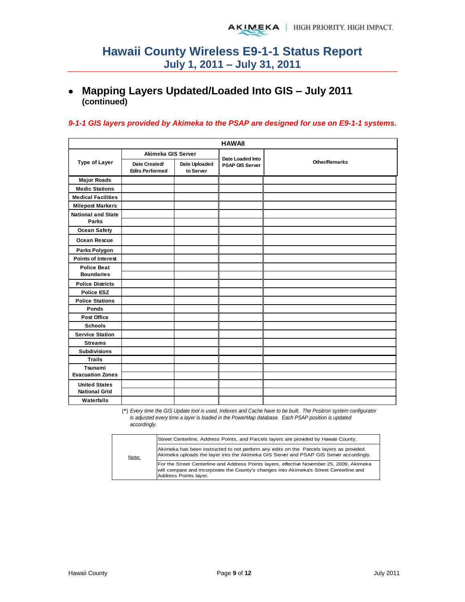## **Mapping Layers Updated/Loaded Into GIS – July 2011 (continued)**

### *9-1-1 GIS layers provided by Akimeka to the PSAP are designed for use on E9-1-1 systems.*

|                                    | <b>HAWAII</b>                           |                            |                        |                      |  |  |  |  |  |  |  |
|------------------------------------|-----------------------------------------|----------------------------|------------------------|----------------------|--|--|--|--|--|--|--|
|                                    | Akimeka GIS Server                      |                            | Date Loaded Into       |                      |  |  |  |  |  |  |  |
| <b>Type of Layer</b>               | Date Created/<br><b>Edits Performed</b> | Date Uploaded<br>to Server | <b>PSAP GIS Server</b> | <b>Other/Remarks</b> |  |  |  |  |  |  |  |
| <b>Major Roads</b>                 |                                         |                            |                        |                      |  |  |  |  |  |  |  |
| <b>Medic Stations</b>              |                                         |                            |                        |                      |  |  |  |  |  |  |  |
| <b>Medical Facilities</b>          |                                         |                            |                        |                      |  |  |  |  |  |  |  |
| <b>Milepost Markers</b>            |                                         |                            |                        |                      |  |  |  |  |  |  |  |
| <b>National and State</b><br>Parks |                                         |                            |                        |                      |  |  |  |  |  |  |  |
| <b>Ocean Safety</b>                |                                         |                            |                        |                      |  |  |  |  |  |  |  |
| <b>Ocean Rescue</b>                |                                         |                            |                        |                      |  |  |  |  |  |  |  |
| Parks Polygon                      |                                         |                            |                        |                      |  |  |  |  |  |  |  |
| <b>Points of Interest</b>          |                                         |                            |                        |                      |  |  |  |  |  |  |  |
| <b>Police Beat</b>                 |                                         |                            |                        |                      |  |  |  |  |  |  |  |
| <b>Boundaries</b>                  |                                         |                            |                        |                      |  |  |  |  |  |  |  |
| <b>Police Districts</b>            |                                         |                            |                        |                      |  |  |  |  |  |  |  |
| <b>Police ESZ</b>                  |                                         |                            |                        |                      |  |  |  |  |  |  |  |
| <b>Police Stations</b>             |                                         |                            |                        |                      |  |  |  |  |  |  |  |
| Ponds                              |                                         |                            |                        |                      |  |  |  |  |  |  |  |
| <b>Post Office</b>                 |                                         |                            |                        |                      |  |  |  |  |  |  |  |
| <b>Schools</b>                     |                                         |                            |                        |                      |  |  |  |  |  |  |  |
| <b>Service Station</b>             |                                         |                            |                        |                      |  |  |  |  |  |  |  |
| <b>Streams</b>                     |                                         |                            |                        |                      |  |  |  |  |  |  |  |
| <b>Subdivisions</b>                |                                         |                            |                        |                      |  |  |  |  |  |  |  |
| <b>Trails</b>                      |                                         |                            |                        |                      |  |  |  |  |  |  |  |
| Tsunami                            |                                         |                            |                        |                      |  |  |  |  |  |  |  |
| <b>Evacuation Zones</b>            |                                         |                            |                        |                      |  |  |  |  |  |  |  |
| <b>United States</b>               |                                         |                            |                        |                      |  |  |  |  |  |  |  |
| <b>National Grid</b>               |                                         |                            |                        |                      |  |  |  |  |  |  |  |
| Waterfalls                         |                                         |                            |                        |                      |  |  |  |  |  |  |  |

|       | Street Centerline, Address Points, and Parcels layers are provided by Hawaii County.                                                                                                                         |
|-------|--------------------------------------------------------------------------------------------------------------------------------------------------------------------------------------------------------------|
| Note: | Akimeka has been instructed to not perform any edits on the Parcels layers as provided.<br>Akimeka uploads the layer into the Akimeka GIS Server and PSAP GIS Server accordingly.                            |
|       | For the Street Centerline and Address Points layers, effective November 25, 2009, Akimeka<br>will compare and incorporate the County's changes into Akimeka's Street Centerline and<br>Address Points layer. |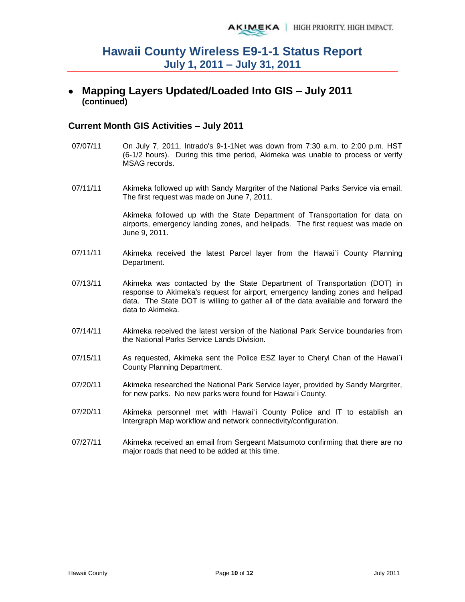## **Mapping Layers Updated/Loaded Into GIS – July 2011 (continued)**

### **Current Month GIS Activities – July 2011**

- 07/07/11 On July 7, 2011, Intrado's 9-1-1Net was down from 7:30 a.m. to 2:00 p.m. HST (6-1/2 hours). During this time period, Akimeka was unable to process or verify MSAG records.
- 07/11/11 Akimeka followed up with Sandy Margriter of the National Parks Service via email. The first request was made on June 7, 2011.

Akimeka followed up with the State Department of Transportation for data on airports, emergency landing zones, and helipads. The first request was made on June 9, 2011.

- 07/11/11 Akimeka received the latest Parcel layer from the Hawai'i County Planning Department.
- 07/13/11 Akimeka was contacted by the State Department of Transportation (DOT) in response to Akimeka's request for airport, emergency landing zones and helipad data. The State DOT is willing to gather all of the data available and forward the data to Akimeka.
- 07/14/11 Akimeka received the latest version of the National Park Service boundaries from the National Parks Service Lands Division.
- 07/15/11 As requested, Akimeka sent the Police ESZ layer to Cheryl Chan of the Hawai`i County Planning Department.
- 07/20/11 Akimeka researched the National Park Service layer, provided by Sandy Margriter, for new parks. No new parks were found for Hawai`i County.
- 07/20/11 Akimeka personnel met with Hawai`i County Police and IT to establish an Intergraph Map workflow and network connectivity/configuration.
- 07/27/11 Akimeka received an email from Sergeant Matsumoto confirming that there are no major roads that need to be added at this time.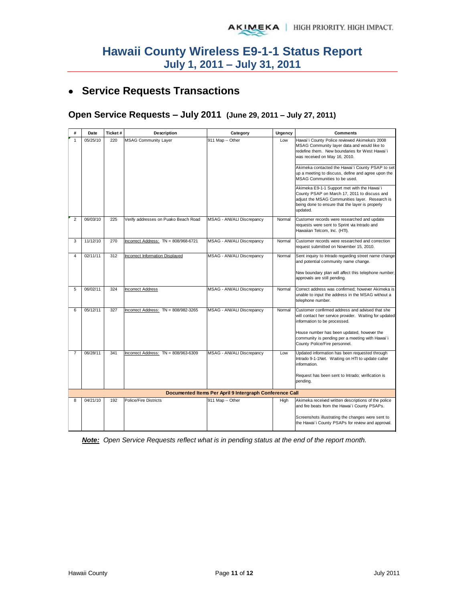# **Service Requests Transactions**

## **Open Service Requests – July 2011 (June 29, 2011 – July 27, 2011)**

| #              | Date     | Ticket# | Description                          | Category                                                | Urgency | <b>Comments</b>                                                                                                                                                                                              |
|----------------|----------|---------|--------------------------------------|---------------------------------------------------------|---------|--------------------------------------------------------------------------------------------------------------------------------------------------------------------------------------------------------------|
| $\mathbf{1}$   | 05/25/10 | 220     | <b>MSAG Community Layer</b>          | 911 Map -- Other                                        | Low     | Hawai'i County Police reviewed Akimeka's 2008<br>MSAG Community layer data and would like to<br>redefine them. New boundaries for West Hawai'i<br>was received on May 16, 2010.                              |
|                |          |         |                                      |                                                         |         | Akimeka contacted the Hawai'i County PSAP to set<br>up a meeting to discuss, define and agree upon the<br>MSAG Communities to be used.                                                                       |
|                |          |         |                                      |                                                         |         | Akimeka E9-1-1 Support met with the Hawai'i<br>County PSAP on March 17, 2011 to discuss and<br>adjust the MSAG Communities layer. Research is<br>being done to ensure that the layer is properly<br>updated. |
| $\overline{2}$ | 06/03/10 | 225     | Verify addresses on Puako Beach Road | MSAG - ANI/ALI Discrepancy                              | Normal  | Customer records were researched and update<br>requests were sent to Sprint via Intrado and<br>Hawaiian Telcom, Inc. (HTI).                                                                                  |
| 3              | 11/12/10 | 270     | Incorrect Address: TN = 808/968-6721 | MSAG - ANI/ALI Discrepancy                              | Normal  | Customer records were researched and correction<br>request submitted on November 15, 2010.                                                                                                                   |
| 4              | 02/11/11 | 312     | Incorrect Information Displayed      | MSAG - ANI/ALI Discrepancy                              | Normal  | Sent inquiry to Intrado regarding street name change<br>and potential community name change.                                                                                                                 |
|                |          |         |                                      |                                                         |         | New boundary plan will affect this telephone number;<br>approvals are still pending.                                                                                                                         |
| 5              | 06/02/11 | 324     | <b>Incorrect Address</b>             | MSAG - ANI/ALI Discrepancy                              | Normal  | Correct address was confirmed: however Akimeka is<br>unable to input the address in the MSAG without a<br>telephone number.                                                                                  |
| 6              | 05/12/11 | 327     | Incorrect Address: TN = 808/982-3265 | MSAG - ANI/ALI Discrepancy                              | Normal  | Customer confirmed address and advised that she<br>will contact her service provider. Waiting for updated<br>information to be processed.                                                                    |
|                |          |         |                                      |                                                         |         | House number has been updated, however the<br>community is pending per a meeting with Hawai'i<br>County Police/Fire personnel.                                                                               |
| $\overline{7}$ | 06/28/11 | 341     | Incorrect Address: TN = 808/963-6309 | MSAG - ANI/ALI Discrepancy                              | Low     | Updated information has been requested through<br>Intrado 9-1-1Net. Waiting on HTI to update caller<br>information.                                                                                          |
|                |          |         |                                      |                                                         |         | Request has been sent to Intrado; verification is<br>pending.                                                                                                                                                |
|                |          |         |                                      | Documented Items Per April 9 Intergraph Conference Call |         |                                                                                                                                                                                                              |
| $\mathsf{R}$   | 04/21/10 | 192     | Police/Fire Districts                | 911 Map -- Other                                        | High    | Akimeka received written descriptions of the police<br>and fire beats from the Hawai'i County PSAPs.                                                                                                         |
|                |          |         |                                      |                                                         |         | Screenshots illustrating the changes were sent to<br>the Hawai'i County PSAPs for review and approval.                                                                                                       |

*Note:* Open Service Requests reflect what is in pending status at the end of the report month.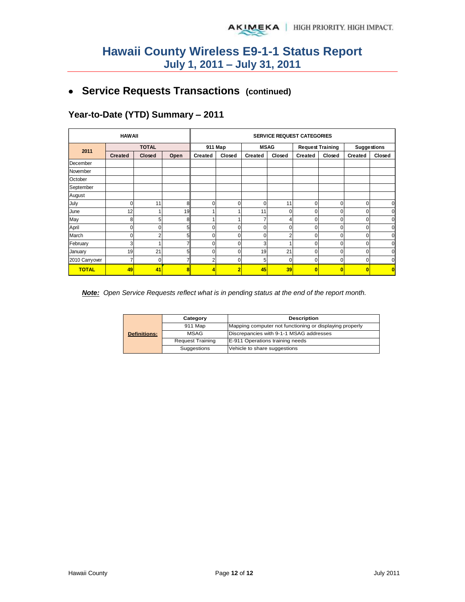# **Service Requests Transactions (continued)**

## **Year-to-Date (YTD) Summary – 2011**

|                | <b>HAWAII</b>  |              |      | <b>SERVICE REQUEST CATEGORIES</b> |        |             |          |                         |              |                |                |
|----------------|----------------|--------------|------|-----------------------------------|--------|-------------|----------|-------------------------|--------------|----------------|----------------|
| 2011           |                | <b>TOTAL</b> |      | 911 Map                           |        | <b>MSAG</b> |          | <b>Request Training</b> |              | Suggestions    |                |
|                | <b>Created</b> | Closed       | Open | <b>Created</b>                    | Closed | Created     | Closed   | Created                 | Closed       | <b>Created</b> | Closed         |
| December       |                |              |      |                                   |        |             |          |                         |              |                |                |
| November       |                |              |      |                                   |        |             |          |                         |              |                |                |
| October        |                |              |      |                                   |        |             |          |                         |              |                |                |
| September      |                |              |      |                                   |        |             |          |                         |              |                |                |
| August         |                |              |      |                                   |        |             |          |                         |              |                |                |
| July           | 0              | 11           | 8    | O                                 | 0      | 0           | 11       | 0                       | 0            | 0              | 0              |
| June           | 12             |              | 19   |                                   |        | 11          | 0        | 0                       | 0            | 0              | 0              |
| May            | 8              | 5            | 8    |                                   |        |             | 4        | 0                       | 0            | 0              | U              |
| April          | 0              |              | 5    | 0                                 |        | 0           | $\Omega$ | 0                       | $\Omega$     | $\Omega$       |                |
| March          | $\mathbf{0}$   | c            |      | r                                 |        | $\Omega$    | 2        | 0                       | 0            | $\Omega$       |                |
| February       | 3              |              |      |                                   |        | 3           |          | 0                       |              | 0              |                |
| January        | 19             | 21           |      |                                   |        | 19          | 21       | 0                       |              | C              |                |
| 2010 Carryover | 7              | 0            |      | 2                                 |        | 5           | 0        | 0                       | $\mathbf{0}$ | 0              | 0              |
| <b>TOTAL</b>   | 49             | 41           | 8    |                                   |        | 45          | 39       | $\overline{\mathbf{0}}$ |              |                | $\overline{0}$ |

|  | <b>Note:</b> Open Service Requests reflect what is in pending status at the end of the report month. |  |  |
|--|------------------------------------------------------------------------------------------------------|--|--|
|  |                                                                                                      |  |  |

|                     | Category                | <b>Description</b>                                      |  |  |  |  |  |
|---------------------|-------------------------|---------------------------------------------------------|--|--|--|--|--|
|                     | 911 Map                 | Mapping computer not functioning or displaying properly |  |  |  |  |  |
| <b>Definitions:</b> | <b>MSAG</b>             | Discrepancies with 9-1-1 MSAG addresses                 |  |  |  |  |  |
|                     | <b>Request Training</b> | E-911 Operations training needs                         |  |  |  |  |  |
|                     | Suggestions             | Vehicle to share suggestions                            |  |  |  |  |  |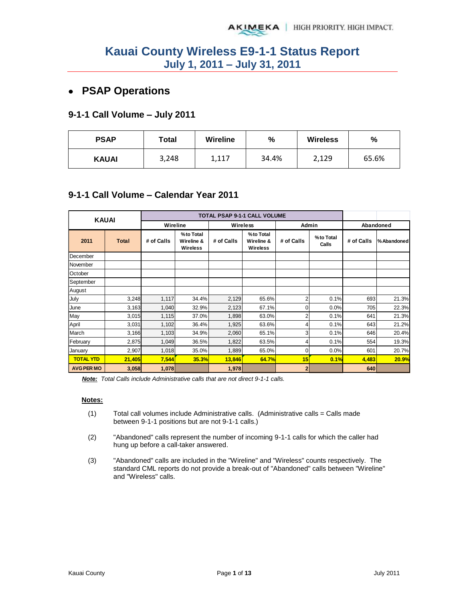## **PSAP Operations**

### **9-1-1 Call Volume – July 2011**

| <b>PSAP</b>  | Total |       | %     | <b>Wireless</b> | $\frac{0}{0}$ |  |
|--------------|-------|-------|-------|-----------------|---------------|--|
| <b>KAUAI</b> | 3,248 | 1,117 | 34.4% | 2,129           | 65.6%         |  |

### **9-1-1 Call Volume – Calendar Year 2011**

|                   | <b>KAUAI</b> |            |                                            | <b>TOTAL PSAP 9-1-1 CALL VOLUME</b> |                                            |                |                    |            |            |
|-------------------|--------------|------------|--------------------------------------------|-------------------------------------|--------------------------------------------|----------------|--------------------|------------|------------|
|                   |              | Wireline   |                                            |                                     | Wireless                                   | Admin          |                    |            | Abandoned  |
| 2011              | <b>Total</b> | # of Calls | %to Total<br>Wireline &<br><b>Wireless</b> | # of Calls                          | %to Total<br>Wireline &<br><b>Wireless</b> | # of Calls     | %to Total<br>Calls | # of Calls | %Abandoned |
| December          |              |            |                                            |                                     |                                            |                |                    |            |            |
| November          |              |            |                                            |                                     |                                            |                |                    |            |            |
| October           |              |            |                                            |                                     |                                            |                |                    |            |            |
| September         |              |            |                                            |                                     |                                            |                |                    |            |            |
| August            |              |            |                                            |                                     |                                            |                |                    |            |            |
| July              | 3,248        | 1,117      | 34.4%                                      | 2,129                               | 65.6%                                      | 2              | 0.1%               | 693        | 21.3%      |
| June              | 3,163        | 1,040      | 32.9%                                      | 2,123                               | 67.1%                                      | $\Omega$       | 0.0%               | 705        | 22.3%      |
| May               | 3,015        | 1,115      | 37.0%                                      | 1,898                               | 63.0%                                      | 2              | 0.1%               | 641        | 21.3%      |
| April             | 3,031        | 1,102      | 36.4%                                      | 1,925                               | 63.6%                                      | $\overline{4}$ | 0.1%               | 643        | 21.2%      |
| March             | 3,166        | 1,103      | 34.9%                                      | 2,060                               | 65.1%                                      | 3 <sup>1</sup> | 0.1%               | 646        | 20.4%      |
| February          | 2,875        | 1,049      | 36.5%                                      | 1,822                               | 63.5%                                      | $\overline{4}$ | 0.1%               | 554        | 19.3%      |
| January           | 2,907        | 1,018      | 35.0%                                      | 1,889                               | 65.0%                                      | $\Omega$       | 0.0%               | 601        | 20.7%      |
| <b>TOTAL YTD</b>  | 21,405       | 7,544      | <b>35.3%</b>                               | 13,846                              | 64.7%                                      | 15             | 0.1%               | 4,483      | 20.9%      |
| <b>AVG PER MO</b> | 3,058        | 1,078      |                                            | 1,978                               |                                            | $\mathbf{2}$   |                    | 640        |            |

*Note: Total Calls include Administrative calls that are not direct 9-1-1 calls.* 

#### **Notes:**

- (1) Total call volumes include Administrative calls. (Administrative calls = Calls made between 9-1-1 positions but are not 9-1-1 calls.)
- (2) "Abandoned" calls represent the number of incoming 9-1-1 calls for which the caller had hung up before a call-taker answered.
- (3) "Abandoned" calls are included in the "Wireline" and "Wireless" counts respectively. The standard CML reports do not provide a break-out of "Abandoned" calls between "Wireline" and "Wireless" calls.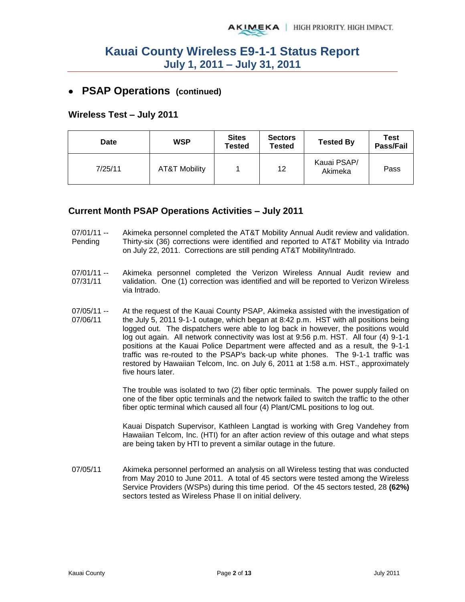## **PSAP Operations (continued)**

### **Wireless Test – July 2011**

| Date    | <b>WSP</b>               | <b>Sites</b><br><b>Tested</b> | <b>Sectors</b><br><b>Tested</b> | <b>Tested By</b>       | <b>Test</b><br>Pass/Fail |
|---------|--------------------------|-------------------------------|---------------------------------|------------------------|--------------------------|
| 7/25/11 | <b>AT&amp;T Mobility</b> |                               | 12                              | Kauai PSAP/<br>Akimeka | Pass                     |

### **Current Month PSAP Operations Activities – July 2011**

- 07/01/11 -- Pending Akimeka personnel completed the AT&T Mobility Annual Audit review and validation. Thirty-six (36) corrections were identified and reported to AT&T Mobility via Intrado on July 22, 2011. Corrections are still pending AT&T Mobility/Intrado.
- 07/01/11 -- 07/31/11 Akimeka personnel completed the Verizon Wireless Annual Audit review and validation. One (1) correction was identified and will be reported to Verizon Wireless via Intrado.
- 07/05/11 -- 07/06/11 At the request of the Kauai County PSAP, Akimeka assisted with the investigation of the July 5, 2011 9-1-1 outage, which began at 8:42 p.m. HST with all positions being logged out. The dispatchers were able to log back in however, the positions would log out again. All network connectivity was lost at 9:56 p.m. HST. All four (4) 9-1-1 positions at the Kauai Police Department were affected and as a result, the 9-1-1 traffic was re-routed to the PSAP's back-up white phones. The 9-1-1 traffic was restored by Hawaiian Telcom, Inc. on July 6, 2011 at 1:58 a.m. HST., approximately five hours later.

The trouble was isolated to two (2) fiber optic terminals. The power supply failed on one of the fiber optic terminals and the network failed to switch the traffic to the other fiber optic terminal which caused all four (4) Plant/CML positions to log out.

Kauai Dispatch Supervisor, Kathleen Langtad is working with Greg Vandehey from Hawaiian Telcom, Inc. (HTI) for an after action review of this outage and what steps are being taken by HTI to prevent a similar outage in the future.

07/05/11 Akimeka personnel performed an analysis on all Wireless testing that was conducted from May 2010 to June 2011. A total of 45 sectors were tested among the Wireless Service Providers (WSPs) during this time period. Of the 45 sectors tested, 28 **(62%)** sectors tested as Wireless Phase II on initial delivery.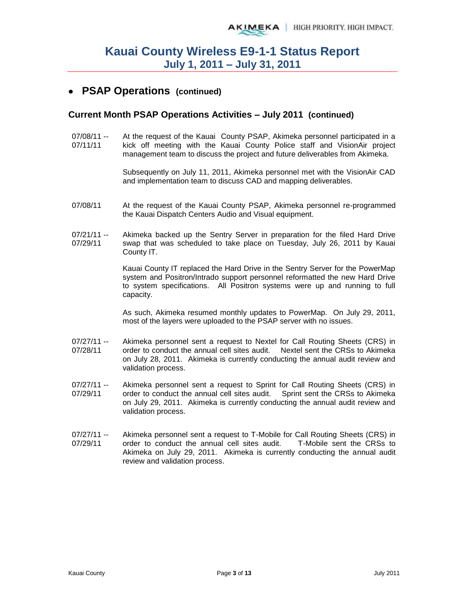## **PSAP Operations (continued)**

### **Current Month PSAP Operations Activities – July 2011 (continued)**

07/08/11 -- 07/11/11 At the request of the Kauai County PSAP, Akimeka personnel participated in a kick off meeting with the Kauai County Police staff and VisionAir project management team to discuss the project and future deliverables from Akimeka.

> Subsequently on July 11, 2011, Akimeka personnel met with the VisionAir CAD and implementation team to discuss CAD and mapping deliverables.

- 07/08/11 At the request of the Kauai County PSAP, Akimeka personnel re-programmed the Kauai Dispatch Centers Audio and Visual equipment.
- $07/21/11 -$ 07/29/11 Akimeka backed up the Sentry Server in preparation for the filed Hard Drive swap that was scheduled to take place on Tuesday, July 26, 2011 by Kauai County IT.

Kauai County IT replaced the Hard Drive in the Sentry Server for the PowerMap system and Positron/Intrado support personnel reformatted the new Hard Drive to system specifications. All Positron systems were up and running to full capacity.

As such, Akimeka resumed monthly updates to PowerMap. On July 29, 2011, most of the layers were uploaded to the PSAP server with no issues.

- 07/27/11 -- 07/28/11 Akimeka personnel sent a request to Nextel for Call Routing Sheets (CRS) in order to conduct the annual cell sites audit. Nextel sent the CRSs to Akimeka on July 28, 2011. Akimeka is currently conducting the annual audit review and validation process.
- 07/27/11 -- 07/29/11 Akimeka personnel sent a request to Sprint for Call Routing Sheets (CRS) in order to conduct the annual cell sites audit. Sprint sent the CRSs to Akimeka on July 29, 2011. Akimeka is currently conducting the annual audit review and validation process.
- 07/27/11 -- 07/29/11 Akimeka personnel sent a request to T-Mobile for Call Routing Sheets (CRS) in order to conduct the annual cell sites audit. T-Mobile sent the CRSs to Akimeka on July 29, 2011. Akimeka is currently conducting the annual audit review and validation process.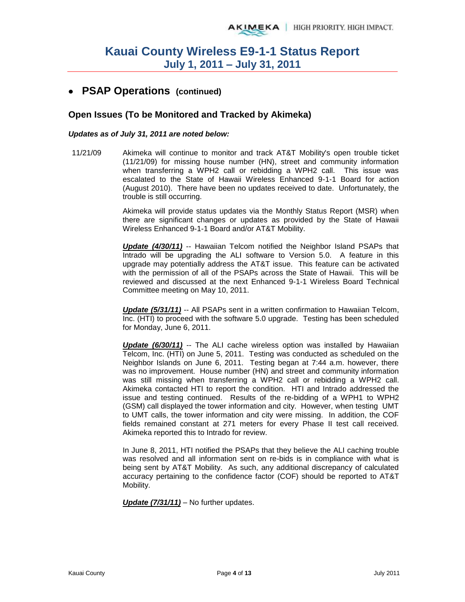## **PSAP Operations (continued)**

### **Open Issues (To be Monitored and Tracked by Akimeka)**

#### *Updates as of July 31, 2011 are noted below:*

11/21/09 Akimeka will continue to monitor and track AT&T Mobility's open trouble ticket (11/21/09) for missing house number (HN), street and community information when transferring a WPH2 call or rebidding a WPH2 call. This issue was escalated to the State of Hawaii Wireless Enhanced 9-1-1 Board for action (August 2010). There have been no updates received to date. Unfortunately, the trouble is still occurring.

> Akimeka will provide status updates via the Monthly Status Report (MSR) when there are significant changes or updates as provided by the State of Hawaii Wireless Enhanced 9-1-1 Board and/or AT&T Mobility.

> *Update (4/30/11)* -- Hawaiian Telcom notified the Neighbor Island PSAPs that Intrado will be upgrading the ALI software to Version 5.0. A feature in this upgrade may potentially address the AT&T issue. This feature can be activated with the permission of all of the PSAPs across the State of Hawaii. This will be reviewed and discussed at the next Enhanced 9-1-1 Wireless Board Technical Committee meeting on May 10, 2011.

> *Update (5/31/11)* -- All PSAPs sent in a written confirmation to Hawaiian Telcom, Inc. (HTI) to proceed with the software 5.0 upgrade. Testing has been scheduled for Monday, June 6, 2011.

> *Update (6/30/11)* -- The ALI cache wireless option was installed by Hawaiian Telcom, Inc. (HTI) on June 5, 2011. Testing was conducted as scheduled on the Neighbor Islands on June 6, 2011. Testing began at 7:44 a.m. however, there was no improvement. House number (HN) and street and community information was still missing when transferring a WPH2 call or rebidding a WPH2 call. Akimeka contacted HTI to report the condition. HTI and Intrado addressed the issue and testing continued. Results of the re-bidding of a WPH1 to WPH2 (GSM) call displayed the tower information and city. However, when testing UMT to UMT calls, the tower information and city were missing. In addition, the COF fields remained constant at 271 meters for every Phase II test call received. Akimeka reported this to Intrado for review.

> In June 8, 2011, HTI notified the PSAPs that they believe the ALI caching trouble was resolved and all information sent on re-bids is in compliance with what is being sent by AT&T Mobility. As such, any additional discrepancy of calculated accuracy pertaining to the confidence factor (COF) should be reported to AT&T Mobility.

*Update (7/31/11)* – No further updates.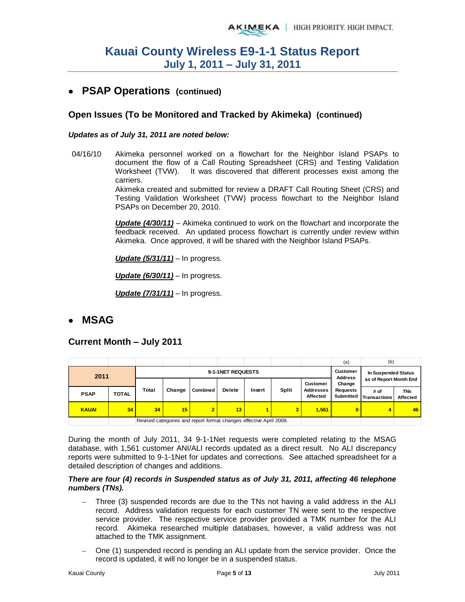## **PSAP Operations (continued)**

### **Open Issues (To be Monitored and Tracked by Akimeka) (continued)**

### *Updates as of July 31, 2011 are noted below:*

04/16/10 Akimeka personnel worked on a flowchart for the Neighbor Island PSAPs to document the flow of a Call Routing Spreadsheet (CRS) and Testing Validation Worksheet (TVW). It was discovered that different processes exist among the carriers.

> Akimeka created and submitted for review a DRAFT Call Routing Sheet (CRS) and Testing Validation Worksheet (TVW) process flowchart to the Neighbor Island PSAPs on December 20, 2010.

> *Update (4/30/11)* – Akimeka continued to work on the flowchart and incorporate the feedback received. An updated process flowchart is currently under review within Akimeka. Once approved, it will be shared with the Neighbor Island PSAPs.

*Update (5/31/11)* – In progress.

*Update (6/30/11)* – In progress.

*Update (7/31/11)* – In progress.

## **MSAG**

### **Current Month – July 2011**

|              |              |       |                                                                    |                   |                                   |                     |              |                                     | (a)             | (b)                            |                        |
|--------------|--------------|-------|--------------------------------------------------------------------|-------------------|-----------------------------------|---------------------|--------------|-------------------------------------|-----------------|--------------------------------|------------------------|
| 2011         |              |       |                                                                    | 9-1-1NET REQUESTS | <b>Customer</b><br><b>Address</b> | In Suspended Status |              |                                     |                 |                                |                        |
|              |              |       |                                                                    |                   |                                   |                     |              | <b>Customer</b>                     | Change          | as of Report Month End         |                        |
| <b>PSAP</b>  | <b>TOTAL</b> | Total | Change                                                             | Combined          | <b>Delete</b>                     | Insert              | <b>Split</b> | <b>Addresses</b><br><b>Affected</b> | <b>Requests</b> | # of<br>Submitted Transactions | <b>TNs</b><br>Affected |
| <b>KAUAI</b> | 34           | 34    | 15                                                                 | 2                 | 13 <sup>1</sup>                   |                     | 3            | 1.561                               |                 |                                | 46                     |
|              |              |       | Revised categories and report format changes effective April 2009. |                   |                                   |                     |              |                                     |                 |                                |                        |

During the month of July 2011, 34 9-1-1Net requests were completed relating to the MSAG database, with 1,561 customer ANI/ALI records updated as a direct result. No ALI discrepancy reports were submitted to 9-1-1Net for updates and corrections. See attached spreadsheet for a detailed description of changes and additions.

#### *There are four (4) records in Suspended status as of July 31, 2011, affecting 46 telephone numbers (TNs).*

- Three (3) suspended records are due to the TNs not having a valid address in the ALI record. Address validation requests for each customer TN were sent to the respective service provider. The respective service provider provided a TMK number for the ALI record. Akimeka researched multiple databases, however, a valid address was not attached to the TMK assignment.
- One (1) suspended record is pending an ALI update from the service provider. Once the record is updated, it will no longer be in a suspended status.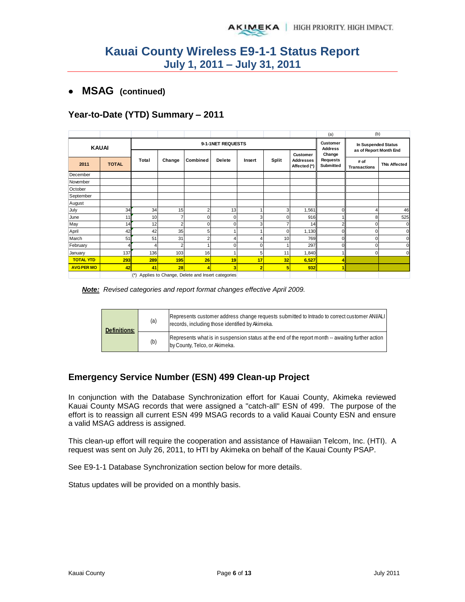## **MSAG (continued)**

### **Year-to-Date (YTD) Summary – 2011**

|                   |              |       |                |                                                 |                   |                |       |                                              | (a)                                    | (b)                                           |                     |
|-------------------|--------------|-------|----------------|-------------------------------------------------|-------------------|----------------|-------|----------------------------------------------|----------------------------------------|-----------------------------------------------|---------------------|
| <b>KAUAI</b>      |              |       |                |                                                 | 9-1-1NET REQUESTS |                |       |                                              | <b>Customer</b><br><b>Address</b>      | In Suspended Status<br>as of Report Month End |                     |
| 2011              | <b>TOTAL</b> | Total | Change         | Combined                                        | <b>Delete</b>     | Insert         | Split | Customer<br><b>Addresses</b><br>Affected (*) | Change<br><b>Requests</b><br>Submitted | # of<br><b>Transactions</b>                   | <b>TNs Affected</b> |
| December          |              |       |                |                                                 |                   |                |       |                                              |                                        |                                               |                     |
| November          |              |       |                |                                                 |                   |                |       |                                              |                                        |                                               |                     |
| October           |              |       |                |                                                 |                   |                |       |                                              |                                        |                                               |                     |
| September         |              |       |                |                                                 |                   |                |       |                                              |                                        |                                               |                     |
| August            |              |       |                |                                                 |                   |                |       |                                              |                                        |                                               |                     |
| July              | 34           | 34    | 15             | $\overline{2}$                                  | 13                |                | 3     | 1,561                                        | $\overline{0}$                         |                                               | 46                  |
| June              | 11           | 10    |                | 0                                               | $\mathbf 0$       | 3              | 0     | 916                                          | 11                                     | 8                                             | 525                 |
| May               | 14           | 12    | $\overline{2}$ | 0                                               | $\mathbf 0$       | 3              |       | 14                                           | $\overline{2}$                         |                                               | C                   |
| April             | 42           | 42    | 35             | 5                                               |                   |                | 0     | 1,130                                        | $\overline{0}$                         | U                                             | ſ                   |
| March             | 51           | 51    | 31             | $\overline{2}$                                  | 4                 | 4              | 10    | 769                                          | $\Omega$                               |                                               |                     |
| February          |              | 4     | 2              |                                                 | $\mathbf 0$       | 0              |       | 297                                          | 0l                                     | n                                             |                     |
| January           | 137          | 136   | 103            | 16                                              |                   | 5              | 11    | 1,840                                        | 11                                     | n                                             | r                   |
| <b>TOTAL YTD</b>  | 293          | 289   | 195            | 26                                              | 19                | 17             | 32    | 6,527                                        | Δ                                      |                                               |                     |
| <b>AVG PER MO</b> | 42           | 41    | 28             | 4                                               | 3 <sub>l</sub>    | $\overline{2}$ | 5     | 932                                          | 11                                     |                                               |                     |
|                   |              | $(*)$ |                | Applies to Change, Delete and Insert categories |                   |                |       |                                              |                                        |                                               |                     |

#### *Note: Revised categories and report format changes effective April 2009.*

| <b>Definitions:</b> | (a) | Represents customer address change requests submitted to Intrado to correct customer ANI/ALI<br>records, including those identified by Akimeka. |
|---------------------|-----|-------------------------------------------------------------------------------------------------------------------------------------------------|
|                     | (b) | Represents what is in suspension status at the end of the report month -- awaiting further action<br>by County, Telco, or Akimeka.              |

### **Emergency Service Number (ESN) 499 Clean-up Project**

In conjunction with the Database Synchronization effort for Kauai County, Akimeka reviewed Kauai County MSAG records that were assigned a "catch-all" ESN of 499. The purpose of the effort is to reassign all current ESN 499 MSAG records to a valid Kauai County ESN and ensure a valid MSAG address is assigned.

This clean-up effort will require the cooperation and assistance of Hawaiian Telcom, Inc. (HTI). A request was sent on July 26, 2011, to HTI by Akimeka on behalf of the Kauai County PSAP.

See E9-1-1 Database Synchronization section below for more details.

Status updates will be provided on a monthly basis.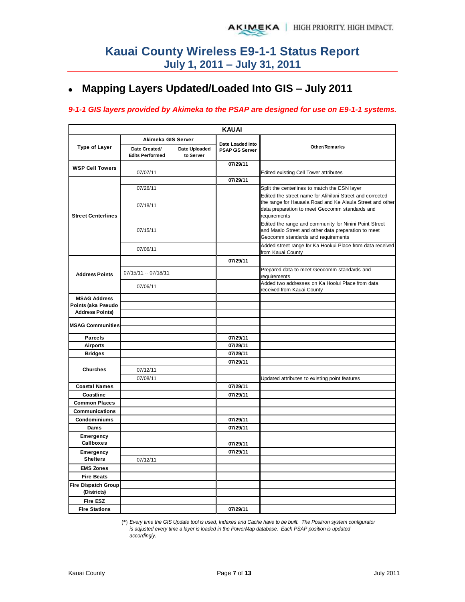#### **Mapping Layers Updated/Loaded Into GIS – July 2011**  $\bullet$

### *9-1-1 GIS layers provided by Akimeka to the PSAP are designed for use on E9-1-1 systems.*

|                                                                     |                                         |                            | <b>KAUAI</b>                               |                                                                                                                                                                                          |
|---------------------------------------------------------------------|-----------------------------------------|----------------------------|--------------------------------------------|------------------------------------------------------------------------------------------------------------------------------------------------------------------------------------------|
|                                                                     | Akimeka GIS Server                      |                            |                                            |                                                                                                                                                                                          |
| <b>Type of Layer</b>                                                | Date Created/<br><b>Edits Performed</b> | Date Uploaded<br>to Server | Date Loaded Into<br><b>PSAP GIS Server</b> | <b>Other/Remarks</b>                                                                                                                                                                     |
| <b>WSP Cell Towers</b>                                              |                                         |                            | 07/29/11                                   |                                                                                                                                                                                          |
|                                                                     | 07/07/11                                |                            |                                            | Edited existing Cell Tower attributes                                                                                                                                                    |
|                                                                     |                                         |                            | 07/29/11                                   |                                                                                                                                                                                          |
|                                                                     | 07/26/11                                |                            |                                            | Split the centerlines to match the ESN layer                                                                                                                                             |
| <b>Street Centerlines</b>                                           | 07/18/11                                |                            |                                            | Edited the street name for Alihilani Street and corrected<br>the range for Hauaala Road and Ke Alaula Street and other<br>data preparation to meet Geocomm standards and<br>requirements |
|                                                                     | 07/15/11                                |                            |                                            | Edited the range and community for Ninini Point Street<br>and Maalo Street and other data preparation to meet<br>Geocomm standards and requirements                                      |
|                                                                     | 07/06/11                                |                            |                                            | Added street range for Ka Hookui Place from data received<br>from Kauai County                                                                                                           |
|                                                                     |                                         |                            | 07/29/11                                   |                                                                                                                                                                                          |
| <b>Address Points</b>                                               | 07/15/11 -- 07/18/11                    |                            |                                            | Prepared data to meet Geocomm standards and<br>requirements                                                                                                                              |
|                                                                     | 07/06/11                                |                            |                                            | Added two addresses on Ka Hoolui Place from data<br>received from Kauai County                                                                                                           |
| <b>MSAG Address</b><br>Points (aka Pseudo<br><b>Address Points)</b> |                                         |                            |                                            |                                                                                                                                                                                          |
| <b>MSAG Communities</b>                                             |                                         |                            |                                            |                                                                                                                                                                                          |
| <b>Parcels</b>                                                      |                                         |                            | 07/29/11                                   |                                                                                                                                                                                          |
| <b>Airports</b>                                                     |                                         |                            | 07/29/11                                   |                                                                                                                                                                                          |
| <b>Bridges</b>                                                      |                                         |                            | 07/29/11                                   |                                                                                                                                                                                          |
| <b>Churches</b>                                                     | 07/12/11                                |                            | 07/29/11                                   |                                                                                                                                                                                          |
|                                                                     | 07/08/11                                |                            |                                            | Updated attributes to existing point features                                                                                                                                            |
| <b>Coastal Names</b>                                                |                                         |                            | 07/29/11                                   |                                                                                                                                                                                          |
| Coastline                                                           |                                         |                            | 07/29/11                                   |                                                                                                                                                                                          |
| <b>Common Places</b>                                                |                                         |                            |                                            |                                                                                                                                                                                          |
| <b>Communications</b>                                               |                                         |                            |                                            |                                                                                                                                                                                          |
| Condominiums                                                        |                                         |                            | 07/29/11                                   |                                                                                                                                                                                          |
| Dams                                                                |                                         |                            | 07/29/11                                   |                                                                                                                                                                                          |
| Emergency<br><b>Callboxes</b>                                       |                                         |                            | 07/29/11                                   |                                                                                                                                                                                          |
|                                                                     |                                         |                            | 07/29/11                                   |                                                                                                                                                                                          |
| Emergency<br><b>Shelters</b>                                        | 07/12/11                                |                            |                                            |                                                                                                                                                                                          |
| <b>EMS Zones</b>                                                    |                                         |                            |                                            |                                                                                                                                                                                          |
| <b>Fire Beats</b>                                                   |                                         |                            |                                            |                                                                                                                                                                                          |
| <b>Fire Dispatch Group</b><br>(Districts)                           |                                         |                            |                                            |                                                                                                                                                                                          |
| <b>Fire ESZ</b>                                                     |                                         |                            |                                            |                                                                                                                                                                                          |
| <b>Fire Stations</b>                                                |                                         |                            | 07/29/11                                   |                                                                                                                                                                                          |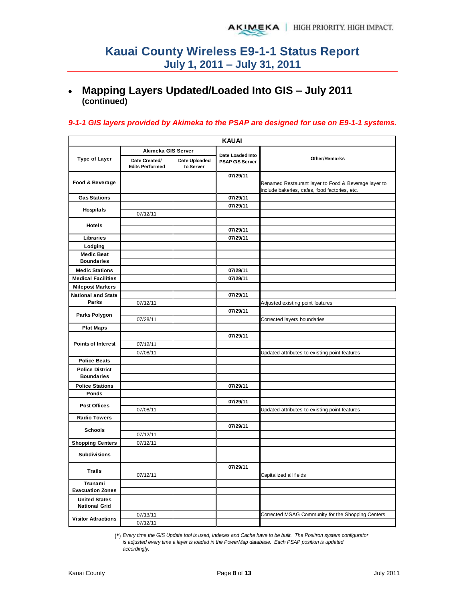**Mapping Layers Updated/Loaded Into GIS – July 2011**   $\bullet$ **(continued)** 

### *9-1-1 GIS layers provided by Akimeka to the PSAP are designed for use on E9-1-1 systems.*

| <b>KAUAI</b>                              |                                         |                            |                                     |                                                                                                       |  |  |  |  |  |  |
|-------------------------------------------|-----------------------------------------|----------------------------|-------------------------------------|-------------------------------------------------------------------------------------------------------|--|--|--|--|--|--|
|                                           | Akimeka GIS Server                      |                            |                                     |                                                                                                       |  |  |  |  |  |  |
| <b>Type of Layer</b>                      | Date Created/<br><b>Edits Performed</b> | Date Uploaded<br>to Server | Date Loaded Into<br>PSAP GIS Server | <b>Other/Remarks</b>                                                                                  |  |  |  |  |  |  |
|                                           |                                         |                            | 07/29/11                            |                                                                                                       |  |  |  |  |  |  |
| Food & Beverage                           |                                         |                            |                                     | Renamed Restaurant layer to Food & Beverage layer to<br>include bakeries, cafes, food factories, etc. |  |  |  |  |  |  |
| <b>Gas Stations</b>                       |                                         |                            | 07/29/11                            |                                                                                                       |  |  |  |  |  |  |
| <b>Hospitals</b>                          |                                         |                            | 07/29/11                            |                                                                                                       |  |  |  |  |  |  |
|                                           | 07/12/11                                |                            |                                     |                                                                                                       |  |  |  |  |  |  |
| <b>Hotels</b>                             |                                         |                            | 07/29/11                            |                                                                                                       |  |  |  |  |  |  |
| Libraries                                 |                                         |                            | 07/29/11                            |                                                                                                       |  |  |  |  |  |  |
| Lodging                                   |                                         |                            |                                     |                                                                                                       |  |  |  |  |  |  |
| <b>Medic Beat</b>                         |                                         |                            |                                     |                                                                                                       |  |  |  |  |  |  |
| <b>Boundaries</b>                         |                                         |                            |                                     |                                                                                                       |  |  |  |  |  |  |
| <b>Medic Stations</b>                     |                                         |                            | 07/29/11                            |                                                                                                       |  |  |  |  |  |  |
| <b>Medical Facilities</b>                 |                                         |                            | 07/29/11                            |                                                                                                       |  |  |  |  |  |  |
| <b>Milepost Markers</b>                   |                                         |                            |                                     |                                                                                                       |  |  |  |  |  |  |
| <b>National and State</b><br><b>Parks</b> |                                         |                            | 07/29/11                            |                                                                                                       |  |  |  |  |  |  |
|                                           | 07/12/11                                |                            | 07/29/11                            | Adjusted existing point features                                                                      |  |  |  |  |  |  |
| Parks Polygon                             | 07/28/11                                |                            |                                     |                                                                                                       |  |  |  |  |  |  |
|                                           |                                         |                            |                                     | Corrected layers boundaries                                                                           |  |  |  |  |  |  |
| <b>Plat Maps</b>                          |                                         |                            | 07/29/11                            |                                                                                                       |  |  |  |  |  |  |
| <b>Points of Interest</b>                 | 07/12/11                                |                            |                                     |                                                                                                       |  |  |  |  |  |  |
|                                           | 07/08/11                                |                            |                                     | Updated attributes to existing point features                                                         |  |  |  |  |  |  |
| <b>Police Beats</b>                       |                                         |                            |                                     |                                                                                                       |  |  |  |  |  |  |
| <b>Police District</b>                    |                                         |                            |                                     |                                                                                                       |  |  |  |  |  |  |
| <b>Boundaries</b>                         |                                         |                            |                                     |                                                                                                       |  |  |  |  |  |  |
| <b>Police Stations</b>                    |                                         |                            | 07/29/11                            |                                                                                                       |  |  |  |  |  |  |
| Ponds                                     |                                         |                            |                                     |                                                                                                       |  |  |  |  |  |  |
| <b>Post Offices</b>                       |                                         |                            | 07/29/11                            |                                                                                                       |  |  |  |  |  |  |
|                                           | 07/08/11                                |                            |                                     | Updated attributes to existing point features                                                         |  |  |  |  |  |  |
| <b>Radio Towers</b>                       |                                         |                            |                                     |                                                                                                       |  |  |  |  |  |  |
| <b>Schools</b>                            |                                         |                            | 07/29/11                            |                                                                                                       |  |  |  |  |  |  |
|                                           | 07/12/11<br>07/12/11                    |                            |                                     |                                                                                                       |  |  |  |  |  |  |
| <b>Shopping Centers</b>                   |                                         |                            |                                     |                                                                                                       |  |  |  |  |  |  |
| <b>Subdivisions</b>                       |                                         |                            |                                     |                                                                                                       |  |  |  |  |  |  |
| <b>Trails</b>                             |                                         |                            | 07/29/11                            |                                                                                                       |  |  |  |  |  |  |
|                                           | 07/12/11                                |                            |                                     | Capitalized all fields                                                                                |  |  |  |  |  |  |
| Tsunami<br><b>Evacuation Zones</b>        |                                         |                            |                                     |                                                                                                       |  |  |  |  |  |  |
| <b>United States</b>                      |                                         |                            |                                     |                                                                                                       |  |  |  |  |  |  |
| <b>National Grid</b>                      |                                         |                            |                                     |                                                                                                       |  |  |  |  |  |  |
|                                           | 07/13/11                                |                            |                                     | Corrected MSAG Community for the Shopping Centers                                                     |  |  |  |  |  |  |
| <b>Visitor Attractions</b>                | 07/12/11                                |                            |                                     |                                                                                                       |  |  |  |  |  |  |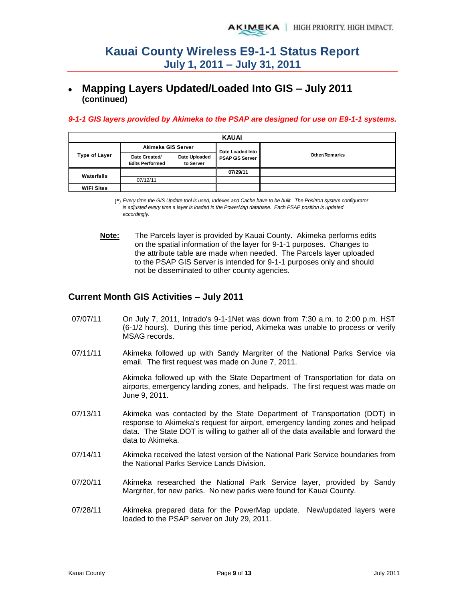**Mapping Layers Updated/Loaded Into GIS – July 2011 (continued)** 

#### *9-1-1 GIS layers provided by Akimeka to the PSAP are designed for use on E9-1-1 systems.*

|                      |                                         |                            | <b>KAUAI</b>           |                      |  |  |
|----------------------|-----------------------------------------|----------------------------|------------------------|----------------------|--|--|
|                      | Akimeka GIS Server                      |                            | Date Loaded Into       |                      |  |  |
| <b>Type of Layer</b> | Date Created/<br><b>Edits Performed</b> | Date Uploaded<br>to Server | <b>PSAP GIS Server</b> | <b>Other/Remarks</b> |  |  |
|                      |                                         |                            | 07/29/11               |                      |  |  |
| Waterfalls           | 07/12/11                                |                            |                        |                      |  |  |
| <b>WiFi Sites</b>    |                                         |                            |                        |                      |  |  |

(\*) *Every time the GIS Update tool is used, Indexes and Cache have to be built. The Positron system configurator is adjusted every time a layer is loaded in the PowerMap database. Each PSAP position is updated accordingly.*

**Note:** The Parcels layer is provided by Kauai County. Akimeka performs edits on the spatial information of the layer for 9-1-1 purposes. Changes to the attribute table are made when needed. The Parcels layer uploaded to the PSAP GIS Server is intended for 9-1-1 purposes only and should not be disseminated to other county agencies.

### **Current Month GIS Activities – July 2011**

- 07/07/11 On July 7, 2011, Intrado's 9-1-1Net was down from 7:30 a.m. to 2:00 p.m. HST (6-1/2 hours). During this time period, Akimeka was unable to process or verify MSAG records.
- 07/11/11 Akimeka followed up with Sandy Margriter of the National Parks Service via email. The first request was made on June 7, 2011.

Akimeka followed up with the State Department of Transportation for data on airports, emergency landing zones, and helipads. The first request was made on June 9, 2011.

- 07/13/11 Akimeka was contacted by the State Department of Transportation (DOT) in response to Akimeka's request for airport, emergency landing zones and helipad data. The State DOT is willing to gather all of the data available and forward the data to Akimeka.
- 07/14/11 Akimeka received the latest version of the National Park Service boundaries from the National Parks Service Lands Division.
- 07/20/11 Akimeka researched the National Park Service layer, provided by Sandy Margriter, for new parks. No new parks were found for Kauai County.
- 07/28/11 Akimeka prepared data for the PowerMap update. New/updated layers were loaded to the PSAP server on July 29, 2011.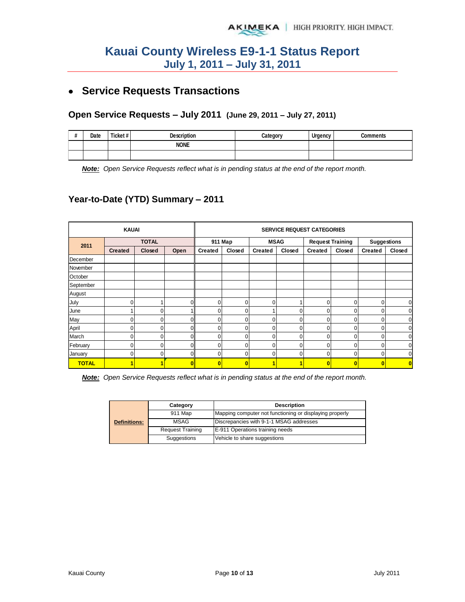# **Service Requests Transactions**

## **Open Service Requests – July 2011 (June 29, 2011 – July 27, 2011)**

| $\mathbf{u}$ | Date | Ticket# | Description | Category | Urgency | Comments |
|--------------|------|---------|-------------|----------|---------|----------|
|              |      |         | <b>NONE</b> |          |         |          |
|              |      |         |             |          |         |          |

*Note: Open Service Requests reflect what is in pending status at the end of the report month.*

## **Year-to-Date (YTD) Summary – 2011**

| <b>KAUAI</b> |                |               |      | <b>SERVICE REQUEST CATEGORIES</b> |          |                |                |                         |          |                    |        |
|--------------|----------------|---------------|------|-----------------------------------|----------|----------------|----------------|-------------------------|----------|--------------------|--------|
|              | <b>TOTAL</b>   |               |      | 911 Map                           |          | <b>MSAG</b>    |                | <b>Request Training</b> |          | <b>Suggestions</b> |        |
| 2011         | <b>Created</b> | <b>Closed</b> | Open | <b>Created</b>                    | Closed   | <b>Created</b> | Closed         | <b>Created</b>          | Closed   | <b>Created</b>     | Closed |
| December     |                |               |      |                                   |          |                |                |                         |          |                    |        |
| November     |                |               |      |                                   |          |                |                |                         |          |                    |        |
| October      |                |               |      |                                   |          |                |                |                         |          |                    |        |
| September    |                |               |      |                                   |          |                |                |                         |          |                    |        |
| August       |                |               |      |                                   |          |                |                |                         |          |                    |        |
| July         |                |               |      | 0                                 | 0        | $\mathbf 0$    |                | $\mathbf 0$             | $\Omega$ | $\overline{0}$     | 0      |
| June         |                | $\Omega$      |      | $\sqrt{ }$                        | 0        |                | 0              | $\mathbf{0}$            | $\Omega$ | 0                  |        |
| May          |                | $\Omega$      |      | $\Omega$                          | $\Omega$ | 0              | $\overline{0}$ | $\mathbf{0}$            | $\Omega$ | $\Omega$           |        |
| April        |                | $\Omega$      |      | $\Omega$                          | 0        | 0              | 0              | $\overline{0}$          | $\Omega$ | 0                  |        |
| March        |                | 0             |      | 0                                 | 0        | 0              | 0              | $\mathbf{0}$            | $\Omega$ | 0                  | 0      |
| February     |                | 0             |      | 0                                 | 0        | 0              | 0              | $\mathbf 0$             | $\Omega$ | 0                  |        |
| January      | n              | $\Omega$      |      | $\Omega$                          | 0        | $\Omega$       | 0              | $\mathbf{0}$            | $\Omega$ | 0                  |        |
| <b>TOTAL</b> |                |               |      |                                   | 0        |                |                | 0                       | 0        | 0                  |        |

*Note: Open Service Requests reflect what is in pending status at the end of the report month.* 

|                     | Category                | <b>Description</b>                                      |  |  |  |  |
|---------------------|-------------------------|---------------------------------------------------------|--|--|--|--|
|                     | 911 Map                 | Mapping computer not functioning or displaying properly |  |  |  |  |
| <b>Definitions:</b> | MSAG                    | Discrepancies with 9-1-1 MSAG addresses                 |  |  |  |  |
|                     | <b>Request Training</b> | E-911 Operations training needs                         |  |  |  |  |
|                     | Suggestions             | Vehicle to share suggestions                            |  |  |  |  |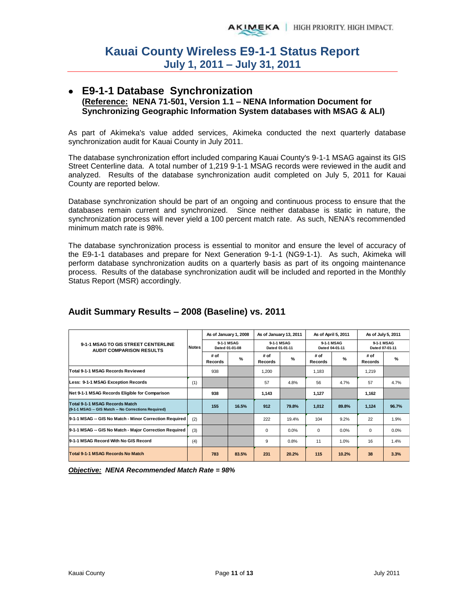### **E9-1-1 Database Synchronization (Reference: NENA 71-501, Version 1.1 – NENA Information Document for Synchronizing Geographic Information System databases with MSAG & ALI)**

As part of Akimeka's value added services, Akimeka conducted the next quarterly database synchronization audit for Kauai County in July 2011.

The database synchronization effort included comparing Kauai County's 9-1-1 MSAG against its GIS Street Centerline data. A total number of 1,219 9-1-1 MSAG records were reviewed in the audit and analyzed. Results of the database synchronization audit completed on July 5, 2011 for Kauai County are reported below.

Database synchronization should be part of an ongoing and continuous process to ensure that the databases remain current and synchronized. Since neither database is static in nature, the synchronization process will never yield a 100 percent match rate. As such, NENA's recommended minimum match rate is 98%.

The database synchronization process is essential to monitor and ensure the level of accuracy of the E9-1-1 databases and prepare for Next Generation 9-1-1 (NG9-1-1). As such, Akimeka will perform database synchronization audits on a quarterly basis as part of its ongoing maintenance process. Results of the database synchronization audit will be included and reported in the Monthly Status Report (MSR) accordingly.

|                                                                                               |              | As of January 1, 2008        |               | As of January 13, 2011       |       |                              | As of April 5, 2011 | As of July 5, 2011           |       |
|-----------------------------------------------------------------------------------------------|--------------|------------------------------|---------------|------------------------------|-------|------------------------------|---------------------|------------------------------|-------|
| 9-1-1 MSAG TO GIS STREET CENTERLINE<br><b>AUDIT COMPARISON RESULTS</b>                        | <b>Notes</b> | 9-1-1 MSAG<br>Dated 01-01-08 |               | 9-1-1 MSAG<br>Dated 01-01-11 |       | 9-1-1 MSAG<br>Dated 04-01-11 |                     | 9-1-1 MSAG<br>Dated 07-01-11 |       |
|                                                                                               |              | # of<br>Records              | $\frac{9}{6}$ | # of<br>Records              | %     | # of<br>Records              | $\frac{9}{6}$       | # of<br>Records              | %     |
| Total 9-1-1 MSAG Records Reviewed                                                             |              | 938                          |               | 1,200                        |       | 1,183                        |                     | 1,219                        |       |
| Less: 9-1-1 MSAG Exception Records                                                            | (1)          |                              |               | 57                           | 4.8%  | 56                           | 4.7%                | 57                           | 4.7%  |
| Net 9-1-1 MSAG Records Eligible for Comparison                                                |              | 938                          |               | 1,143                        |       | 1,127                        |                     | 1,162                        |       |
| <b>Total 9-1-1 MSAG Records Match</b><br>(9-1-1 MSAG -- GIS Match -- No Corrections Required) |              | 155                          | 16.5%         | 912                          | 79.8% | 1.012                        | 89.8%               | 1,124                        | 96.7% |
| 9-1-1 MSAG -- GIS No Match - Minor Correction Required                                        | (2)          |                              |               | 222                          | 19.4% | 104                          | 9.2%                | 22                           | 1.9%  |
| 9-1-1 MSAG -- GIS No Match - Major Correction Required                                        | (3)          |                              |               | 0                            | 0.0%  | $\Omega$                     | 0.0%                | 0                            | 0.0%  |
| 9-1-1 MSAG Record With No GIS Record                                                          |              |                              |               | 9                            | 0.8%  | 11                           | 1.0%                | 16                           | 1.4%  |
| <b>Total 9-1-1 MSAG Records No Match</b>                                                      |              | 783                          | 83.5%         | 231                          | 20.2% | 115                          | 10.2%               | 38                           | 3.3%  |

## **Audit Summary Results – 2008 (Baseline) vs. 2011**

*Objective: NENA Recommended Match Rate = 98%*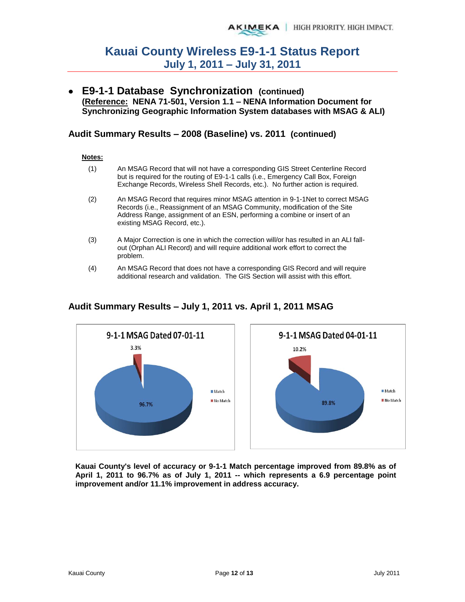**E9-1-1 Database Synchronization (continued) (Reference: NENA 71-501, Version 1.1 – NENA Information Document for Synchronizing Geographic Information System databases with MSAG & ALI)** 

### **Audit Summary Results – 2008 (Baseline) vs. 2011 (continued)**

#### **Notes:**

- (1) An MSAG Record that will not have a corresponding GIS Street Centerline Record but is required for the routing of E9-1-1 calls (i.e., Emergency Call Box, Foreign Exchange Records, Wireless Shell Records, etc.). No further action is required.
- (2) An MSAG Record that requires minor MSAG attention in 9-1-1Net to correct MSAG Records (i.e., Reassignment of an MSAG Community, modification of the Site Address Range, assignment of an ESN, performing a combine or insert of an existing MSAG Record, etc.).
- (3) A Major Correction is one in which the correction will/or has resulted in an ALI fallout (Orphan ALI Record) and will require additional work effort to correct the problem.
- (4) An MSAG Record that does not have a corresponding GIS Record and will require additional research and validation. The GIS Section will assist with this effort.



## **Audit Summary Results – July 1, 2011 vs. April 1, 2011 MSAG**

**Kauai County's level of accuracy or 9-1-1 Match percentage improved from 89.8% as of April 1, 2011 to 96.7% as of July 1, 2011 -- which represents a 6.9 percentage point improvement and/or 11.1% improvement in address accuracy.**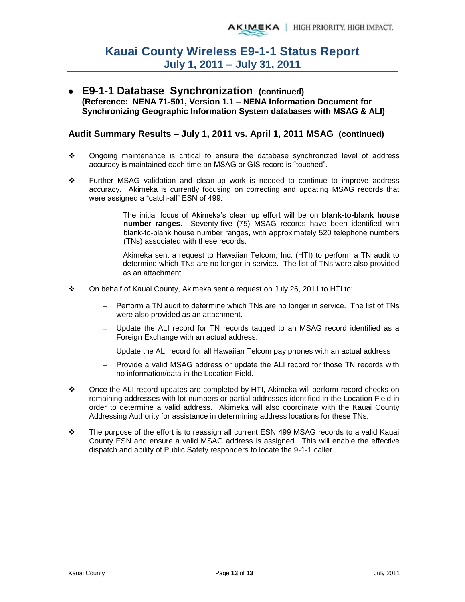**E9-1-1 Database Synchronization (continued) (Reference: NENA 71-501, Version 1.1 – NENA Information Document for Synchronizing Geographic Information System databases with MSAG & ALI)** 

### **Audit Summary Results – July 1, 2011 vs. April 1, 2011 MSAG (continued)**

- Ongoing maintenance is critical to ensure the database synchronized level of address accuracy is maintained each time an MSAG or GIS record is "touched".
- $\div$  Further MSAG validation and clean-up work is needed to continue to improve address accuracy. Akimeka is currently focusing on correcting and updating MSAG records that were assigned a "catch-all" ESN of 499.
	- The initial focus of Akimeka's clean up effort will be on **blank-to-blank house number ranges**. Seventy-five (75) MSAG records have been identified with blank-to-blank house number ranges, with approximately 520 telephone numbers (TNs) associated with these records.
	- Akimeka sent a request to Hawaiian Telcom, Inc. (HTI) to perform a TN audit to determine which TNs are no longer in service. The list of TNs were also provided as an attachment.
- $\div$  On behalf of Kauai County, Akimeka sent a request on July 26, 2011 to HTI to:
	- Perform a TN audit to determine which TNs are no longer in service. The list of TNs were also provided as an attachment.
	- Update the ALI record for TN records tagged to an MSAG record identified as a Foreign Exchange with an actual address.
	- Update the ALI record for all Hawaiian Telcom pay phones with an actual address
	- Provide a valid MSAG address or update the ALI record for those TN records with no information/data in the Location Field.
- Once the ALI record updates are completed by HTI, Akimeka will perform record checks on remaining addresses with lot numbers or partial addresses identified in the Location Field in order to determine a valid address. Akimeka will also coordinate with the Kauai County Addressing Authority for assistance in determining address locations for these TNs.
- $\cdot \cdot$  The purpose of the effort is to reassign all current ESN 499 MSAG records to a valid Kauai County ESN and ensure a valid MSAG address is assigned. This will enable the effective dispatch and ability of Public Safety responders to locate the 9-1-1 caller.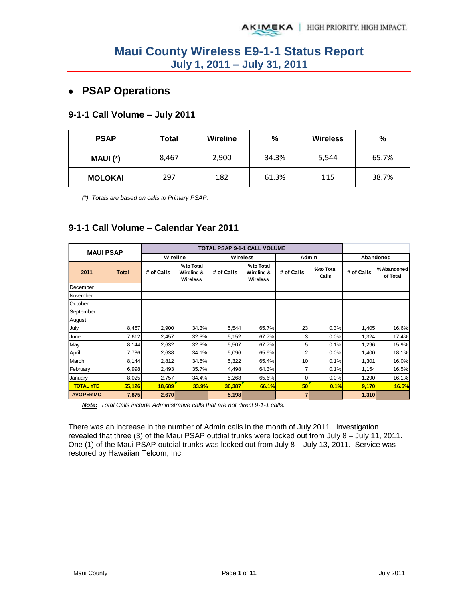# **PSAP Operations**

### **9-1-1 Call Volume – July 2011**

| <b>PSAP</b>    | Total | Wireline | %     | <b>Wireless</b> | %     |
|----------------|-------|----------|-------|-----------------|-------|
| MAUI (*)       | 8,467 | 2,900    | 34.3% | 5,544           | 65.7% |
| <b>MOLOKAI</b> | 297   | 182      | 61.3% | 115             | 38.7% |

*(\*) Totals are based on calls to Primary PSAP.* 

## **9-1-1 Call Volume – Calendar Year 2011**

| <b>MAUI PSAP</b>  |              |            | <b>TOTAL PSAP 9-1-1 CALL VOLUME</b> |            |                                            |                |                    |            |                         |
|-------------------|--------------|------------|-------------------------------------|------------|--------------------------------------------|----------------|--------------------|------------|-------------------------|
|                   |              | Wireline   |                                     | Wireless   |                                            | Admin          |                    |            | Abandoned               |
| 2011              | <b>Total</b> | # of Calls | %to Total<br>Wireline &<br>Wireless | # of Calls | %to Total<br>Wireline &<br><b>Wireless</b> | # of Calls     | %to Total<br>Calls | # of Calls | % Abandoned<br>of Total |
| December          |              |            |                                     |            |                                            |                |                    |            |                         |
| November          |              |            |                                     |            |                                            |                |                    |            |                         |
| October           |              |            |                                     |            |                                            |                |                    |            |                         |
| September         |              |            |                                     |            |                                            |                |                    |            |                         |
| August            |              |            |                                     |            |                                            |                |                    |            |                         |
| July              | 8,467        | 2,900      | 34.3%                               | 5,544      | 65.7%                                      | 23             | 0.3%               | 1,405      | 16.6%                   |
| June              | 7,612        | 2,457      | 32.3%                               | 5,152      | 67.7%                                      | 3              | 0.0%               | 1,324      | 17.4%                   |
| May               | 8,144        | 2,632      | 32.3%                               | 5,507      | 67.7%                                      | 5              | 0.1%               | 1,296      | 15.9%                   |
| April             | 7,736        | 2,638      | 34.1%                               | 5,096      | 65.9%                                      | 2              | 0.0%               | 1,400      | 18.1%                   |
| March             | 8,144        | 2,812      | 34.6%                               | 5,322      | 65.4%                                      | 10             | 0.1%               | 1,301      | 16.0%                   |
| February          | 6,998        | 2,493      | 35.7%                               | 4,498      | 64.3%                                      |                | 0.1%               | 1,154      | 16.5%                   |
| January           | 8,025        | 2,757      | 34.4%                               | 5,268      | 65.6%                                      | 0              | 0.0%               | 1,290      | 16.1%                   |
| <b>TOTAL YTD</b>  | 55,126       | 18,689     | 33.9%                               | 36,387     | 66.1%                                      | 50             | 0.1%               | 9,170      | 16.6%                   |
| <b>AVG PER MO</b> | 7,875        | 2,670      |                                     | 5,198      |                                            | $\overline{7}$ |                    | 1,310      |                         |

*Note: Total Calls include Administrative calls that are not direct 9-1-1 calls.* 

There was an increase in the number of Admin calls in the month of July 2011. Investigation revealed that three (3) of the Maui PSAP outdial trunks were locked out from July 8 – July 11, 2011. One (1) of the Maui PSAP outdial trunks was locked out from July 8 – July 13, 2011. Service was restored by Hawaiian Telcom, Inc.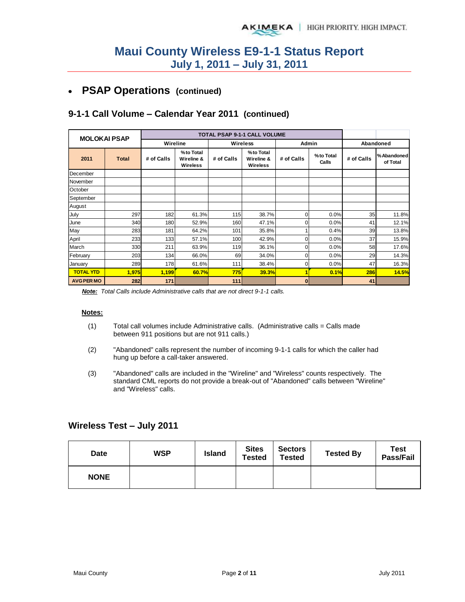#### **PSAP Operations (continued)**   $\bullet$

## **9-1-1 Call Volume – Calendar Year 2011 (continued)**

| <b>MOLOKAI PSAP</b> |              |            | <b>TOTAL PSAP 9-1-1 CALL VOLUME</b> |            |                                     |            |                    |            |                         |
|---------------------|--------------|------------|-------------------------------------|------------|-------------------------------------|------------|--------------------|------------|-------------------------|
|                     |              | Wireline   |                                     | Wireless   |                                     | Admin      |                    | Abandoned  |                         |
| 2011                | <b>Total</b> | # of Calls | %to Total<br>Wireline &<br>Wireless | # of Calls | %to Total<br>Wireline &<br>Wireless | # of Calls | %to Total<br>Calls | # of Calls | % Abandoned<br>of Total |
| December            |              |            |                                     |            |                                     |            |                    |            |                         |
| November            |              |            |                                     |            |                                     |            |                    |            |                         |
| October             |              |            |                                     |            |                                     |            |                    |            |                         |
| September           |              |            |                                     |            |                                     |            |                    |            |                         |
| August              |              |            |                                     |            |                                     |            |                    |            |                         |
| July                | 297          | 182        | 61.3%                               | 115        | 38.7%                               | 0          | 0.0%               | 35         | 11.8%                   |
| June                | 340          | 180        | 52.9%                               | 160        | 47.1%                               | 0          | 0.0%               | 41         | 12.1%                   |
| May                 | 283          | 181        | 64.2%                               | 101        | 35.8%                               |            | 0.4%               | 39         | 13.8%                   |
| April               | 233          | 133        | 57.1%                               | 100        | 42.9%                               | 0          | 0.0%               | 37         | 15.9%                   |
| March               | 330          | 211        | 63.9%                               | 119        | 36.1%                               | 0          | 0.0%               | 58         | 17.6%                   |
| February            | 203          | 134        | 66.0%                               | 69         | 34.0%                               | 0          | 0.0%               | 29         | 14.3%                   |
| January             | 289          | 178        | 61.6%                               | 111        | 38.4%                               | 0          | 0.0%               | 47         | 16.3%                   |
| <b>TOTAL YTD</b>    | 1,975        | 1,199      | 60.7%                               | 775        | 39.3%                               |            | 0.1%               | 286        | 14.5%                   |
| <b>AVG PER MO</b>   | 282          | 171        |                                     | 111        |                                     | $\bf{0}$   |                    | 41         |                         |

*Note: Total Calls include Administrative calls that are not direct 9-1-1 calls.* 

#### **Notes:**

- (1) Total call volumes include Administrative calls. (Administrative calls = Calls made between 911 positions but are not 911 calls.)
- (2) "Abandoned" calls represent the number of incoming 9-1-1 calls for which the caller had hung up before a call-taker answered.
- (3) "Abandoned" calls are included in the "Wireline" and "Wireless" counts respectively. The standard CML reports do not provide a break-out of "Abandoned" calls between "Wireline" and "Wireless" calls.

### **Wireless Test – July 2011**

| <b>Date</b> | WSP | <b>Island</b> | <b>Sites</b><br><b>Tested</b> | <b>Sectors</b><br><b>Tested</b> | <b>Tested By</b> | Test<br>Pass/Fail |
|-------------|-----|---------------|-------------------------------|---------------------------------|------------------|-------------------|
| <b>NONE</b> |     |               |                               |                                 |                  |                   |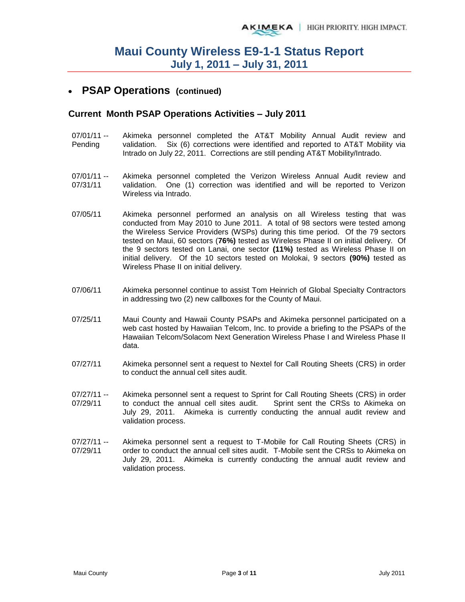## **PSAP Operations (continued)**

### **Current Month PSAP Operations Activities – July 2011**

- 07/01/11 -- Pending Akimeka personnel completed the AT&T Mobility Annual Audit review and validation. Six (6) corrections were identified and reported to AT&T Mobility via Intrado on July 22, 2011. Corrections are still pending AT&T Mobility/Intrado.
- 07/01/11 -- 07/31/11 Akimeka personnel completed the Verizon Wireless Annual Audit review and validation. One (1) correction was identified and will be reported to Verizon Wireless via Intrado.
- 07/05/11 Akimeka personnel performed an analysis on all Wireless testing that was conducted from May 2010 to June 2011. A total of 98 sectors were tested among the Wireless Service Providers (WSPs) during this time period. Of the 79 sectors tested on Maui, 60 sectors (**76%)** tested as Wireless Phase II on initial delivery. Of the 9 sectors tested on Lanai, one sector **(11%)** tested as Wireless Phase II on initial delivery. Of the 10 sectors tested on Molokai, 9 sectors **(90%)** tested as Wireless Phase II on initial delivery.
- 07/06/11 Akimeka personnel continue to assist Tom Heinrich of Global Specialty Contractors in addressing two (2) new callboxes for the County of Maui.
- 07/25/11 Maui County and Hawaii County PSAPs and Akimeka personnel participated on a web cast hosted by Hawaiian Telcom, Inc. to provide a briefing to the PSAPs of the Hawaiian Telcom/Solacom Next Generation Wireless Phase I and Wireless Phase II data.
- 07/27/11 Akimeka personnel sent a request to Nextel for Call Routing Sheets (CRS) in order to conduct the annual cell sites audit.
- 07/27/11 -- 07/29/11 Akimeka personnel sent a request to Sprint for Call Routing Sheets (CRS) in order to conduct the annual cell sites audit. Sprint sent the CRSs to Akimeka on July 29, 2011. Akimeka is currently conducting the annual audit review and validation process.
- 07/27/11 -- 07/29/11 Akimeka personnel sent a request to T-Mobile for Call Routing Sheets (CRS) in order to conduct the annual cell sites audit. T-Mobile sent the CRSs to Akimeka on July 29, 2011. Akimeka is currently conducting the annual audit review and validation process.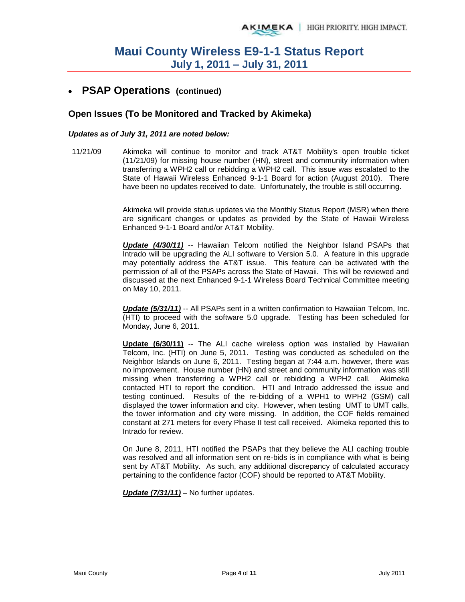## **PSAP Operations (continued)**

### **Open Issues (To be Monitored and Tracked by Akimeka)**

### *Updates as of July 31, 2011 are noted below:*

11/21/09 Akimeka will continue to monitor and track AT&T Mobility's open trouble ticket (11/21/09) for missing house number (HN), street and community information when transferring a WPH2 call or rebidding a WPH2 call. This issue was escalated to the State of Hawaii Wireless Enhanced 9-1-1 Board for action (August 2010). There have been no updates received to date. Unfortunately, the trouble is still occurring.

> Akimeka will provide status updates via the Monthly Status Report (MSR) when there are significant changes or updates as provided by the State of Hawaii Wireless Enhanced 9-1-1 Board and/or AT&T Mobility.

> *Update (4/30/11)* -- Hawaiian Telcom notified the Neighbor Island PSAPs that Intrado will be upgrading the ALI software to Version 5.0. A feature in this upgrade may potentially address the AT&T issue. This feature can be activated with the permission of all of the PSAPs across the State of Hawaii. This will be reviewed and discussed at the next Enhanced 9-1-1 Wireless Board Technical Committee meeting on May 10, 2011.

> **Update (5/31/11)** -- All PSAPs sent in a written confirmation to Hawaiian Telcom, Inc. (HTI) to proceed with the software 5.0 upgrade. Testing has been scheduled for Monday, June 6, 2011.

> **Update (6/30/11)** -- The ALI cache wireless option was installed by Hawaiian Telcom, Inc. (HTI) on June 5, 2011. Testing was conducted as scheduled on the Neighbor Islands on June 6, 2011. Testing began at 7:44 a.m. however, there was no improvement. House number (HN) and street and community information was still missing when transferring a WPH2 call or rebidding a WPH2 call. Akimeka contacted HTI to report the condition. HTI and Intrado addressed the issue and testing continued. Results of the re-bidding of a WPH1 to WPH2 (GSM) call displayed the tower information and city. However, when testing UMT to UMT calls, the tower information and city were missing. In addition, the COF fields remained constant at 271 meters for every Phase II test call received. Akimeka reported this to Intrado for review.

> On June 8, 2011, HTI notified the PSAPs that they believe the ALI caching trouble was resolved and all information sent on re-bids is in compliance with what is being sent by AT&T Mobility. As such, any additional discrepancy of calculated accuracy pertaining to the confidence factor (COF) should be reported to AT&T Mobility.

*Update (7/31/11)* – No further updates.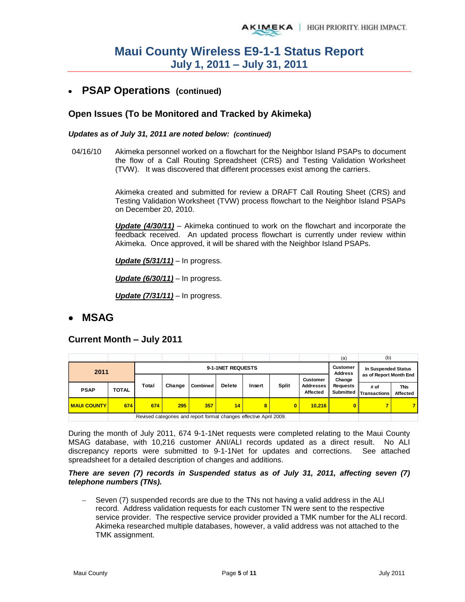## **PSAP Operations (continued)**

### **Open Issues (To be Monitored and Tracked by Akimeka)**

#### *Updates as of July 31, 2011 are noted below: (continued)*

04/16/10 Akimeka personnel worked on a flowchart for the Neighbor Island PSAPs to document the flow of a Call Routing Spreadsheet (CRS) and Testing Validation Worksheet (TVW). It was discovered that different processes exist among the carriers.

> Akimeka created and submitted for review a DRAFT Call Routing Sheet (CRS) and Testing Validation Worksheet (TVW) process flowchart to the Neighbor Island PSAPs on December 20, 2010.

> *Update (4/30/11)* – Akimeka continued to work on the flowchart and incorporate the feedback received. An updated process flowchart is currently under review within Akimeka. Once approved, it will be shared with the Neighbor Island PSAPs.

*Update (5/31/11)* – In progress.

*Update (6/30/11)* – In progress.

*Update (7/31/11)* – In progress.

### **MSAG**

### **Current Month – July 2011**

|                    |                                                                    |       |        |          |               |        |              |                                                     | (a)                               | (b)                            |                               |
|--------------------|--------------------------------------------------------------------|-------|--------|----------|---------------|--------|--------------|-----------------------------------------------------|-----------------------------------|--------------------------------|-------------------------------|
|                    | 9-1-1NET REQUESTS<br>2011                                          |       |        |          |               |        |              |                                                     | <b>Customer</b><br><b>Address</b> | In Suspended Status            |                               |
|                    |                                                                    |       |        |          |               |        |              | as of Report Month End<br>Change<br><b>Customer</b> |                                   |                                |                               |
| <b>PSAP</b>        | <b>TOTAL</b>                                                       | Total | Change | Combined | <b>Delete</b> | Insert | <b>Split</b> | <b>Addresses</b><br>Affected                        | <b>Requests</b>                   | # of<br>Submitted Transactions | <b>TNs</b><br><b>Affected</b> |
| <b>MAUI COUNTY</b> | 674                                                                | 674   | 295    | 357      | 14            | 8      | $\bf{0}$     | 10.216                                              | 0 l                               |                                |                               |
|                    | Revised categories and report format changes effective April 2009. |       |        |          |               |        |              |                                                     |                                   |                                |                               |

During the month of July 2011, 674 9-1-1Net requests were completed relating to the Maui County MSAG database, with 10,216 customer ANI/ALI records updated as a direct result. No ALI discrepancy reports were submitted to 9-1-1Net for updates and corrections. See attached spreadsheet for a detailed description of changes and additions.

#### *There are seven (7) records in Suspended status as of July 31, 2011, affecting seven (7) telephone numbers (TNs).*

- Seven (7) suspended records are due to the TNs not having a valid address in the ALI record. Address validation requests for each customer TN were sent to the respective service provider. The respective service provider provided a TMK number for the ALI record. Akimeka researched multiple databases, however, a valid address was not attached to the TMK assignment.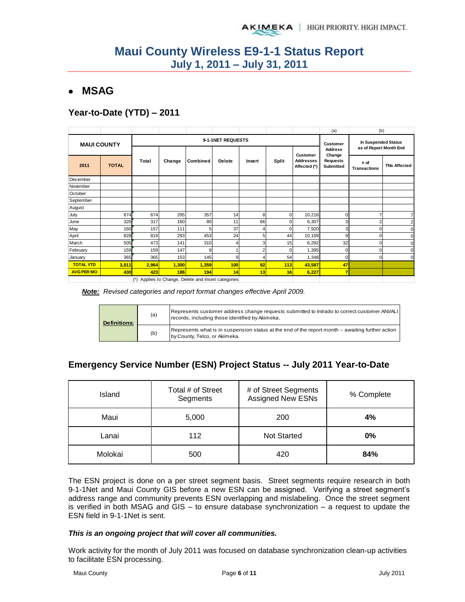## **MSAG**

## **Year-to-Date (YTD) – 2011**

|                    |              |       |        |                                                 |                                   |                                               |          |                                                     | (a)                             | (b)                         |                     |
|--------------------|--------------|-------|--------|-------------------------------------------------|-----------------------------------|-----------------------------------------------|----------|-----------------------------------------------------|---------------------------------|-----------------------------|---------------------|
| <b>MAUI COUNTY</b> |              |       |        | 9-1-1NET REQUESTS                               | <b>Customer</b><br><b>Address</b> | In Suspended Status<br>as of Report Month End |          |                                                     |                                 |                             |                     |
| 2011               | <b>TOTAL</b> | Total | Change | Combined                                        | <b>Delete</b>                     | Insert                                        | Split    | <b>Customer</b><br><b>Addresses</b><br>Affected (*) | Change<br>Requests<br>Submitted | # of<br><b>Transactions</b> | <b>TNs Affected</b> |
| December           |              |       |        |                                                 |                                   |                                               |          |                                                     |                                 |                             |                     |
| November           |              |       |        |                                                 |                                   |                                               |          |                                                     |                                 |                             |                     |
| October            |              |       |        |                                                 |                                   |                                               |          |                                                     |                                 |                             |                     |
| September          |              |       |        |                                                 |                                   |                                               |          |                                                     |                                 |                             |                     |
| August             |              |       |        |                                                 |                                   |                                               |          |                                                     |                                 |                             |                     |
| July               | 674          | 674   | 295    | 357                                             | 14                                | 8                                             | 0        | 10,216                                              | $\mathbf 0$                     |                             |                     |
| June               | 320          | 317   | 160    | 80                                              | 11                                | 66                                            | $\Omega$ | 6,307                                               | 3                               |                             |                     |
| May                | 160          | 157   | 111    | 5                                               | 37                                | 4                                             | 0        | 7,920                                               | 3                               |                             |                     |
| April              | 828          | 819   | 293    | 453                                             | 24                                | 5                                             | 44       | 10,109                                              | 9                               | n                           |                     |
| March              | 505          | 473   | 141    | 310                                             | 4                                 | 3                                             | 15       | 6,292                                               | 32                              | n                           |                     |
| February           | 159          | 159   | 147    | 9                                               |                                   | 2                                             | 0        | 1,395                                               | $\mathbf 0$                     |                             |                     |
| January            | 365          | 365   | 153    | 145                                             | 9                                 | 4                                             | 54       | 1,348                                               | $\Omega$                        | n                           |                     |
| <b>TOTAL YTD</b>   | 3,011        | 2,964 | 1,300  | 1,359                                           | 100                               | 92                                            | 113      | 43,587                                              | 47                              |                             |                     |
| <b>AVG PER MO</b>  | 430          | 423   | 186    | 194                                             | 14                                | 13                                            | 16       | 6,227                                               | $\overline{7}$                  |                             |                     |
|                    |              | $(*)$ |        | Applies to Change, Delete and Insert categories |                                   |                                               |          |                                                     |                                 |                             |                     |

*Note: Revised categories and report format changes effective April 2009.* 

| <b>Definitions:</b> | (a) | Represents customer address change requests submitted to Intrado to correct customer ANI/ALI<br>records, including those identified by Akimeka. |
|---------------------|-----|-------------------------------------------------------------------------------------------------------------------------------------------------|
|                     | (b) | Represents what is in suspension status at the end of the report month -- awaiting further action<br>by County, Telco, or Akimeka.              |

## **Emergency Service Number (ESN) Project Status -- July 2011 Year-to-Date**

| Island  | Total # of Street<br>Segments | # of Street Segments<br><b>Assigned New ESNs</b> | % Complete |
|---------|-------------------------------|--------------------------------------------------|------------|
| Maui    | 5,000                         | 200                                              | 4%         |
| Lanai   | 112                           | <b>Not Started</b>                               | $0\%$      |
| Molokai | 500                           |                                                  | 84%        |

The ESN project is done on a per street segment basis. Street segments require research in both 9-1-1Net and Maui County GIS before a new ESN can be assigned. Verifying a street segment's address range and community prevents ESN overlapping and mislabeling. Once the street segment is verified in both MSAG and GIS – to ensure database synchronization – a request to update the ESN field in 9-1-1Net is sent.

#### *This is an ongoing project that will cover all communities.*

Work activity for the month of July 2011 was focused on database synchronization clean-up activities to facilitate ESN processing.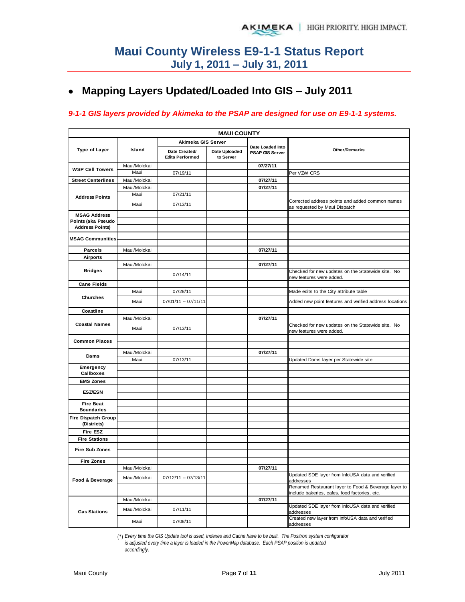# **Mapping Layers Updated/Loaded Into GIS – July 2011**

### *9-1-1 GIS layers provided by Akimeka to the PSAP are designed for use on E9-1-1 systems.*

|                                           | <b>MAUI COUNTY</b> |                                         |                            |                                            |                                                                                                       |  |  |  |  |  |
|-------------------------------------------|--------------------|-----------------------------------------|----------------------------|--------------------------------------------|-------------------------------------------------------------------------------------------------------|--|--|--|--|--|
|                                           |                    | Akimeka GIS Server                      |                            |                                            |                                                                                                       |  |  |  |  |  |
| Type of Layer                             | Island             | Date Created/<br><b>Edits Performed</b> | Date Uploaded<br>to Server | Date Loaded Into<br><b>PSAP GIS Server</b> | <b>Other/Remarks</b>                                                                                  |  |  |  |  |  |
| <b>WSP Cell Towers</b>                    | Maui/Molokai       |                                         |                            | 07/27/11                                   |                                                                                                       |  |  |  |  |  |
|                                           | Maui               | 07/19/11                                |                            |                                            | Per VZW CRS                                                                                           |  |  |  |  |  |
| <b>Street Centerlines</b>                 | Maui/Molokai       |                                         |                            | 07/27/11                                   |                                                                                                       |  |  |  |  |  |
|                                           | Maui/Molokai       |                                         |                            | 07/27/11                                   |                                                                                                       |  |  |  |  |  |
| <b>Address Points</b>                     | Maui               | 07/21/11                                |                            |                                            |                                                                                                       |  |  |  |  |  |
|                                           | Maui               | 07/13/11                                |                            |                                            | Corrected address points and added common names<br>as requested by Maui Dispatch                      |  |  |  |  |  |
| <b>MSAG Address</b>                       |                    |                                         |                            |                                            |                                                                                                       |  |  |  |  |  |
| Points (aka Pseudo                        |                    |                                         |                            |                                            |                                                                                                       |  |  |  |  |  |
| <b>Address Points)</b>                    |                    |                                         |                            |                                            |                                                                                                       |  |  |  |  |  |
| <b>MSAG Communities</b>                   |                    |                                         |                            |                                            |                                                                                                       |  |  |  |  |  |
| <b>Parcels</b>                            | Maui/Molokai       |                                         |                            | 07/27/11                                   |                                                                                                       |  |  |  |  |  |
| <b>Airports</b>                           |                    |                                         |                            |                                            |                                                                                                       |  |  |  |  |  |
|                                           | Maui/Molokai       |                                         |                            | 07/27/11                                   |                                                                                                       |  |  |  |  |  |
| <b>Bridges</b>                            |                    | 07/14/11                                |                            |                                            | Checked for new updates on the Statewide site. No<br>new features were added.                         |  |  |  |  |  |
| <b>Cane Fields</b>                        |                    |                                         |                            |                                            |                                                                                                       |  |  |  |  |  |
|                                           | Maui               | 07/28/11                                |                            |                                            | Made edits to the City attribute table                                                                |  |  |  |  |  |
| <b>Churches</b>                           | Maui               | $07/01/11 - 07/11/11$                   |                            |                                            | Added new point features and verified address locations                                               |  |  |  |  |  |
| Coastline                                 |                    |                                         |                            |                                            |                                                                                                       |  |  |  |  |  |
|                                           | Maui/Molokai       |                                         |                            | 07/27/11                                   |                                                                                                       |  |  |  |  |  |
| <b>Coastal Names</b>                      | Maui               | 07/13/11                                |                            |                                            | Checked for new updates on the Statewide site. No<br>new features were added.                         |  |  |  |  |  |
| <b>Common Places</b>                      |                    |                                         |                            |                                            |                                                                                                       |  |  |  |  |  |
| Dams                                      | Maui/Molokai       |                                         |                            | 07/27/11                                   |                                                                                                       |  |  |  |  |  |
|                                           | Maui               | 07/13/11                                |                            |                                            | Updated Dams layer per Statewide site                                                                 |  |  |  |  |  |
| Emergency                                 |                    |                                         |                            |                                            |                                                                                                       |  |  |  |  |  |
| Callboxes                                 |                    |                                         |                            |                                            |                                                                                                       |  |  |  |  |  |
| <b>EMS Zones</b>                          |                    |                                         |                            |                                            |                                                                                                       |  |  |  |  |  |
| <b>ESZ/ESN</b>                            |                    |                                         |                            |                                            |                                                                                                       |  |  |  |  |  |
| <b>Fire Beat</b>                          |                    |                                         |                            |                                            |                                                                                                       |  |  |  |  |  |
| <b>Boundaries</b>                         |                    |                                         |                            |                                            |                                                                                                       |  |  |  |  |  |
| <b>Fire Dispatch Group</b><br>(Districts) |                    |                                         |                            |                                            |                                                                                                       |  |  |  |  |  |
| Fire ESZ                                  |                    |                                         |                            |                                            |                                                                                                       |  |  |  |  |  |
| <b>Fire Stations</b>                      |                    |                                         |                            |                                            |                                                                                                       |  |  |  |  |  |
| <b>Fire Sub Zones</b>                     |                    |                                         |                            |                                            |                                                                                                       |  |  |  |  |  |
| <b>Fire Zones</b>                         |                    |                                         |                            |                                            |                                                                                                       |  |  |  |  |  |
|                                           | Maui/Molokai       |                                         |                            | 07/27/11                                   |                                                                                                       |  |  |  |  |  |
| Food & Beverage                           | Maui/Molokai       | 07/12/11 - 07/13/11                     |                            |                                            | Updated SDE layer from InfoUSA data and verified<br>addresses                                         |  |  |  |  |  |
|                                           |                    |                                         |                            |                                            | Renamed Restaurant layer to Food & Beverage layer to<br>include bakeries, cafes, food factories, etc. |  |  |  |  |  |
|                                           | Maui/Molokai       |                                         |                            | 07/27/11                                   |                                                                                                       |  |  |  |  |  |
| <b>Gas Stations</b>                       | Maui/Molokai       | 07/11/11                                |                            |                                            | Updated SDE layer from InfoUSA data and verified<br>addresses                                         |  |  |  |  |  |
|                                           | Maui               | 07/08/11                                |                            |                                            | Created new layer from InfoUSA data and verified<br>addresses                                         |  |  |  |  |  |

(\*) *Every time the GIS Update tool is used, Indexes and Cache have to be built. The Positron system configurator* 

*is adjusted every time a layer is loaded in the PowerMap database. Each PSAP position is updated* 

*accordingly.*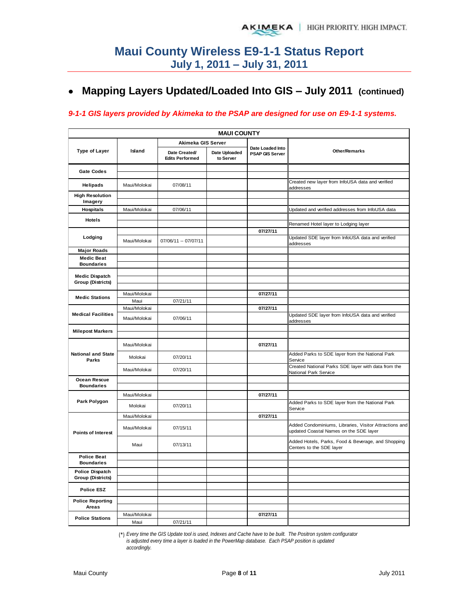# **Mapping Layers Updated/Loaded Into GIS – July 2011 (continued)**

### *9-1-1 GIS layers provided by Akimeka to the PSAP are designed for use on E9-1-1 systems.*

| <b>MAUI COUNTY</b>                                 |              |                                         |                            |                                            |                                                                                                  |  |  |  |  |
|----------------------------------------------------|--------------|-----------------------------------------|----------------------------|--------------------------------------------|--------------------------------------------------------------------------------------------------|--|--|--|--|
|                                                    |              | Akimeka GIS Server                      |                            |                                            |                                                                                                  |  |  |  |  |
| <b>Type of Layer</b>                               | Island       | Date Created/<br><b>Edits Performed</b> | Date Uploaded<br>to Server | Date Loaded Into<br><b>PSAP GIS Server</b> | <b>Other/Remarks</b>                                                                             |  |  |  |  |
| <b>Gate Codes</b>                                  |              |                                         |                            |                                            |                                                                                                  |  |  |  |  |
| <b>Helipads</b>                                    | Maui/Molokai | 07/08/11                                |                            |                                            | Created new layer from InfoUSA data and verified<br>addresses                                    |  |  |  |  |
| <b>High Resolution</b>                             |              |                                         |                            |                                            |                                                                                                  |  |  |  |  |
| Imagery                                            |              |                                         |                            |                                            |                                                                                                  |  |  |  |  |
| <b>Hospitals</b>                                   | Maui/Molokai | 07/06/11                                |                            |                                            | Updated and verified addresses from InfoUSA data                                                 |  |  |  |  |
| <b>Hotels</b>                                      |              |                                         |                            |                                            |                                                                                                  |  |  |  |  |
|                                                    |              |                                         |                            | 07/27/11                                   | Renamed Hotel layer to Lodging layer                                                             |  |  |  |  |
| Lodging                                            | Maui/Molokai | 07/06/11 -- 07/07/11                    |                            |                                            | Updated SDE layer from InfoUSA data and verified<br>addresses                                    |  |  |  |  |
| <b>Major Roads</b>                                 |              |                                         |                            |                                            |                                                                                                  |  |  |  |  |
| <b>Medic Beat</b>                                  |              |                                         |                            |                                            |                                                                                                  |  |  |  |  |
| <b>Boundaries</b>                                  |              |                                         |                            |                                            |                                                                                                  |  |  |  |  |
| <b>Medic Dispatch</b>                              |              |                                         |                            |                                            |                                                                                                  |  |  |  |  |
| <b>Group (Districts)</b>                           |              |                                         |                            |                                            |                                                                                                  |  |  |  |  |
|                                                    | Maui/Molokai |                                         |                            | 07/27/11                                   |                                                                                                  |  |  |  |  |
| <b>Medic Stations</b>                              | Maui         | 07/21/11                                |                            |                                            |                                                                                                  |  |  |  |  |
|                                                    | Maui/Molokai |                                         |                            | 07/27/11                                   |                                                                                                  |  |  |  |  |
| <b>Medical Facilities</b>                          | Maui/Molokai | 07/06/11                                |                            |                                            | Updated SDE layer from InfoUSA data and verified<br>addresses                                    |  |  |  |  |
| <b>Milepost Markers</b>                            |              |                                         |                            |                                            |                                                                                                  |  |  |  |  |
|                                                    |              |                                         |                            |                                            |                                                                                                  |  |  |  |  |
|                                                    | Maui/Molokai |                                         |                            | 07/27/11                                   |                                                                                                  |  |  |  |  |
| <b>National and State</b><br>Parks                 | Molokai      | 07/20/11                                |                            |                                            | Added Parks to SDE layer from the National Park<br>Service                                       |  |  |  |  |
|                                                    | Maui/Molokai | 07/20/11                                |                            |                                            | Created National Parks SDE layer with data from the<br>National Park Service                     |  |  |  |  |
| Ocean Rescue                                       |              |                                         |                            |                                            |                                                                                                  |  |  |  |  |
| <b>Boundaries</b>                                  |              |                                         |                            |                                            |                                                                                                  |  |  |  |  |
|                                                    | Maui/Molokai |                                         |                            | 07/27/11                                   |                                                                                                  |  |  |  |  |
| Park Polygon                                       | Molokai      | 07/20/11                                |                            |                                            | Added Parks to SDE layer from the National Park<br>Service                                       |  |  |  |  |
|                                                    | Maui/Molokai |                                         |                            | 07/27/11                                   |                                                                                                  |  |  |  |  |
| <b>Points of Interest</b>                          | Maui/Molokai | 07/15/11                                |                            |                                            | Added Condominiums, Libraries, Visitor Attractions and<br>updated Coastal Names on the SDE layer |  |  |  |  |
|                                                    | Maui         | 07/13/11                                |                            |                                            | Added Hotels, Parks, Food & Beverage, and Shopping<br>Centers to the SDE layer                   |  |  |  |  |
| <b>Police Beat</b>                                 |              |                                         |                            |                                            |                                                                                                  |  |  |  |  |
| <b>Boundaries</b>                                  |              |                                         |                            |                                            |                                                                                                  |  |  |  |  |
| <b>Police Dispatch</b><br><b>Group (Districts)</b> |              |                                         |                            |                                            |                                                                                                  |  |  |  |  |
|                                                    |              |                                         |                            |                                            |                                                                                                  |  |  |  |  |
| Police ESZ                                         |              |                                         |                            |                                            |                                                                                                  |  |  |  |  |
| <b>Police Reporting</b><br>Areas                   |              |                                         |                            |                                            |                                                                                                  |  |  |  |  |
|                                                    | Maui/Molokai |                                         |                            | 07/27/11                                   |                                                                                                  |  |  |  |  |
| <b>Police Stations</b>                             | Maui         | 07/21/11                                |                            |                                            |                                                                                                  |  |  |  |  |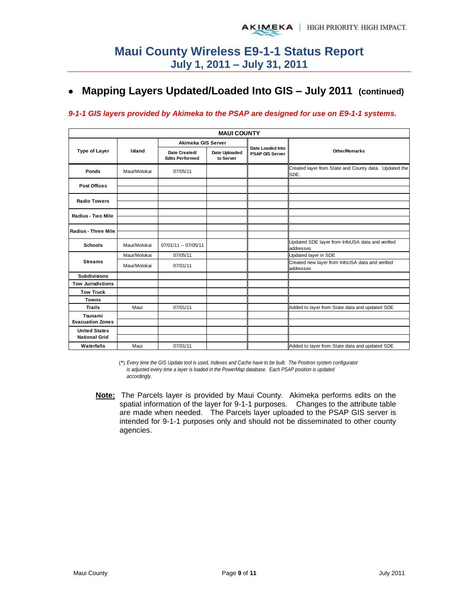# **Mapping Layers Updated/Loaded Into GIS – July 2011 (continued)**

### *9-1-1 GIS layers provided by Akimeka to the PSAP are designed for use on E9-1-1 systems.*

|                          | <b>MAUI COUNTY</b> |                                         |                            |                                            |                                                               |  |  |  |  |  |  |
|--------------------------|--------------------|-----------------------------------------|----------------------------|--------------------------------------------|---------------------------------------------------------------|--|--|--|--|--|--|
|                          |                    | <b>Akimeka GIS Server</b>               |                            |                                            |                                                               |  |  |  |  |  |  |
| <b>Type of Layer</b>     | Island             | Date Created/<br><b>Edits Performed</b> | Date Uploaded<br>to Server | Date Loaded Into<br><b>PSAP GIS Server</b> | <b>Other/Remarks</b>                                          |  |  |  |  |  |  |
| Ponds                    | Maui/Molokai       | 07/05/11                                |                            |                                            | Created layer from State and County data. Updated the<br>SDE. |  |  |  |  |  |  |
| <b>Post Offices</b>      |                    |                                         |                            |                                            |                                                               |  |  |  |  |  |  |
| <b>Radio Towers</b>      |                    |                                         |                            |                                            |                                                               |  |  |  |  |  |  |
| Radius - Two Mile        |                    |                                         |                            |                                            |                                                               |  |  |  |  |  |  |
|                          |                    |                                         |                            |                                            |                                                               |  |  |  |  |  |  |
| Radius - Three Mile      |                    |                                         |                            |                                            |                                                               |  |  |  |  |  |  |
|                          |                    |                                         |                            |                                            | Updated SDE layer from InfoUSA data and verified              |  |  |  |  |  |  |
| <b>Schools</b>           | Maui/Molokai       | 07/01/11 -- 07/05/11                    |                            |                                            | addresses                                                     |  |  |  |  |  |  |
|                          | Maui/Molokai       | 07/05/11                                |                            |                                            | Updated layer in SDE                                          |  |  |  |  |  |  |
| <b>Streams</b>           | Maui/Molokai       | 07/01/11                                |                            |                                            | Created new layer from InfoUSA data and verified<br>addresses |  |  |  |  |  |  |
| <b>Subdivisions</b>      |                    |                                         |                            |                                            |                                                               |  |  |  |  |  |  |
| <b>Tow Jurisdictions</b> |                    |                                         |                            |                                            |                                                               |  |  |  |  |  |  |
| <b>Tow Truck</b>         |                    |                                         |                            |                                            |                                                               |  |  |  |  |  |  |
| <b>Towns</b>             |                    |                                         |                            |                                            |                                                               |  |  |  |  |  |  |
| <b>Trails</b>            | Maui               | 07/01/11                                |                            |                                            | Added to layer from State data and updated SDE                |  |  |  |  |  |  |
| Tsunami                  |                    |                                         |                            |                                            |                                                               |  |  |  |  |  |  |
| <b>Evacuation Zones</b>  |                    |                                         |                            |                                            |                                                               |  |  |  |  |  |  |
| <b>United States</b>     |                    |                                         |                            |                                            |                                                               |  |  |  |  |  |  |
| <b>National Grid</b>     |                    |                                         |                            |                                            |                                                               |  |  |  |  |  |  |
| Waterfalls               | Maui               | 07/01/11                                |                            |                                            | Added to layer from State data and updated SDE                |  |  |  |  |  |  |

(\*) *Every time the GIS Update tool is used, Indexes and Cache have to be built. The Positron system configurator is adjusted every time a layer is loaded in the PowerMap database. Each PSAP position is updated accordingly.*

**Note:** The Parcels layer is provided by Maui County. Akimeka performs edits on the spatial information of the layer for 9-1-1 purposes. Changes to the attribute table are made when needed. The Parcels layer uploaded to the PSAP GIS server is intended for 9-1-1 purposes only and should not be disseminated to other county agencies.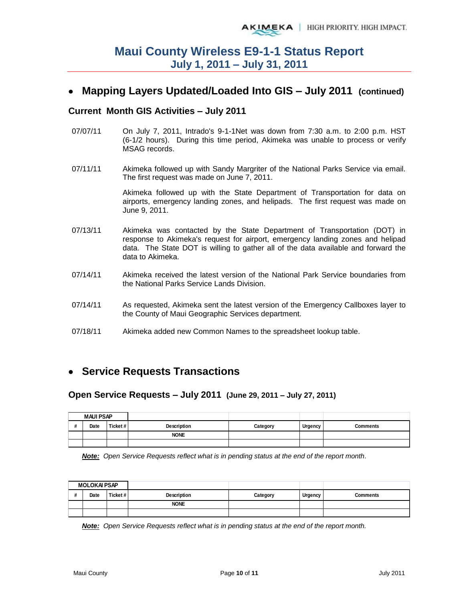## **Mapping Layers Updated/Loaded Into GIS – July 2011 (continued)**

### **Current Month GIS Activities – July 2011**

- 07/07/11 On July 7, 2011, Intrado's 9-1-1Net was down from 7:30 a.m. to 2:00 p.m. HST (6-1/2 hours). During this time period, Akimeka was unable to process or verify MSAG records.
- 07/11/11 Akimeka followed up with Sandy Margriter of the National Parks Service via email. The first request was made on June 7, 2011.

Akimeka followed up with the State Department of Transportation for data on airports, emergency landing zones, and helipads. The first request was made on June 9, 2011.

- 07/13/11 Akimeka was contacted by the State Department of Transportation (DOT) in response to Akimeka's request for airport, emergency landing zones and helipad data. The State DOT is willing to gather all of the data available and forward the data to Akimeka.
- 07/14/11 Akimeka received the latest version of the National Park Service boundaries from the National Parks Service Lands Division.
- 07/14/11 As requested, Akimeka sent the latest version of the Emergency Callboxes layer to the County of Maui Geographic Services department.
- 07/18/11 Akimeka added new Common Names to the spreadsheet lookup table.

## **Service Requests Transactions**

### **Open Service Requests – July 2011 (June 29, 2011 – July 27, 2011)**

|   | <b>MAUI PSAP</b> |          |             |          |         |                 |
|---|------------------|----------|-------------|----------|---------|-----------------|
| п | Date             | Ticket # | Description | Category | Urgency | <b>Comments</b> |
|   |                  |          | <b>NONE</b> |          |         |                 |
|   |                  |          |             |          |         |                 |

*Note: Open Service Requests reflect what is in pending status at the end of the report month.* 

| <b>MOLOKAI PSAP</b> |         |             |          |         |                 |
|---------------------|---------|-------------|----------|---------|-----------------|
| Date                | Ticket# | Description | Category | Urgency | <b>Comments</b> |
|                     |         | <b>NONE</b> |          |         |                 |
|                     |         |             |          |         |                 |

*Note: Open Service Requests reflect what is in pending status at the end of the report month.*